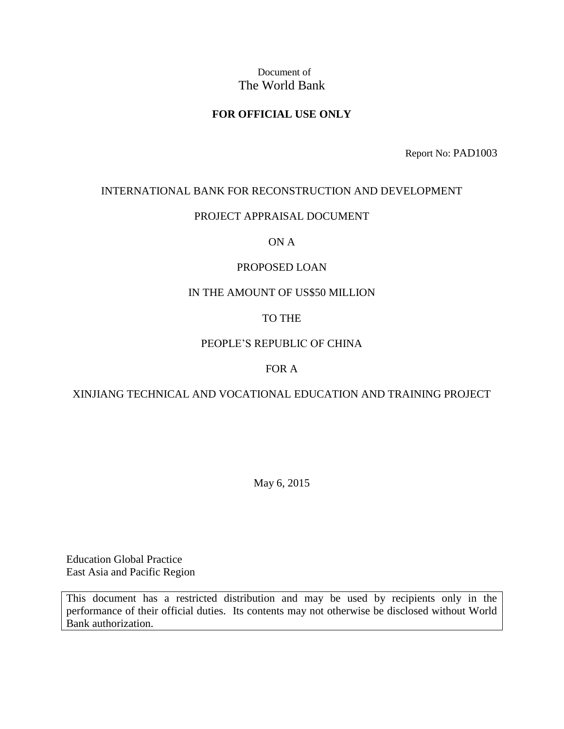## Document of The World Bank

## **FOR OFFICIAL USE ONLY**

Report No: PAD1003

#### INTERNATIONAL BANK FOR RECONSTRUCTION AND DEVELOPMENT

#### PROJECT APPRAISAL DOCUMENT

#### ON A

### PROPOSED LOAN

#### IN THE AMOUNT OF US\$50 MILLION

### TO THE

#### PEOPLE'S REPUBLIC OF CHINA

### FOR A

### XINJIANG TECHNICAL AND VOCATIONAL EDUCATION AND TRAINING PROJECT

May 6, 2015

Education Global Practice East Asia and Pacific Region

This document has a restricted distribution and may be used by recipients only in the performance of their official duties. Its contents may not otherwise be disclosed without World Bank authorization.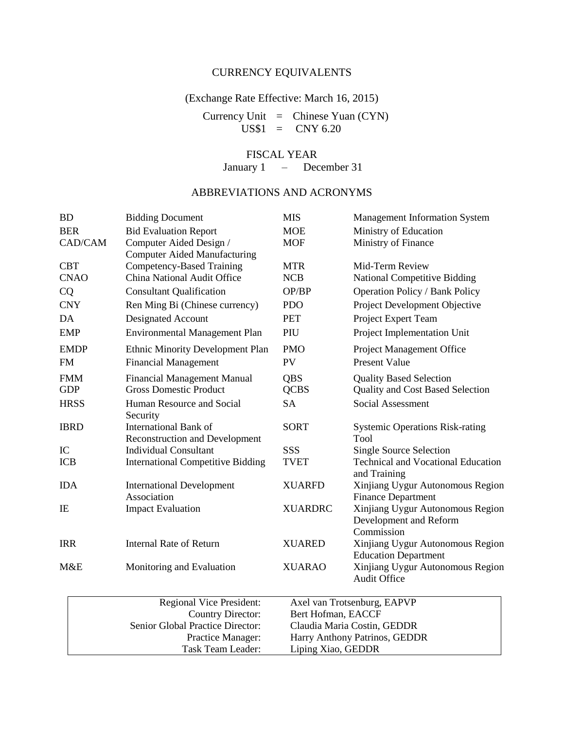## CURRENCY EQUIVALENTS

## (Exchange Rate Effective: March 16, 2015)

Currency Unit = Chinese Yuan (CYN)  $USS1 = CNY 6.20$ 

#### FISCAL YEAR

January 1 – December 31

#### ABBREVIATIONS AND ACRONYMS

| <b>BD</b>   | <b>Bidding Document</b>                                               | <b>MIS</b><br><b>Management Information System</b>                       |                                                                          |  |  |
|-------------|-----------------------------------------------------------------------|--------------------------------------------------------------------------|--------------------------------------------------------------------------|--|--|
| <b>BER</b>  | <b>Bid Evaluation Report</b>                                          | Ministry of Education<br><b>MOE</b>                                      |                                                                          |  |  |
| CAD/CAM     | Computer Aided Design /                                               | <b>MOF</b>                                                               | Ministry of Finance                                                      |  |  |
|             | <b>Computer Aided Manufacturing</b>                                   |                                                                          |                                                                          |  |  |
| <b>CBT</b>  | Competency-Based Training<br><b>MTR</b>                               |                                                                          | Mid-Term Review                                                          |  |  |
| <b>CNAO</b> | China National Audit Office                                           | <b>NCB</b>                                                               | <b>National Competitive Bidding</b>                                      |  |  |
| CQ          | <b>Consultant Qualification</b>                                       | OP/BP                                                                    | <b>Operation Policy / Bank Policy</b>                                    |  |  |
| <b>CNY</b>  | Ren Ming Bi (Chinese currency)                                        | <b>PDO</b>                                                               | Project Development Objective                                            |  |  |
| DA          | Designated Account                                                    | <b>PET</b>                                                               | Project Expert Team                                                      |  |  |
| <b>EMP</b>  | <b>Environmental Management Plan</b>                                  | PIU                                                                      | Project Implementation Unit                                              |  |  |
| <b>EMDP</b> | <b>Ethnic Minority Development Plan</b>                               | <b>PMO</b>                                                               | <b>Project Management Office</b>                                         |  |  |
| <b>FM</b>   | <b>Financial Management</b>                                           | <b>PV</b>                                                                | <b>Present Value</b>                                                     |  |  |
| <b>FMM</b>  | <b>Financial Management Manual</b>                                    | QBS                                                                      | <b>Quality Based Selection</b>                                           |  |  |
| <b>GDP</b>  | <b>Gross Domestic Product</b>                                         | <b>QCBS</b>                                                              | <b>Quality and Cost Based Selection</b>                                  |  |  |
| <b>HRSS</b> | Human Resource and Social<br>Security                                 | <b>SA</b>                                                                | <b>Social Assessment</b>                                                 |  |  |
| <b>IBRD</b> | <b>International Bank of</b><br><b>Reconstruction and Development</b> | <b>SORT</b>                                                              | <b>Systemic Operations Risk-rating</b><br>Tool                           |  |  |
| IC          | <b>Individual Consultant</b>                                          | SSS                                                                      | <b>Single Source Selection</b>                                           |  |  |
| <b>ICB</b>  | <b>International Competitive Bidding</b>                              | <b>TVET</b><br><b>Technical and Vocational Education</b><br>and Training |                                                                          |  |  |
| <b>IDA</b>  | <b>International Development</b><br>Association                       | <b>XUARFD</b>                                                            | Xinjiang Uygur Autonomous Region<br><b>Finance Department</b>            |  |  |
| IE          | <b>Impact Evaluation</b>                                              | <b>XUARDRC</b>                                                           | Xinjiang Uygur Autonomous Region<br>Development and Reform<br>Commission |  |  |
| <b>IRR</b>  | <b>Internal Rate of Return</b>                                        | <b>XUARED</b>                                                            | Xinjiang Uygur Autonomous Region<br><b>Education Department</b>          |  |  |
| M&E         | Monitoring and Evaluation                                             | <b>XUARAO</b>                                                            | Xinjiang Uygur Autonomous Region<br><b>Audit Office</b>                  |  |  |
|             | Regional Vice President:                                              |                                                                          | Axel van Trotsenburg, EAPVP                                              |  |  |
|             | Country Director:                                                     | Bert Hofman, EACCF                                                       |                                                                          |  |  |
|             | Senior Global Practice Director:                                      |                                                                          | Claudia Maria Costin, GEDDR                                              |  |  |
|             | Practice Manager:                                                     |                                                                          | Harry Anthony Patrinos, GEDDR                                            |  |  |
|             | Task Team Leader:                                                     | Liping Xiao, GEDDR                                                       |                                                                          |  |  |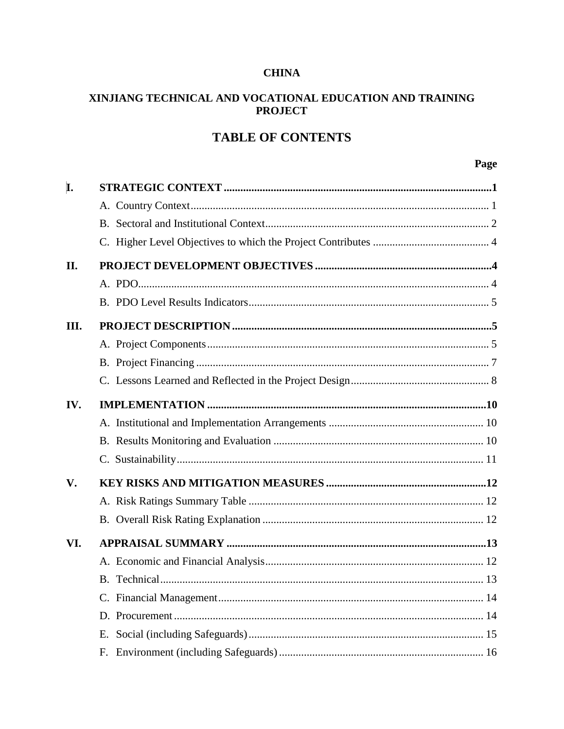## **CHINA**

## XINJIANG TECHNICAL AND VOCATIONAL EDUCATION AND TRAINING **PROJECT**

# **TABLE OF CONTENTS**

| I.            |    |  |
|---------------|----|--|
|               |    |  |
|               |    |  |
|               |    |  |
| II.           |    |  |
|               |    |  |
|               |    |  |
| III.          |    |  |
|               |    |  |
|               |    |  |
|               |    |  |
| IV.           |    |  |
|               |    |  |
|               |    |  |
|               |    |  |
| $V_{\bullet}$ |    |  |
|               |    |  |
|               |    |  |
| VI.           |    |  |
|               |    |  |
|               |    |  |
|               |    |  |
|               |    |  |
|               | Е. |  |
|               | F. |  |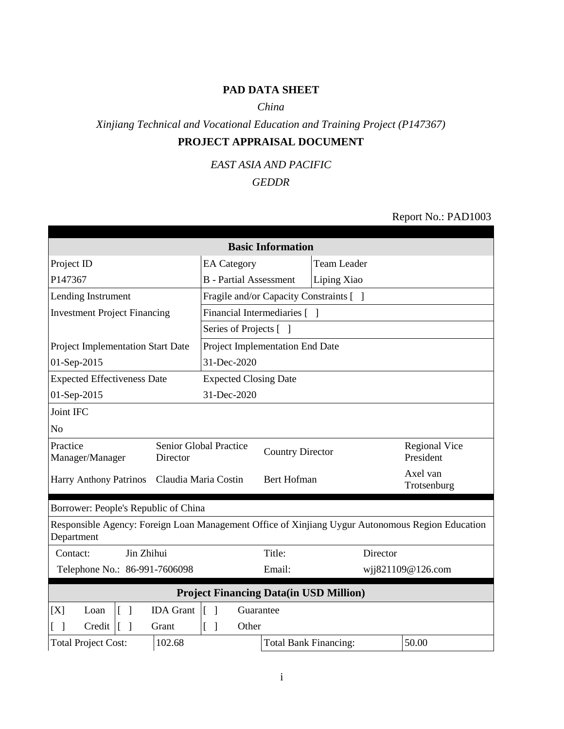## **PAD DATA SHEET**

## *China*

## *Xinjiang Technical and Vocational Education and Training Project (P147367)* **PROJECT APPRAISAL DOCUMENT**

*EAST ASIA AND PACIFIC GEDDR*

## Report No.: PAD1003

| <b>Basic Information</b>                                                                                       |                                    |                                      |                              |                                 |                                         |                   |                                   |
|----------------------------------------------------------------------------------------------------------------|------------------------------------|--------------------------------------|------------------------------|---------------------------------|-----------------------------------------|-------------------|-----------------------------------|
| Project ID<br><b>EA</b> Category<br><b>Team Leader</b>                                                         |                                    |                                      |                              |                                 |                                         |                   |                                   |
| P147367                                                                                                        |                                    |                                      |                              | <b>B</b> - Partial Assessment   | Liping Xiao                             |                   |                                   |
| Lending Instrument                                                                                             |                                    |                                      |                              |                                 | Fragile and/or Capacity Constraints [ ] |                   |                                   |
| <b>Investment Project Financing</b>                                                                            |                                    |                                      |                              | Financial Intermediaries [ ]    |                                         |                   |                                   |
|                                                                                                                |                                    | Series of Projects [ ]               |                              |                                 |                                         |                   |                                   |
| Project Implementation Start Date                                                                              |                                    |                                      |                              | Project Implementation End Date |                                         |                   |                                   |
| 01-Sep-2015                                                                                                    |                                    | 31-Dec-2020                          |                              |                                 |                                         |                   |                                   |
| <b>Expected Effectiveness Date</b><br><b>Expected Closing Date</b>                                             |                                    |                                      |                              |                                 |                                         |                   |                                   |
| 01-Sep-2015<br>31-Dec-2020                                                                                     |                                    |                                      |                              |                                 |                                         |                   |                                   |
| Joint IFC                                                                                                      |                                    |                                      |                              |                                 |                                         |                   |                                   |
| N <sub>o</sub>                                                                                                 |                                    |                                      |                              |                                 |                                         |                   |                                   |
| Practice<br>Manager/Manager                                                                                    | Senior Global Practice<br>Director |                                      |                              | <b>Country Director</b>         |                                         |                   | <b>Regional Vice</b><br>President |
| <b>Harry Anthony Patrinos</b>                                                                                  |                                    | Claudia Maria Costin                 |                              | Bert Hofman                     |                                         |                   | Axel van<br>Trotsenburg           |
| Borrower: People's Republic of China                                                                           |                                    |                                      |                              |                                 |                                         |                   |                                   |
| Responsible Agency: Foreign Loan Management Office of Xinjiang Uygur Autonomous Region Education<br>Department |                                    |                                      |                              |                                 |                                         |                   |                                   |
| Jin Zhihui<br>Contact:                                                                                         |                                    |                                      |                              | Title:                          | Director                                |                   |                                   |
| Telephone No.: 86-991-7606098                                                                                  |                                    |                                      | Email:                       |                                 |                                         | wjj821109@126.com |                                   |
| <b>Project Financing Data(in USD Million)</b>                                                                  |                                    |                                      |                              |                                 |                                         |                   |                                   |
| $\lceil \rceil$<br>[X]<br>Loan                                                                                 | <b>IDA</b> Grant                   | $\sqrt{ }$                           | Guarantee                    |                                 |                                         |                   |                                   |
| $\overline{\phantom{a}}$<br>Credit<br>$\lceil$ $\rceil$                                                        | Grant                              | $\lceil$<br>$\overline{\phantom{a}}$ | Other                        |                                 |                                         |                   |                                   |
| <b>Total Project Cost:</b><br>102.68                                                                           |                                    |                                      | <b>Total Bank Financing:</b> |                                 |                                         | 50.00             |                                   |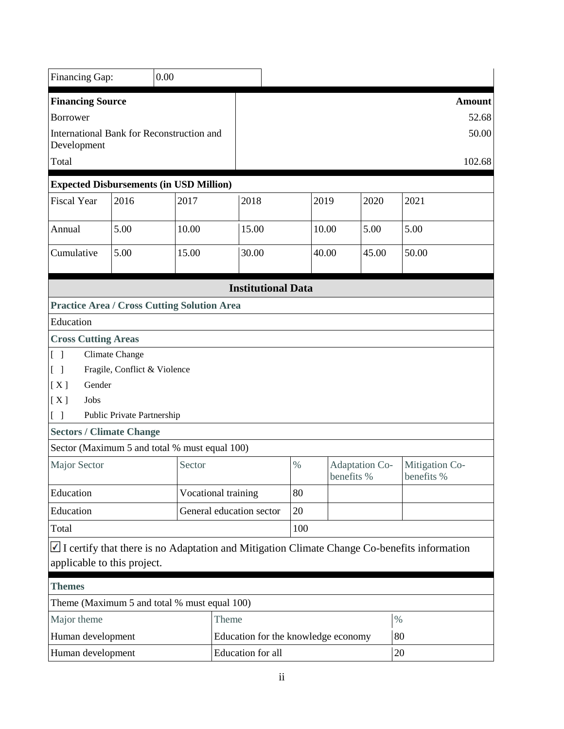| Financing Gap:                                                                          |                              | 0.00                                         |                          |                                     |            |                                 |                                                                                                    |
|-----------------------------------------------------------------------------------------|------------------------------|----------------------------------------------|--------------------------|-------------------------------------|------------|---------------------------------|----------------------------------------------------------------------------------------------------|
| <b>Financing Source</b><br><b>Borrower</b><br>International Bank for Reconstruction and |                              |                                              |                          |                                     |            | <b>Amount</b><br>52.68<br>50.00 |                                                                                                    |
| Development<br>Total                                                                    |                              |                                              |                          |                                     |            |                                 | 102.68                                                                                             |
|                                                                                         |                              |                                              |                          |                                     |            |                                 |                                                                                                    |
| <b>Expected Disbursements (in USD Million)</b>                                          |                              |                                              |                          |                                     |            |                                 |                                                                                                    |
| <b>Fiscal Year</b>                                                                      | 2016                         | 2017                                         | 2018                     |                                     | 2019       | 2020                            | 2021                                                                                               |
| Annual                                                                                  | 5.00                         | 10.00                                        | 15.00                    |                                     | 10.00      | 5.00                            | 5.00                                                                                               |
| Cumulative                                                                              | 5.00                         | 15.00                                        | 30.00                    |                                     | 40.00      | 45.00                           | 50.00                                                                                              |
| <b>Institutional Data</b>                                                               |                              |                                              |                          |                                     |            |                                 |                                                                                                    |
| <b>Practice Area / Cross Cutting Solution Area</b>                                      |                              |                                              |                          |                                     |            |                                 |                                                                                                    |
| Education                                                                               |                              |                                              |                          |                                     |            |                                 |                                                                                                    |
|                                                                                         | <b>Cross Cutting Areas</b>   |                                              |                          |                                     |            |                                 |                                                                                                    |
| $\begin{bmatrix} 1 \end{bmatrix}$                                                       | Climate Change               |                                              |                          |                                     |            |                                 |                                                                                                    |
| $\lceil \; \rceil$                                                                      | Fragile, Conflict & Violence |                                              |                          |                                     |            |                                 |                                                                                                    |
| [X]<br>Gender                                                                           |                              |                                              |                          |                                     |            |                                 |                                                                                                    |
| [X]<br>Jobs                                                                             |                              |                                              |                          |                                     |            |                                 |                                                                                                    |
| $[\ ]$                                                                                  | Public Private Partnership   |                                              |                          |                                     |            |                                 |                                                                                                    |
| <b>Sectors / Climate Change</b>                                                         |                              |                                              |                          |                                     |            |                                 |                                                                                                    |
| Sector (Maximum 5 and total % must equal 100)                                           |                              |                                              |                          |                                     |            |                                 |                                                                                                    |
| Major Sector                                                                            |                              | Sector                                       |                          | $\%$                                | benefits % | Adaptation Co-                  | Mitigation Co-<br>benefits %                                                                       |
| Education                                                                               |                              |                                              | Vocational training      | 80                                  |            |                                 |                                                                                                    |
| Education                                                                               |                              |                                              | General education sector | 20                                  |            |                                 |                                                                                                    |
| Total                                                                                   |                              |                                              |                          | 100                                 |            |                                 |                                                                                                    |
|                                                                                         |                              |                                              |                          |                                     |            |                                 | $\Box$ I certify that there is no Adaptation and Mitigation Climate Change Co-benefits information |
| applicable to this project.                                                             |                              |                                              |                          |                                     |            |                                 |                                                                                                    |
| <b>Themes</b>                                                                           |                              |                                              |                          |                                     |            |                                 |                                                                                                    |
|                                                                                         |                              | Theme (Maximum 5 and total % must equal 100) |                          |                                     |            |                                 |                                                                                                    |
| Major theme                                                                             |                              |                                              | Theme                    |                                     |            |                                 | $\%$                                                                                               |
| Human development                                                                       |                              |                                              |                          | Education for the knowledge economy |            |                                 | 80                                                                                                 |
| Education for all<br>Human development<br>20                                            |                              |                                              |                          |                                     |            |                                 |                                                                                                    |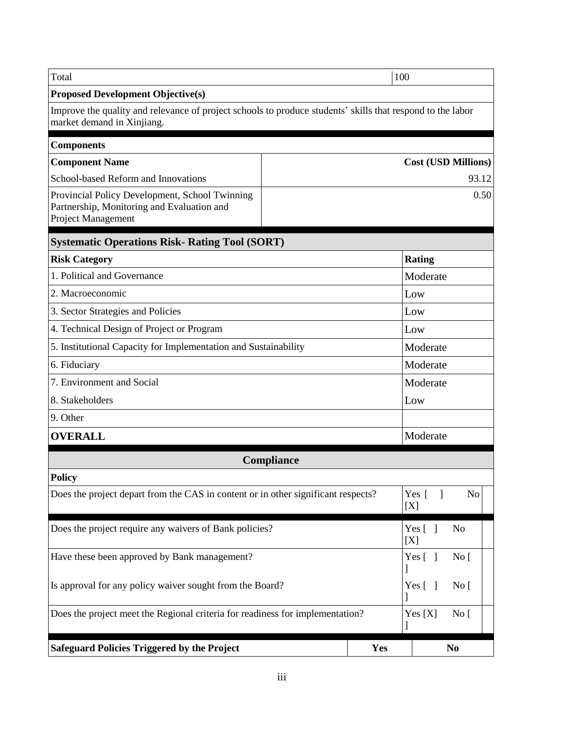| Total                                                                                                                                    |            |                          | 100                            |  |  |  |
|------------------------------------------------------------------------------------------------------------------------------------------|------------|--------------------------|--------------------------------|--|--|--|
| <b>Proposed Development Objective(s)</b>                                                                                                 |            |                          |                                |  |  |  |
| Improve the quality and relevance of project schools to produce students' skills that respond to the labor<br>market demand in Xinjiang. |            |                          |                                |  |  |  |
| <b>Components</b>                                                                                                                        |            |                          |                                |  |  |  |
| <b>Component Name</b>                                                                                                                    |            |                          | <b>Cost (USD Millions)</b>     |  |  |  |
| School-based Reform and Innovations                                                                                                      |            |                          | 93.12                          |  |  |  |
| Provincial Policy Development, School Twinning<br>Partnership, Monitoring and Evaluation and<br>Project Management                       |            |                          | 0.50                           |  |  |  |
| <b>Systematic Operations Risk- Rating Tool (SORT)</b>                                                                                    |            |                          |                                |  |  |  |
| <b>Risk Category</b>                                                                                                                     |            |                          | Rating                         |  |  |  |
| 1. Political and Governance                                                                                                              |            |                          | Moderate                       |  |  |  |
| 2. Macroeconomic                                                                                                                         |            |                          | Low                            |  |  |  |
| 3. Sector Strategies and Policies                                                                                                        |            | Low                      |                                |  |  |  |
| 4. Technical Design of Project or Program                                                                                                |            | Low                      |                                |  |  |  |
| 5. Institutional Capacity for Implementation and Sustainability                                                                          |            | Moderate                 |                                |  |  |  |
| 6. Fiduciary                                                                                                                             |            | Moderate                 |                                |  |  |  |
| 7. Environment and Social                                                                                                                |            | Moderate                 |                                |  |  |  |
| 8. Stakeholders<br>Low                                                                                                                   |            |                          |                                |  |  |  |
| 9. Other                                                                                                                                 |            |                          |                                |  |  |  |
| <b>OVERALL</b>                                                                                                                           |            |                          | Moderate                       |  |  |  |
|                                                                                                                                          | Compliance |                          |                                |  |  |  |
| <b>Policy</b>                                                                                                                            |            |                          |                                |  |  |  |
| Does the project depart from the CAS in content or in other significant respects?                                                        |            |                          | Yes [<br>No<br>[X]             |  |  |  |
| Does the project require any waivers of Bank policies?                                                                                   |            | Yes $[ \ ]$<br>No<br>[X] |                                |  |  |  |
| Have these been approved by Bank management?                                                                                             |            |                          | Yes $[ \ ]$<br>No <sub>[</sub> |  |  |  |
| Is approval for any policy waiver sought from the Board?                                                                                 |            | Yes $[ \ ]$<br>No [      |                                |  |  |  |
| Does the project meet the Regional criteria for readiness for implementation?                                                            |            |                          | Yes $[X]$<br>No <sub>[</sub> ] |  |  |  |
| <b>Safeguard Policies Triggered by the Project</b>                                                                                       |            | Yes                      | N <sub>0</sub>                 |  |  |  |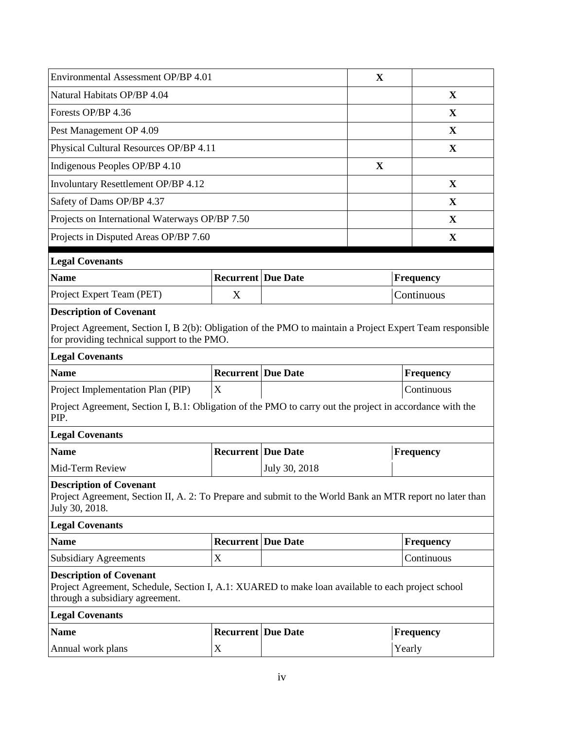| Environmental Assessment OP/BP 4.01                                                                                                                                    |                           | $\mathbf X$   |                  |
|------------------------------------------------------------------------------------------------------------------------------------------------------------------------|---------------------------|---------------|------------------|
| Natural Habitats OP/BP 4.04                                                                                                                                            |                           |               | X                |
| Forests OP/BP 4.36                                                                                                                                                     |                           |               | X                |
| Pest Management OP 4.09                                                                                                                                                |                           |               | X                |
| Physical Cultural Resources OP/BP 4.11                                                                                                                                 |                           |               | X                |
| Indigenous Peoples OP/BP 4.10                                                                                                                                          |                           | X             |                  |
| Involuntary Resettlement OP/BP 4.12                                                                                                                                    |                           |               | $\mathbf X$      |
| Safety of Dams OP/BP 4.37                                                                                                                                              |                           |               | $\mathbf X$      |
| Projects on International Waterways OP/BP 7.50                                                                                                                         |                           |               | X                |
| Projects in Disputed Areas OP/BP 7.60                                                                                                                                  |                           |               | X                |
| <b>Legal Covenants</b>                                                                                                                                                 |                           |               |                  |
| <b>Name</b>                                                                                                                                                            | <b>Recurrent Due Date</b> |               | Frequency        |
| Project Expert Team (PET)                                                                                                                                              | X                         |               | Continuous       |
| <b>Description of Covenant</b>                                                                                                                                         |                           |               |                  |
| Project Agreement, Section I, B 2(b): Obligation of the PMO to maintain a Project Expert Team responsible<br>for providing technical support to the PMO.               |                           |               |                  |
| <b>Legal Covenants</b>                                                                                                                                                 |                           |               |                  |
| <b>Name</b>                                                                                                                                                            | <b>Recurrent Due Date</b> |               | <b>Frequency</b> |
| Project Implementation Plan (PIP)                                                                                                                                      | X                         |               | Continuous       |
| Project Agreement, Section I, B.1: Obligation of the PMO to carry out the project in accordance with the<br>PIP.                                                       |                           |               |                  |
| <b>Legal Covenants</b>                                                                                                                                                 |                           |               |                  |
| <b>Name</b>                                                                                                                                                            | <b>Recurrent Due Date</b> |               | <b>Frequency</b> |
| Mid-Term Review                                                                                                                                                        |                           | July 30, 2018 |                  |
| <b>Description of Covenant</b><br>Project Agreement, Section II, A. 2: To Prepare and submit to the World Bank an MTR report no later than<br>July 30, 2018.           |                           |               |                  |
| <b>Legal Covenants</b>                                                                                                                                                 |                           |               |                  |
| <b>Name</b>                                                                                                                                                            | <b>Recurrent Due Date</b> |               | <b>Frequency</b> |
| <b>Subsidiary Agreements</b>                                                                                                                                           | $\boldsymbol{\mathrm{X}}$ |               | Continuous       |
| <b>Description of Covenant</b><br>Project Agreement, Schedule, Section I, A.1: XUARED to make loan available to each project school<br>through a subsidiary agreement. |                           |               |                  |
|                                                                                                                                                                        |                           |               |                  |
| <b>Legal Covenants</b>                                                                                                                                                 |                           |               |                  |
| <b>Name</b>                                                                                                                                                            | <b>Recurrent Due Date</b> |               | <b>Frequency</b> |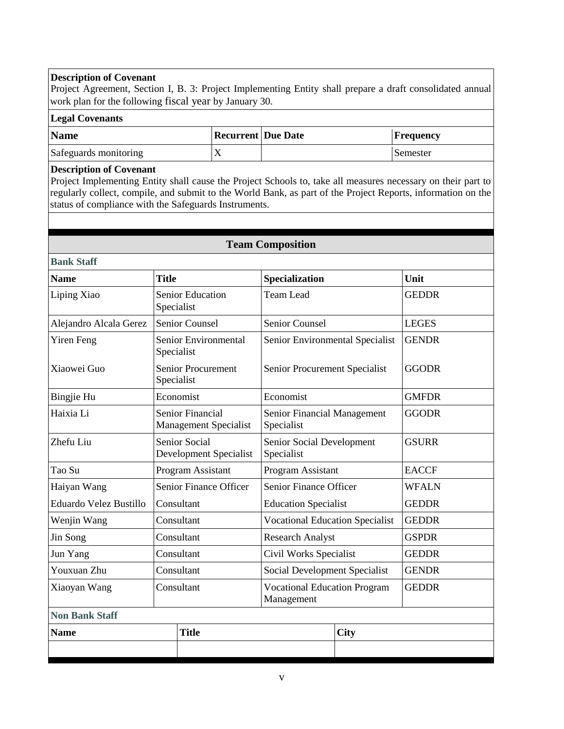#### **Description of Covenant**

Project Agreement, Section I, B. 3: Project Implementing Entity shall prepare a draft consolidated annual work plan for the following fiscal year by January 30.

#### **Legal Covenants**

| <b>Name</b>           | Recurrent   Due Date | <b>Frequency</b> |
|-----------------------|----------------------|------------------|
| Safeguards monitoring |                      | <b>Semester</b>  |

#### **Description of Covenant**

Project Implementing Entity shall cause the Project Schools to, take all measures necessary on their part to regularly collect, compile, and submit to the World Bank, as part of the Project Reports, information on the status of compliance with the Safeguards Instruments.

| <b>Team Composition</b> |                                                         |                                                   |             |              |  |  |
|-------------------------|---------------------------------------------------------|---------------------------------------------------|-------------|--------------|--|--|
| <b>Bank Staff</b>       |                                                         |                                                   |             |              |  |  |
| <b>Name</b>             | <b>Title</b>                                            | Specialization                                    |             | Unit         |  |  |
| Liping Xiao             | <b>Senior Education</b><br>Specialist                   | <b>Team Lead</b>                                  |             | <b>GEDDR</b> |  |  |
| Alejandro Alcala Gerez  | Senior Counsel                                          | <b>Senior Counsel</b>                             |             | <b>LEGES</b> |  |  |
| <b>Yiren Feng</b>       | Senior Environmental<br>Specialist                      | Senior Environmental Specialist                   |             | <b>GENDR</b> |  |  |
| Xiaowei Guo             | <b>Senior Procurement</b><br>Specialist                 | Senior Procurement Specialist                     |             | <b>GGODR</b> |  |  |
| Bingjie Hu              | Economist                                               | Economist                                         |             | <b>GMFDR</b> |  |  |
| Haixia Li               | <b>Senior Financial</b><br><b>Management Specialist</b> | <b>Senior Financial Management</b><br>Specialist  |             | <b>GGODR</b> |  |  |
| Zhefu Liu               | <b>Senior Social</b><br>Development Specialist          | Senior Social Development<br>Specialist           |             | <b>GSURR</b> |  |  |
| Tao Su                  | Program Assistant                                       | <b>Program Assistant</b>                          |             | <b>EACCF</b> |  |  |
| Haiyan Wang             | <b>Senior Finance Officer</b>                           | <b>Senior Finance Officer</b>                     |             | <b>WFALN</b> |  |  |
| Eduardo Velez Bustillo  | Consultant                                              | <b>Education Specialist</b>                       |             | <b>GEDDR</b> |  |  |
| Wenjin Wang             | Consultant                                              | <b>Vocational Education Specialist</b>            |             | <b>GEDDR</b> |  |  |
| Jin Song                | Consultant                                              | <b>Research Analyst</b>                           |             | <b>GSPDR</b> |  |  |
| Jun Yang                | Consultant                                              | Civil Works Specialist                            |             | <b>GEDDR</b> |  |  |
| Youxuan Zhu             | Consultant                                              | Social Development Specialist                     |             | <b>GENDR</b> |  |  |
| Xiaoyan Wang            | Consultant                                              | <b>Vocational Education Program</b><br>Management |             | <b>GEDDR</b> |  |  |
| <b>Non Bank Staff</b>   |                                                         |                                                   |             |              |  |  |
| <b>Name</b>             | <b>Title</b>                                            |                                                   | <b>City</b> |              |  |  |
|                         |                                                         |                                                   |             |              |  |  |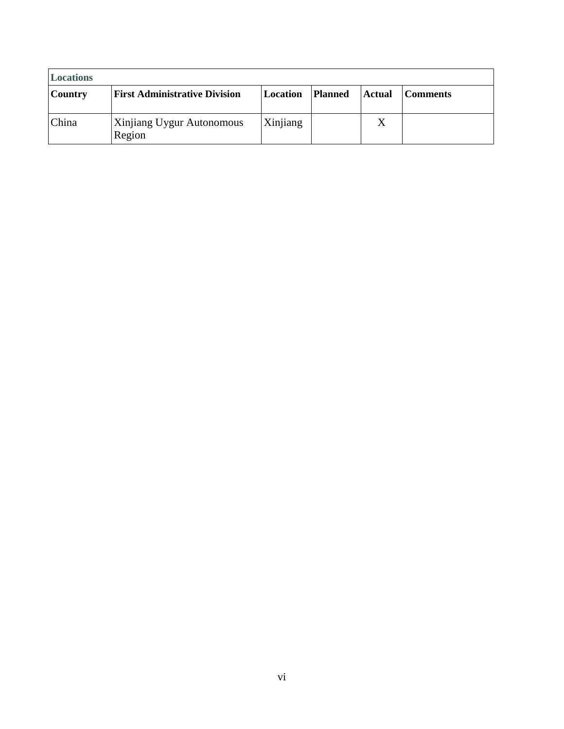| <b>Locations</b> |                                      |          |                |               |                 |
|------------------|--------------------------------------|----------|----------------|---------------|-----------------|
| <b>Country</b>   | <b>First Administrative Division</b> | Location | <b>Planned</b> | <b>Actual</b> | <b>Comments</b> |
| China            | Xinjiang Uygur Autonomous<br>Region  | Xinjiang |                | X             |                 |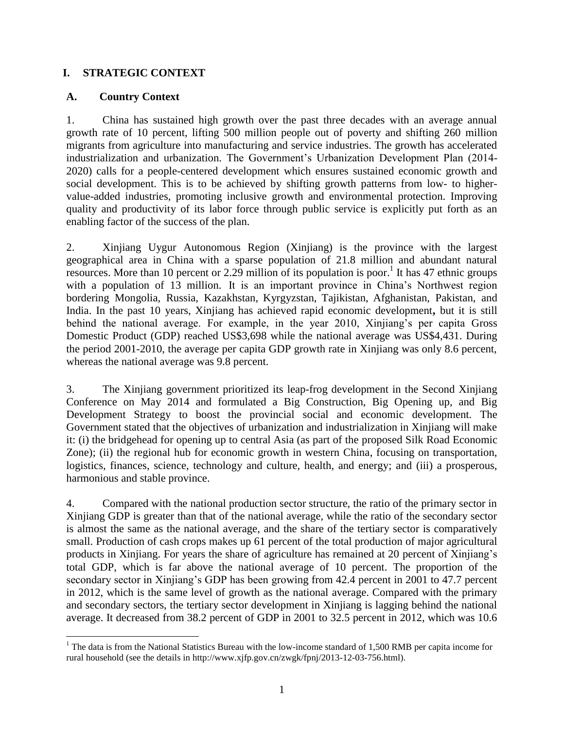### **I. STRATEGIC CONTEXT**

### **A. Country Context**

1. China has sustained high growth over the past three decades with an average annual growth rate of 10 percent, lifting 500 million people out of poverty and shifting 260 million migrants from agriculture into manufacturing and service industries. The growth has accelerated industrialization and urbanization. The Government's Urbanization Development Plan (2014- 2020) calls for a people-centered development which ensures sustained economic growth and social development. This is to be achieved by shifting growth patterns from low- to highervalue-added industries, promoting inclusive growth and environmental protection. Improving quality and productivity of its labor force through public service is explicitly put forth as an enabling factor of the success of the plan.

2. Xinjiang Uygur Autonomous Region (Xinjiang) is the province with the largest geographical area in China with a sparse population of 21.8 million and abundant natural resources. More than 10 percent or 2.29 million of its population is poor.<sup>1</sup> It has 47 ethnic groups with a population of 13 million. It is an important province in China's Northwest region bordering Mongolia, Russia, Kazakhstan, Kyrgyzstan, Tajikistan, Afghanistan, Pakistan, and India. In the past 10 years, Xinjiang has achieved rapid economic development**,** but it is still behind the national average. For example, in the year 2010, Xinjiang's per capita Gross Domestic Product (GDP) reached US\$3,698 while the national average was US\$4,431. During the period 2001-2010, the average per capita GDP growth rate in Xinjiang was only 8.6 percent, whereas the national average was 9.8 percent.

3. The Xinjiang government prioritized its leap-frog development in the Second Xinjiang Conference on May 2014 and formulated a Big Construction, Big Opening up, and Big Development Strategy to boost the provincial social and economic development. The Government stated that the objectives of urbanization and industrialization in Xinjiang will make it: (i) the bridgehead for opening up to central Asia (as part of the proposed Silk Road Economic Zone); (ii) the regional hub for economic growth in western China, focusing on transportation, logistics, finances, science, technology and culture, health, and energy; and (iii) a prosperous, harmonious and stable province.

4. Compared with the national production sector structure, the ratio of the primary sector in Xinjiang GDP is greater than that of the national average, while the ratio of the secondary sector is almost the same as the national average, and the share of the tertiary sector is comparatively small. Production of cash crops makes up 61 percent of the total production of major agricultural products in Xinjiang. For years the share of agriculture has remained at 20 percent of Xinjiang's total GDP, which is far above the national average of 10 percent. The proportion of the secondary sector in Xinjiang's GDP has been growing from 42.4 percent in 2001 to 47.7 percent in 2012, which is the same level of growth as the national average. Compared with the primary and secondary sectors, the tertiary sector development in Xinjiang is lagging behind the national average. It decreased from 38.2 percent of GDP in 2001 to 32.5 percent in 2012, which was 10.6

 $\overline{a}$ <sup>1</sup> The data is from the National Statistics Bureau with the low-income standard of 1,500 RMB per capita income for rural household (see the details in http://www.xjfp.gov.cn/zwgk/fpnj/2013-12-03-756.html).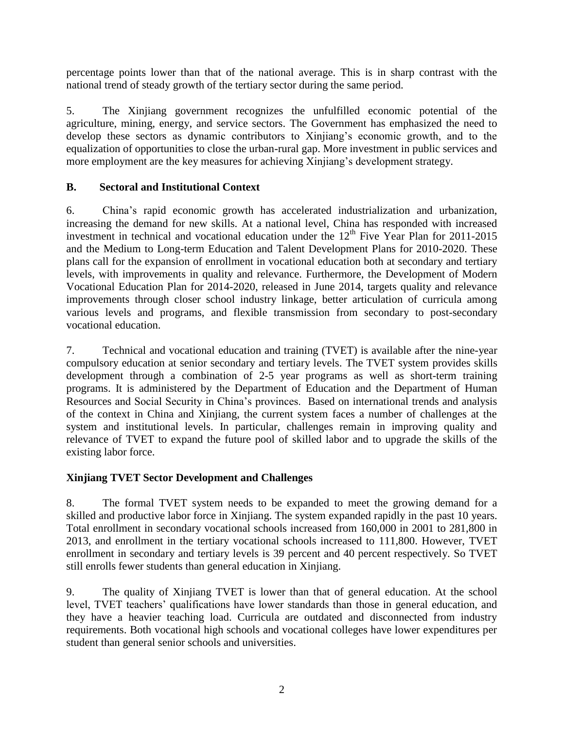percentage points lower than that of the national average. This is in sharp contrast with the national trend of steady growth of the tertiary sector during the same period.

5. The Xinjiang government recognizes the unfulfilled economic potential of the agriculture, mining, energy, and service sectors. The Government has emphasized the need to develop these sectors as dynamic contributors to Xinjiang's economic growth, and to the equalization of opportunities to close the urban-rural gap. More investment in public services and more employment are the key measures for achieving Xinjiang's development strategy.

## **B. Sectoral and Institutional Context**

6. China's rapid economic growth has accelerated industrialization and urbanization, increasing the demand for new skills. At a national level, China has responded with increased investment in technical and vocational education under the  $12<sup>th</sup>$  Five Year Plan for 2011-2015 and the Medium to Long-term Education and Talent Development Plans for 2010-2020. These plans call for the expansion of enrollment in vocational education both at secondary and tertiary levels, with improvements in quality and relevance. Furthermore, the Development of Modern Vocational Education Plan for 2014-2020, released in June 2014, targets quality and relevance improvements through closer school industry linkage, better articulation of curricula among various levels and programs, and flexible transmission from secondary to post-secondary vocational education.

7. Technical and vocational education and training (TVET) is available after the nine-year compulsory education at senior secondary and tertiary levels. The TVET system provides skills development through a combination of 2-5 year programs as well as short-term training programs. It is administered by the Department of Education and the Department of Human Resources and Social Security in China's provinces. Based on international trends and analysis of the context in China and Xinjiang, the current system faces a number of challenges at the system and institutional levels. In particular, challenges remain in improving quality and relevance of TVET to expand the future pool of skilled labor and to upgrade the skills of the existing labor force.

### **Xinjiang TVET Sector Development and Challenges**

8. The formal TVET system needs to be expanded to meet the growing demand for a skilled and productive labor force in Xinjiang. The system expanded rapidly in the past 10 years. Total enrollment in secondary vocational schools increased from 160,000 in 2001 to 281,800 in 2013, and enrollment in the tertiary vocational schools increased to 111,800. However, TVET enrollment in secondary and tertiary levels is 39 percent and 40 percent respectively. So TVET still enrolls fewer students than general education in Xinjiang.

9. The quality of Xinjiang TVET is lower than that of general education. At the school level, TVET teachers' qualifications have lower standards than those in general education, and they have a heavier teaching load. Curricula are outdated and disconnected from industry requirements. Both vocational high schools and vocational colleges have lower expenditures per student than general senior schools and universities.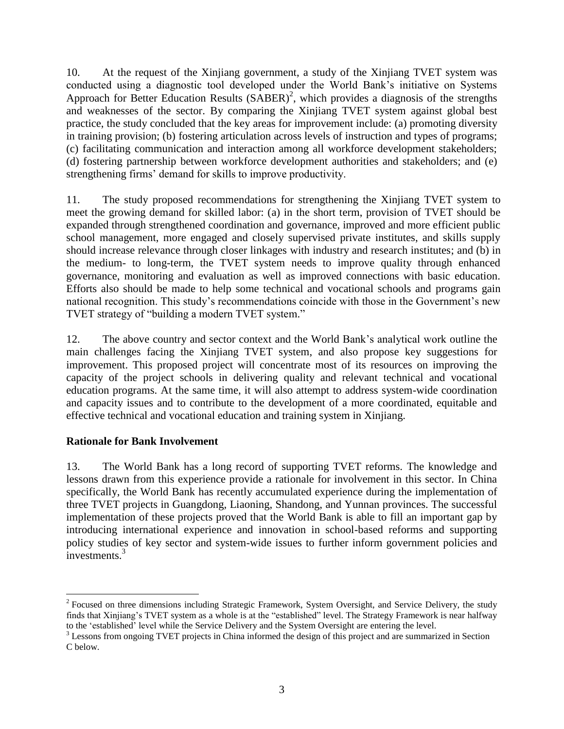10. At the request of the Xinjiang government, a study of the Xinjiang TVET system was conducted using a diagnostic tool developed under the World Bank's initiative on Systems Approach for Better Education Results  $(SABER)^2$ , which provides a diagnosis of the strengths and weaknesses of the sector. By comparing the Xinjiang TVET system against global best practice, the study concluded that the key areas for improvement include: (a) promoting diversity in training provision; (b) fostering articulation across levels of instruction and types of programs; (c) facilitating communication and interaction among all workforce development stakeholders; (d) fostering partnership between workforce development authorities and stakeholders; and (e) strengthening firms' demand for skills to improve productivity.

11. The study proposed recommendations for strengthening the Xinjiang TVET system to meet the growing demand for skilled labor: (a) in the short term, provision of TVET should be expanded through strengthened coordination and governance, improved and more efficient public school management, more engaged and closely supervised private institutes, and skills supply should increase relevance through closer linkages with industry and research institutes; and (b) in the medium- to long-term, the TVET system needs to improve quality through enhanced governance, monitoring and evaluation as well as improved connections with basic education. Efforts also should be made to help some technical and vocational schools and programs gain national recognition. This study's recommendations coincide with those in the Government's new TVET strategy of "building a modern TVET system."

12. The above country and sector context and the World Bank's analytical work outline the main challenges facing the Xinjiang TVET system, and also propose key suggestions for improvement. This proposed project will concentrate most of its resources on improving the capacity of the project schools in delivering quality and relevant technical and vocational education programs. At the same time, it will also attempt to address system-wide coordination and capacity issues and to contribute to the development of a more coordinated, equitable and effective technical and vocational education and training system in Xinjiang.

### **Rationale for Bank Involvement**

 $\overline{a}$ 

13. The World Bank has a long record of supporting TVET reforms. The knowledge and lessons drawn from this experience provide a rationale for involvement in this sector. In China specifically, the World Bank has recently accumulated experience during the implementation of three TVET projects in Guangdong, Liaoning, Shandong, and Yunnan provinces. The successful implementation of these projects proved that the World Bank is able to fill an important gap by introducing international experience and innovation in school-based reforms and supporting policy studies of key sector and system-wide issues to further inform government policies and investments.<sup>3</sup>

<sup>&</sup>lt;sup>2</sup> Focused on three dimensions including Strategic Framework, System Oversight, and Service Delivery, the study finds that Xinjiang's TVET system as a whole is at the "established" level. The Strategy Framework is near halfway to the 'established' level while the Service Delivery and the System Oversight are entering the level.

<sup>&</sup>lt;sup>3</sup> Lessons from ongoing TVET projects in China informed the design of this project and are summarized in Section C below.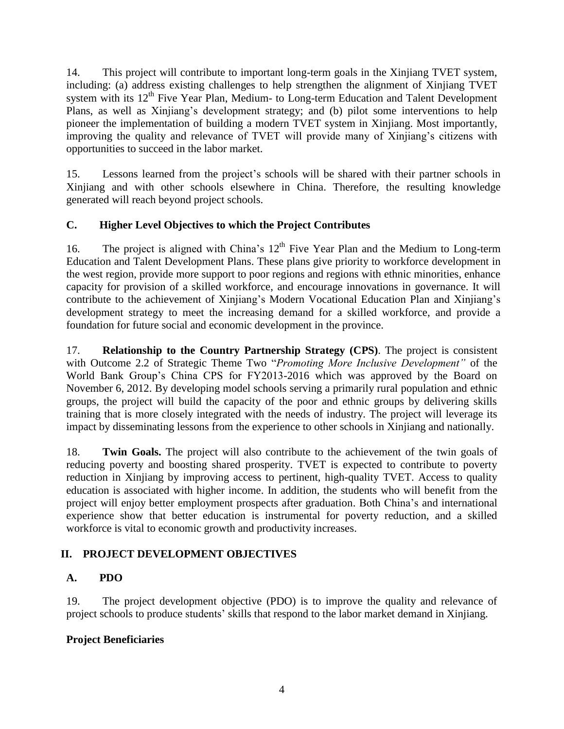14. This project will contribute to important long-term goals in the Xinjiang TVET system, including: (a) address existing challenges to help strengthen the alignment of Xinjiang TVET system with its 12<sup>th</sup> Five Year Plan, Medium- to Long-term Education and Talent Development Plans, as well as Xinjiang's development strategy; and (b) pilot some interventions to help pioneer the implementation of building a modern TVET system in Xinjiang. Most importantly, improving the quality and relevance of TVET will provide many of Xinjiang's citizens with opportunities to succeed in the labor market.

15. Lessons learned from the project's schools will be shared with their partner schools in Xinjiang and with other schools elsewhere in China. Therefore, the resulting knowledge generated will reach beyond project schools.

## **C. Higher Level Objectives to which the Project Contributes**

16. The project is aligned with China's  $12<sup>th</sup>$  Five Year Plan and the Medium to Long-term Education and Talent Development Plans. These plans give priority to workforce development in the west region, provide more support to poor regions and regions with ethnic minorities, enhance capacity for provision of a skilled workforce, and encourage innovations in governance. It will contribute to the achievement of Xinjiang's Modern Vocational Education Plan and Xinjiang's development strategy to meet the increasing demand for a skilled workforce, and provide a foundation for future social and economic development in the province.

17. **Relationship to the Country Partnership Strategy (CPS)**. The project is consistent with Outcome 2.2 of Strategic Theme Two "*Promoting More Inclusive Development"* of the World Bank Group's China CPS for FY2013-2016 which was approved by the Board on November 6, 2012. By developing model schools serving a primarily rural population and ethnic groups, the project will build the capacity of the poor and ethnic groups by delivering skills training that is more closely integrated with the needs of industry. The project will leverage its impact by disseminating lessons from the experience to other schools in Xinjiang and nationally.

18. **Twin Goals.** The project will also contribute to the achievement of the twin goals of reducing poverty and boosting shared prosperity. TVET is expected to contribute to poverty reduction in Xinjiang by improving access to pertinent, high-quality TVET. Access to quality education is associated with higher income. In addition, the students who will benefit from the project will enjoy better employment prospects after graduation. Both China's and international experience show that better education is instrumental for poverty reduction, and a skilled workforce is vital to economic growth and productivity increases.

## **II. PROJECT DEVELOPMENT OBJECTIVES**

## **A. PDO**

19. The project development objective (PDO) is to improve the quality and relevance of project schools to produce students' skills that respond to the labor market demand in Xinjiang.

## **Project Beneficiaries**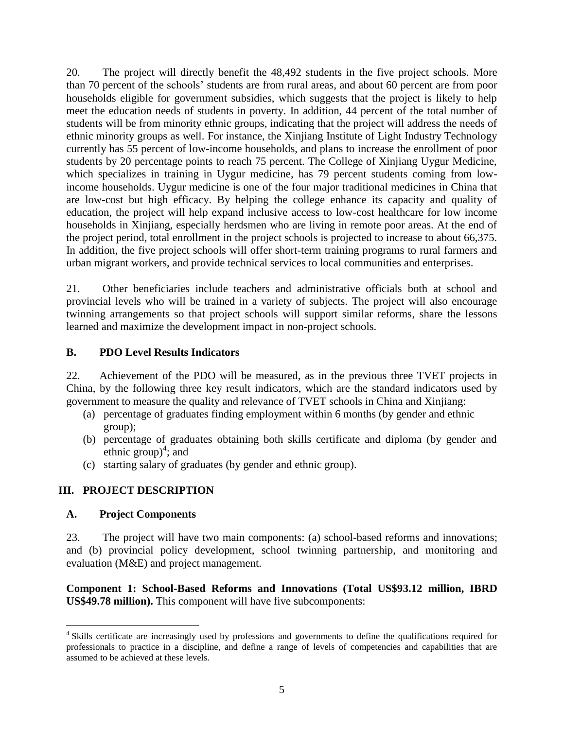20. The project will directly benefit the 48,492 students in the five project schools. More than 70 percent of the schools' students are from rural areas, and about 60 percent are from poor households eligible for government subsidies, which suggests that the project is likely to help meet the education needs of students in poverty. In addition, 44 percent of the total number of students will be from minority ethnic groups, indicating that the project will address the needs of ethnic minority groups as well. For instance, the Xinjiang Institute of Light Industry Technology currently has 55 percent of low-income households, and plans to increase the enrollment of poor students by 20 percentage points to reach 75 percent. The College of Xinjiang Uygur Medicine, which specializes in training in Uygur medicine, has 79 percent students coming from lowincome households. Uygur medicine is one of the four major traditional medicines in China that are low-cost but high efficacy. By helping the college enhance its capacity and quality of education, the project will help expand inclusive access to low-cost healthcare for low income households in Xinjiang, especially herdsmen who are living in remote poor areas. At the end of the project period, total enrollment in the project schools is projected to increase to about 66,375. In addition, the five project schools will offer short-term training programs to rural farmers and urban migrant workers, and provide technical services to local communities and enterprises.

21. Other beneficiaries include teachers and administrative officials both at school and provincial levels who will be trained in a variety of subjects. The project will also encourage twinning arrangements so that project schools will support similar reforms, share the lessons learned and maximize the development impact in non-project schools.

#### **B. PDO Level Results Indicators**

22. Achievement of the PDO will be measured, as in the previous three TVET projects in China, by the following three key result indicators, which are the standard indicators used by government to measure the quality and relevance of TVET schools in China and Xinjiang:

- (a) percentage of graduates finding employment within 6 months (by gender and ethnic group);
- (b) percentage of graduates obtaining both skills certificate and diploma (by gender and ethnic group)<sup>4</sup>; and
- (c) starting salary of graduates (by gender and ethnic group).

### **III. PROJECT DESCRIPTION**

#### **A. Project Components**

 $\overline{a}$ 

23. The project will have two main components: (a) school-based reforms and innovations; and (b) provincial policy development, school twinning partnership, and monitoring and evaluation (M&E) and project management.

**Component 1: School-Based Reforms and Innovations (Total US\$93.12 million, IBRD US\$49.78 million).** This component will have five subcomponents:

<sup>&</sup>lt;sup>4</sup> Skills certificate are increasingly used by professions and governments to define the qualifications required for professionals to practice in a discipline, and define a range of levels of competencies and capabilities that are assumed to be achieved at these levels.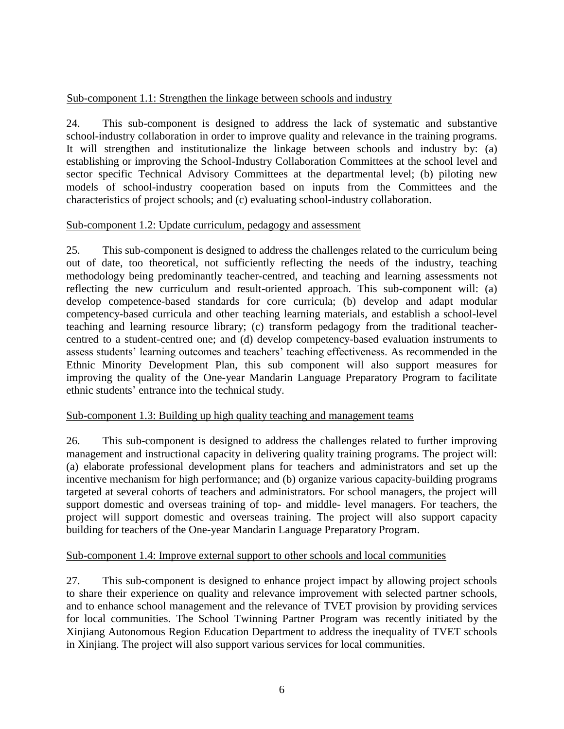### Sub-component 1.1: Strengthen the linkage between schools and industry

24. This sub-component is designed to address the lack of systematic and substantive school-industry collaboration in order to improve quality and relevance in the training programs. It will strengthen and institutionalize the linkage between schools and industry by: (a) establishing or improving the School-Industry Collaboration Committees at the school level and sector specific Technical Advisory Committees at the departmental level; (b) piloting new models of school-industry cooperation based on inputs from the Committees and the characteristics of project schools; and (c) evaluating school-industry collaboration.

#### Sub-component 1.2: Update curriculum, pedagogy and assessment

25. This sub-component is designed to address the challenges related to the curriculum being out of date, too theoretical, not sufficiently reflecting the needs of the industry, teaching methodology being predominantly teacher-centred, and teaching and learning assessments not reflecting the new curriculum and result-oriented approach. This sub-component will: (a) develop competence-based standards for core curricula; (b) develop and adapt modular competency-based curricula and other teaching learning materials, and establish a school-level teaching and learning resource library; (c) transform pedagogy from the traditional teachercentred to a student-centred one; and (d) develop competency-based evaluation instruments to assess students' learning outcomes and teachers' teaching effectiveness. As recommended in the Ethnic Minority Development Plan, this sub component will also support measures for improving the quality of the One-year Mandarin Language Preparatory Program to facilitate ethnic students' entrance into the technical study.

### Sub-component 1.3: Building up high quality teaching and management teams

26. This sub-component is designed to address the challenges related to further improving management and instructional capacity in delivering quality training programs. The project will: (a) elaborate professional development plans for teachers and administrators and set up the incentive mechanism for high performance; and (b) organize various capacity-building programs targeted at several cohorts of teachers and administrators. For school managers, the project will support domestic and overseas training of top- and middle- level managers. For teachers, the project will support domestic and overseas training. The project will also support capacity building for teachers of the One-year Mandarin Language Preparatory Program.

#### Sub-component 1.4: Improve external support to other schools and local communities

27. This sub-component is designed to enhance project impact by allowing project schools to share their experience on quality and relevance improvement with selected partner schools, and to enhance school management and the relevance of TVET provision by providing services for local communities. The School Twinning Partner Program was recently initiated by the Xinjiang Autonomous Region Education Department to address the inequality of TVET schools in Xinjiang. The project will also support various services for local communities.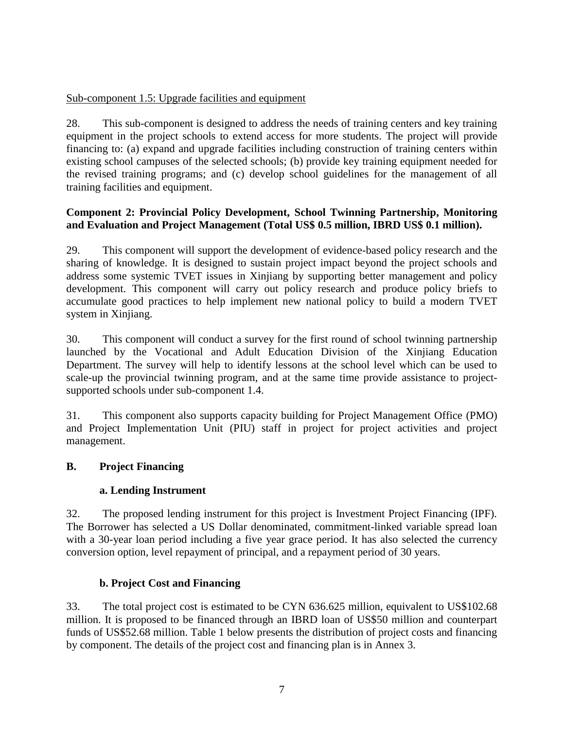### Sub-component 1.5: Upgrade facilities and equipment

28. This sub-component is designed to address the needs of training centers and key training equipment in the project schools to extend access for more students. The project will provide financing to: (a) expand and upgrade facilities including construction of training centers within existing school campuses of the selected schools; (b) provide key training equipment needed for the revised training programs; and (c) develop school guidelines for the management of all training facilities and equipment.

### **Component 2: Provincial Policy Development, School Twinning Partnership, Monitoring and Evaluation and Project Management (Total US\$ 0.5 million, IBRD US\$ 0.1 million).**

29. This component will support the development of evidence-based policy research and the sharing of knowledge. It is designed to sustain project impact beyond the project schools and address some systemic TVET issues in Xinjiang by supporting better management and policy development. This component will carry out policy research and produce policy briefs to accumulate good practices to help implement new national policy to build a modern TVET system in Xinjiang.

30. This component will conduct a survey for the first round of school twinning partnership launched by the Vocational and Adult Education Division of the Xinjiang Education Department. The survey will help to identify lessons at the school level which can be used to scale-up the provincial twinning program, and at the same time provide assistance to projectsupported schools under sub-component 1.4.

31. This component also supports capacity building for Project Management Office (PMO) and Project Implementation Unit (PIU) staff in project for project activities and project management.

## **B. Project Financing**

## **a. Lending Instrument**

32. The proposed lending instrument for this project is Investment Project Financing (IPF). The Borrower has selected a US Dollar denominated, commitment-linked variable spread loan with a 30-year loan period including a five year grace period. It has also selected the currency conversion option, level repayment of principal, and a repayment period of 30 years.

### **b. Project Cost and Financing**

33. The total project cost is estimated to be CYN 636.625 million, equivalent to US\$102.68 million. It is proposed to be financed through an IBRD loan of US\$50 million and counterpart funds of US\$52.68 million. Table 1 below presents the distribution of project costs and financing by component. The details of the project cost and financing plan is in Annex 3.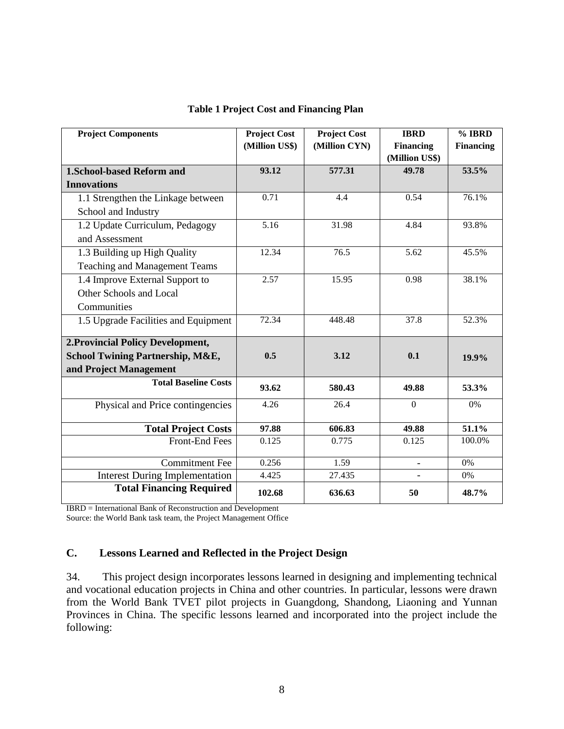| <b>Project Components</b>                   | <b>Project Cost</b><br>(Million US\$) | <b>Project Cost</b><br>(Million CYN) | <b>IBRD</b><br><b>Financing</b><br>(Million US\$) | % IBRD<br><b>Financing</b> |
|---------------------------------------------|---------------------------------------|--------------------------------------|---------------------------------------------------|----------------------------|
| <b>1.School-based Reform and</b>            | 93.12                                 | 577.31                               | 49.78                                             | 53.5%                      |
| <b>Innovations</b>                          |                                       |                                      |                                                   |                            |
| 1.1 Strengthen the Linkage between          | 0.71                                  | 4.4                                  | 0.54                                              | 76.1%                      |
| School and Industry                         |                                       |                                      |                                                   |                            |
| 1.2 Update Curriculum, Pedagogy             | 5.16                                  | 31.98                                | 4.84                                              | 93.8%                      |
| and Assessment                              |                                       |                                      |                                                   |                            |
| 1.3 Building up High Quality                | 12.34                                 | 76.5                                 | 5.62                                              | 45.5%                      |
| <b>Teaching and Management Teams</b>        |                                       |                                      |                                                   |                            |
| 1.4 Improve External Support to             | 2.57                                  | 15.95                                | 0.98                                              | 38.1%                      |
| Other Schools and Local                     |                                       |                                      |                                                   |                            |
| Communities                                 |                                       |                                      |                                                   |                            |
| 1.5 Upgrade Facilities and Equipment        | 72.34                                 | 448.48                               | 37.8                                              | 52.3%                      |
| 2. Provincial Policy Development,           |                                       |                                      |                                                   |                            |
| <b>School Twining Partnership, M&amp;E,</b> | 0.5                                   | 3.12                                 | 0.1                                               | 19.9%                      |
| and Project Management                      |                                       |                                      |                                                   |                            |
| <b>Total Baseline Costs</b>                 | 93.62                                 | 580.43                               | 49.88                                             | 53.3%                      |
| Physical and Price contingencies            | 4.26                                  | 26.4                                 | $\Omega$                                          | 0%                         |
| <b>Total Project Costs</b>                  | 97.88                                 | 606.83                               | 49.88                                             | 51.1%                      |
| <b>Front-End Fees</b>                       | 0.125                                 | 0.775                                | 0.125                                             | 100.0%                     |
| <b>Commitment Fee</b>                       | 0.256                                 | 1.59                                 |                                                   | $0\%$                      |
| <b>Interest During Implementation</b>       | 4.425                                 | 27.435                               |                                                   | 0%                         |
| <b>Total Financing Required</b>             | 102.68                                | 636.63                               | 50                                                | 48.7%                      |

#### **Table 1 Project Cost and Financing Plan**

IBRD = International Bank of Reconstruction and Development Source: the World Bank task team, the Project Management Office

## **C. Lessons Learned and Reflected in the Project Design**

34. This project design incorporates lessons learned in designing and implementing technical and vocational education projects in China and other countries. In particular, lessons were drawn from the World Bank TVET pilot projects in Guangdong, Shandong, Liaoning and Yunnan Provinces in China. The specific lessons learned and incorporated into the project include the following: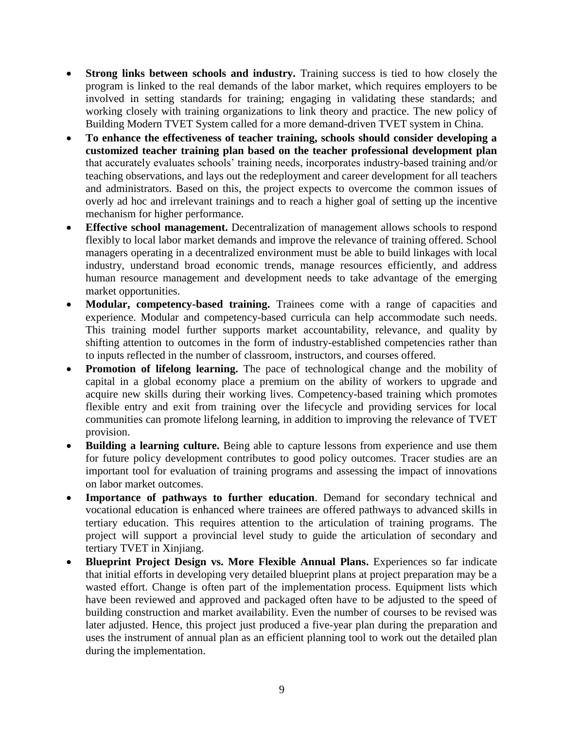- **Strong links between schools and industry.** Training success is tied to how closely the program is linked to the real demands of the labor market, which requires employers to be involved in setting standards for training; engaging in validating these standards; and working closely with training organizations to link theory and practice. The new policy of Building Modern TVET System called for a more demand-driven TVET system in China.
- **To enhance the effectiveness of teacher training, schools should consider developing a customized teacher training plan based on the teacher professional development plan** that accurately evaluates schools' training needs, incorporates industry-based training and/or teaching observations, and lays out the redeployment and career development for all teachers and administrators. Based on this, the project expects to overcome the common issues of overly ad hoc and irrelevant trainings and to reach a higher goal of setting up the incentive mechanism for higher performance.
- **Effective school management.** Decentralization of management allows schools to respond flexibly to local labor market demands and improve the relevance of training offered. School managers operating in a decentralized environment must be able to build linkages with local industry, understand broad economic trends, manage resources efficiently, and address human resource management and development needs to take advantage of the emerging market opportunities.
- **Modular, competency-based training.** Trainees come with a range of capacities and experience. Modular and competency-based curricula can help accommodate such needs. This training model further supports market accountability, relevance, and quality by shifting attention to outcomes in the form of industry-established competencies rather than to inputs reflected in the number of classroom, instructors, and courses offered.
- **Promotion of lifelong learning.** The pace of technological change and the mobility of capital in a global economy place a premium on the ability of workers to upgrade and acquire new skills during their working lives. Competency-based training which promotes flexible entry and exit from training over the lifecycle and providing services for local communities can promote lifelong learning, in addition to improving the relevance of TVET provision.
- **Building a learning culture.** Being able to capture lessons from experience and use them for future policy development contributes to good policy outcomes. Tracer studies are an important tool for evaluation of training programs and assessing the impact of innovations on labor market outcomes.
- **Importance of pathways to further education**. Demand for secondary technical and vocational education is enhanced where trainees are offered pathways to advanced skills in tertiary education. This requires attention to the articulation of training programs. The project will support a provincial level study to guide the articulation of secondary and tertiary TVET in Xinjiang.
- **Blueprint Project Design vs. More Flexible Annual Plans.** Experiences so far indicate that initial efforts in developing very detailed blueprint plans at project preparation may be a wasted effort. Change is often part of the implementation process. Equipment lists which have been reviewed and approved and packaged often have to be adjusted to the speed of building construction and market availability. Even the number of courses to be revised was later adjusted. Hence, this project just produced a five-year plan during the preparation and uses the instrument of annual plan as an efficient planning tool to work out the detailed plan during the implementation.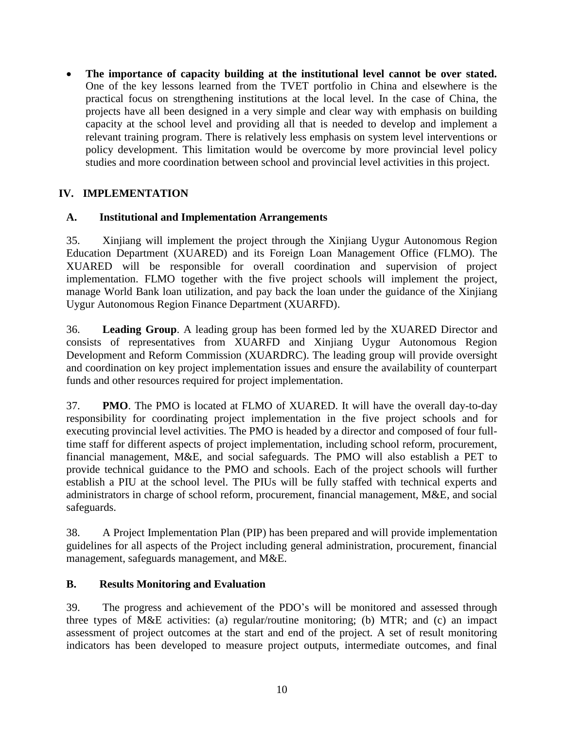**The importance of capacity building at the institutional level cannot be over stated.**  One of the key lessons learned from the TVET portfolio in China and elsewhere is the practical focus on strengthening institutions at the local level. In the case of China, the projects have all been designed in a very simple and clear way with emphasis on building capacity at the school level and providing all that is needed to develop and implement a relevant training program. There is relatively less emphasis on system level interventions or policy development. This limitation would be overcome by more provincial level policy studies and more coordination between school and provincial level activities in this project.

## **IV. IMPLEMENTATION**

#### **A. Institutional and Implementation Arrangements**

35. Xinjiang will implement the project through the Xinjiang Uygur Autonomous Region Education Department (XUARED) and its Foreign Loan Management Office (FLMO). The XUARED will be responsible for overall coordination and supervision of project implementation. FLMO together with the five project schools will implement the project, manage World Bank loan utilization, and pay back the loan under the guidance of the Xinjiang Uygur Autonomous Region Finance Department (XUARFD).

36. **Leading Group**. A leading group has been formed led by the XUARED Director and consists of representatives from XUARFD and Xinjiang Uygur Autonomous Region Development and Reform Commission (XUARDRC). The leading group will provide oversight and coordination on key project implementation issues and ensure the availability of counterpart funds and other resources required for project implementation.

37. **PMO**. The PMO is located at FLMO of XUARED. It will have the overall day-to-day responsibility for coordinating project implementation in the five project schools and for executing provincial level activities. The PMO is headed by a director and composed of four fulltime staff for different aspects of project implementation, including school reform, procurement, financial management, M&E, and social safeguards. The PMO will also establish a PET to provide technical guidance to the PMO and schools. Each of the project schools will further establish a PIU at the school level. The PIUs will be fully staffed with technical experts and administrators in charge of school reform, procurement, financial management, M&E, and social safeguards.

38. A Project Implementation Plan (PIP) has been prepared and will provide implementation guidelines for all aspects of the Project including general administration, procurement, financial management, safeguards management, and M&E.

### **B. Results Monitoring and Evaluation**

39. The progress and achievement of the PDO's will be monitored and assessed through three types of M&E activities: (a) regular/routine monitoring; (b) MTR; and (c) an impact assessment of project outcomes at the start and end of the project*.* A set of result monitoring indicators has been developed to measure project outputs, intermediate outcomes, and final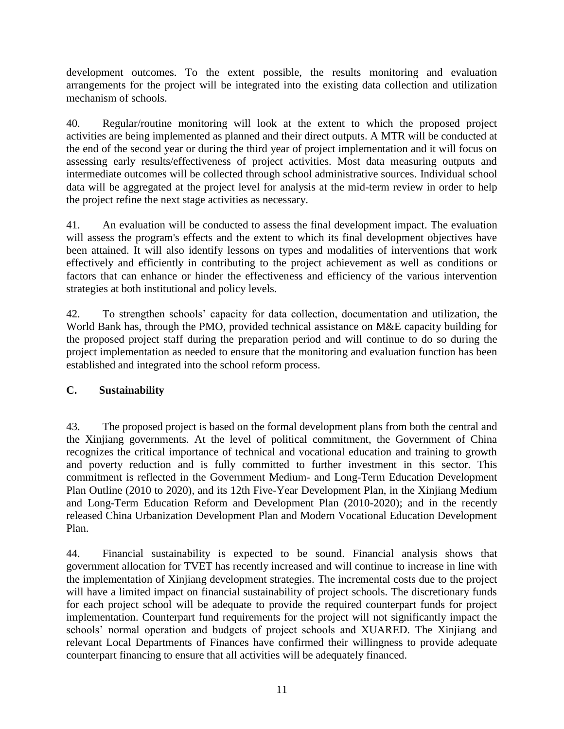development outcomes. To the extent possible, the results monitoring and evaluation arrangements for the project will be integrated into the existing data collection and utilization mechanism of schools.

40. Regular/routine monitoring will look at the extent to which the proposed project activities are being implemented as planned and their direct outputs. A MTR will be conducted at the end of the second year or during the third year of project implementation and it will focus on assessing early results/effectiveness of project activities. Most data measuring outputs and intermediate outcomes will be collected through school administrative sources. Individual school data will be aggregated at the project level for analysis at the mid-term review in order to help the project refine the next stage activities as necessary.

41. An evaluation will be conducted to assess the final development impact. The evaluation will assess the program's effects and the extent to which its final development objectives have been attained. It will also identify lessons on types and modalities of interventions that work effectively and efficiently in contributing to the project achievement as well as conditions or factors that can enhance or hinder the effectiveness and efficiency of the various intervention strategies at both institutional and policy levels.

42. To strengthen schools' capacity for data collection, documentation and utilization, the World Bank has, through the PMO, provided technical assistance on M&E capacity building for the proposed project staff during the preparation period and will continue to do so during the project implementation as needed to ensure that the monitoring and evaluation function has been established and integrated into the school reform process.

## **C. Sustainability**

43. The proposed project is based on the formal development plans from both the central and the Xinjiang governments. At the level of political commitment, the Government of China recognizes the critical importance of technical and vocational education and training to growth and poverty reduction and is fully committed to further investment in this sector. This commitment is reflected in the Government Medium- and Long-Term Education Development Plan Outline (2010 to 2020), and its 12th Five-Year Development Plan, in the Xinjiang Medium and Long-Term Education Reform and Development Plan (2010-2020); and in the recently released China Urbanization Development Plan and Modern Vocational Education Development Plan.

44. Financial sustainability is expected to be sound. Financial analysis shows that government allocation for TVET has recently increased and will continue to increase in line with the implementation of Xinjiang development strategies. The incremental costs due to the project will have a limited impact on financial sustainability of project schools. The discretionary funds for each project school will be adequate to provide the required counterpart funds for project implementation. Counterpart fund requirements for the project will not significantly impact the schools' normal operation and budgets of project schools and XUARED. The Xinjiang and relevant Local Departments of Finances have confirmed their willingness to provide adequate counterpart financing to ensure that all activities will be adequately financed.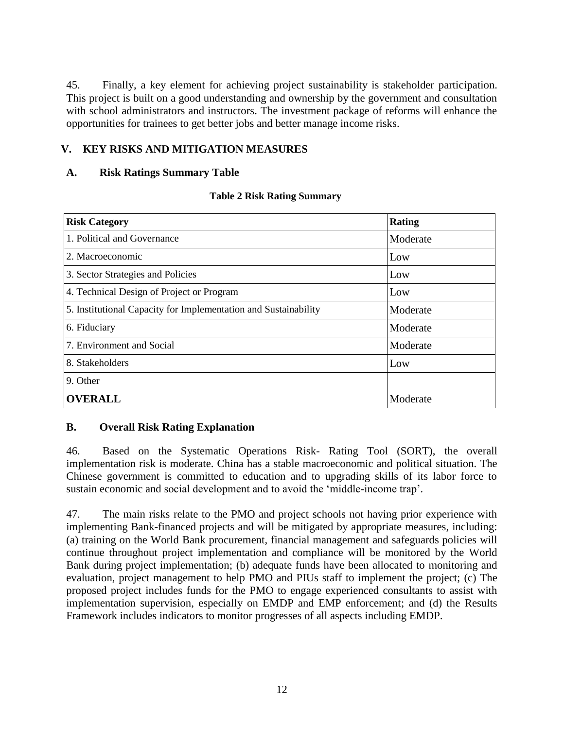45. Finally, a key element for achieving project sustainability is stakeholder participation. This project is built on a good understanding and ownership by the government and consultation with school administrators and instructors. The investment package of reforms will enhance the opportunities for trainees to get better jobs and better manage income risks.

## **V. KEY RISKS AND MITIGATION MEASURES**

### **A. Risk Ratings Summary Table**

#### **Table 2 Risk Rating Summary**

| <b>Risk Category</b>                                            | Rating   |
|-----------------------------------------------------------------|----------|
| 1. Political and Governance                                     | Moderate |
| 2. Macroeconomic                                                | Low      |
| 3. Sector Strategies and Policies                               | Low      |
| 4. Technical Design of Project or Program                       | Low      |
| 5. Institutional Capacity for Implementation and Sustainability | Moderate |
| 6. Fiduciary                                                    | Moderate |
| 7. Environment and Social                                       | Moderate |
| 8. Stakeholders                                                 | Low      |
| 9. Other                                                        |          |
| <b>OVERALL</b>                                                  | Moderate |

### **B. Overall Risk Rating Explanation**

46. Based on the Systematic Operations Risk- Rating Tool (SORT), the overall implementation risk is moderate. China has a stable macroeconomic and political situation. The Chinese government is committed to education and to upgrading skills of its labor force to sustain economic and social development and to avoid the 'middle-income trap'.

47. The main risks relate to the PMO and project schools not having prior experience with implementing Bank-financed projects and will be mitigated by appropriate measures, including: (a) training on the World Bank procurement, financial management and safeguards policies will continue throughout project implementation and compliance will be monitored by the World Bank during project implementation; (b) adequate funds have been allocated to monitoring and evaluation, project management to help PMO and PIUs staff to implement the project; (c) The proposed project includes funds for the PMO to engage experienced consultants to assist with implementation supervision, especially on EMDP and EMP enforcement; and (d) the Results Framework includes indicators to monitor progresses of all aspects including EMDP.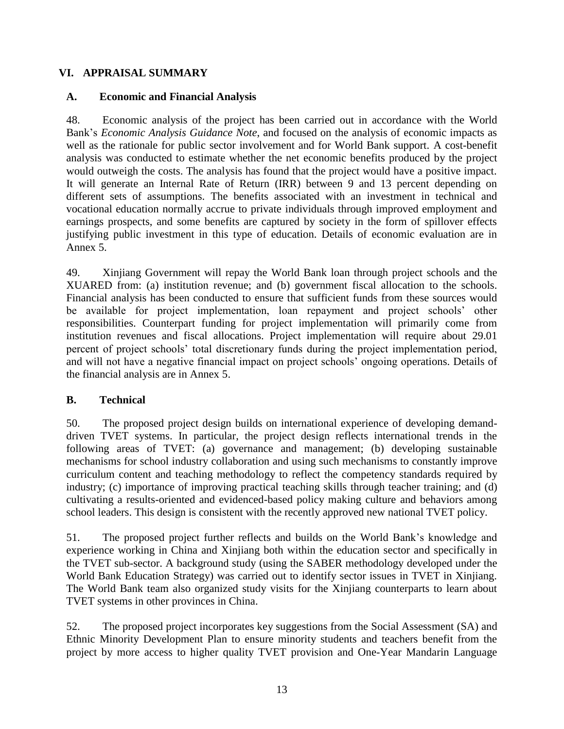### **VI. APPRAISAL SUMMARY**

#### **A. Economic and Financial Analysis**

48. Economic analysis of the project has been carried out in accordance with the World Bank's *Economic Analysis Guidance Note*, and focused on the analysis of economic impacts as well as the rationale for public sector involvement and for World Bank support. A cost-benefit analysis was conducted to estimate whether the net economic benefits produced by the project would outweigh the costs. The analysis has found that the project would have a positive impact. It will generate an Internal Rate of Return (IRR) between 9 and 13 percent depending on different sets of assumptions. The benefits associated with an investment in technical and vocational education normally accrue to private individuals through improved employment and earnings prospects, and some benefits are captured by society in the form of spillover effects justifying public investment in this type of education. Details of economic evaluation are in Annex 5.

49. Xinjiang Government will repay the World Bank loan through project schools and the XUARED from: (a) institution revenue; and (b) government fiscal allocation to the schools. Financial analysis has been conducted to ensure that sufficient funds from these sources would be available for project implementation, loan repayment and project schools' other responsibilities. Counterpart funding for project implementation will primarily come from institution revenues and fiscal allocations. Project implementation will require about 29.01 percent of project schools' total discretionary funds during the project implementation period, and will not have a negative financial impact on project schools' ongoing operations. Details of the financial analysis are in Annex 5.

### **B. Technical**

50. The proposed project design builds on international experience of developing demanddriven TVET systems. In particular, the project design reflects international trends in the following areas of TVET: (a) governance and management; (b) developing sustainable mechanisms for school industry collaboration and using such mechanisms to constantly improve curriculum content and teaching methodology to reflect the competency standards required by industry; (c) importance of improving practical teaching skills through teacher training; and (d) cultivating a results-oriented and evidenced-based policy making culture and behaviors among school leaders. This design is consistent with the recently approved new national TVET policy.

51. The proposed project further reflects and builds on the World Bank's knowledge and experience working in China and Xinjiang both within the education sector and specifically in the TVET sub-sector. A background study (using the SABER methodology developed under the World Bank Education Strategy) was carried out to identify sector issues in TVET in Xinjiang. The World Bank team also organized study visits for the Xinjiang counterparts to learn about TVET systems in other provinces in China.

52. The proposed project incorporates key suggestions from the Social Assessment (SA) and Ethnic Minority Development Plan to ensure minority students and teachers benefit from the project by more access to higher quality TVET provision and One-Year Mandarin Language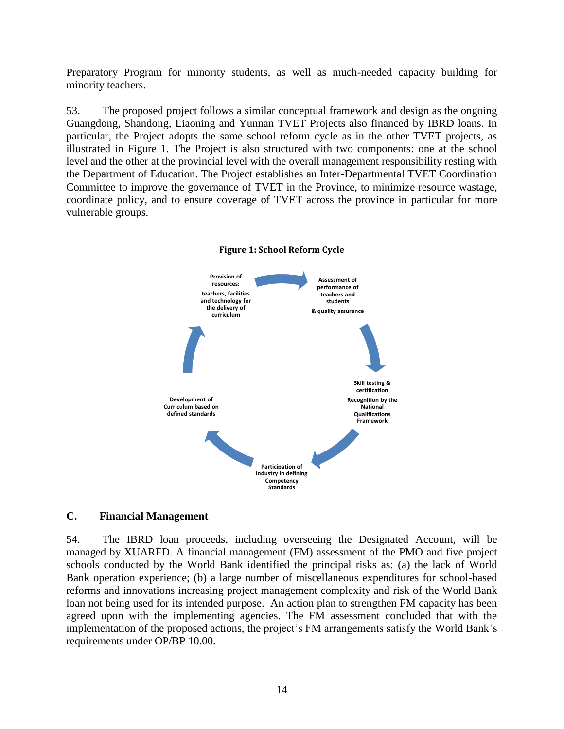Preparatory Program for minority students, as well as much-needed capacity building for minority teachers.

53. The proposed project follows a similar conceptual framework and design as the ongoing Guangdong, Shandong, Liaoning and Yunnan TVET Projects also financed by IBRD loans. In particular, the Project adopts the same school reform cycle as in the other TVET projects, as illustrated in Figure 1. The Project is also structured with two components: one at the school level and the other at the provincial level with the overall management responsibility resting with the Department of Education. The Project establishes an Inter-Departmental TVET Coordination Committee to improve the governance of TVET in the Province, to minimize resource wastage, coordinate policy, and to ensure coverage of TVET across the province in particular for more vulnerable groups.



#### **Figure 1: School Reform Cycle**

#### **C. Financial Management**

54. The IBRD loan proceeds, including overseeing the Designated Account, will be managed by XUARFD. A financial management (FM) assessment of the PMO and five project schools conducted by the World Bank identified the principal risks as: (a) the lack of World Bank operation experience; (b) a large number of miscellaneous expenditures for school-based reforms and innovations increasing project management complexity and risk of the World Bank loan not being used for its intended purpose. An action plan to strengthen FM capacity has been agreed upon with the implementing agencies. The FM assessment concluded that with the implementation of the proposed actions, the project's FM arrangements satisfy the World Bank's requirements under OP/BP 10.00.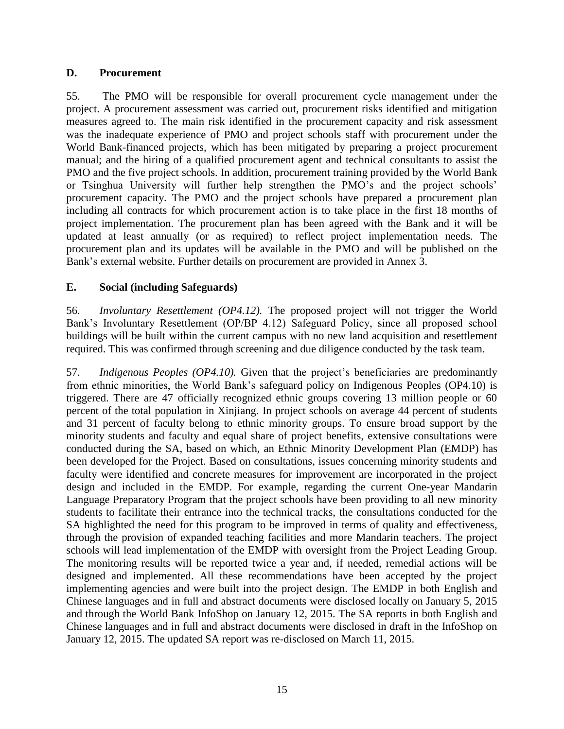#### **D. Procurement**

55. The PMO will be responsible for overall procurement cycle management under the project. A procurement assessment was carried out, procurement risks identified and mitigation measures agreed to. The main risk identified in the procurement capacity and risk assessment was the inadequate experience of PMO and project schools staff with procurement under the World Bank-financed projects, which has been mitigated by preparing a project procurement manual; and the hiring of a qualified procurement agent and technical consultants to assist the PMO and the five project schools. In addition, procurement training provided by the World Bank or Tsinghua University will further help strengthen the PMO's and the project schools' procurement capacity. The PMO and the project schools have prepared a procurement plan including all contracts for which procurement action is to take place in the first 18 months of project implementation. The procurement plan has been agreed with the Bank and it will be updated at least annually (or as required) to reflect project implementation needs. The procurement plan and its updates will be available in the PMO and will be published on the Bank's external website. Further details on procurement are provided in Annex 3.

#### **E. Social (including Safeguards)**

56. *Involuntary Resettlement (OP4.12).* The proposed project will not trigger the World Bank's Involuntary Resettlement (OP/BP 4.12) Safeguard Policy, since all proposed school buildings will be built within the current campus with no new land acquisition and resettlement required. This was confirmed through screening and due diligence conducted by the task team.

57. *Indigenous Peoples (OP4.10).* Given that the project's beneficiaries are predominantly from ethnic minorities, the World Bank's safeguard policy on Indigenous Peoples (OP4.10) is triggered. There are 47 officially recognized ethnic groups covering 13 million people or 60 percent of the total population in Xinjiang. In project schools on average 44 percent of students and 31 percent of faculty belong to ethnic minority groups. To ensure broad support by the minority students and faculty and equal share of project benefits, extensive consultations were conducted during the SA, based on which, an Ethnic Minority Development Plan (EMDP) has been developed for the Project. Based on consultations, issues concerning minority students and faculty were identified and concrete measures for improvement are incorporated in the project design and included in the EMDP. For example, regarding the current One-year Mandarin Language Preparatory Program that the project schools have been providing to all new minority students to facilitate their entrance into the technical tracks, the consultations conducted for the SA highlighted the need for this program to be improved in terms of quality and effectiveness, through the provision of expanded teaching facilities and more Mandarin teachers. The project schools will lead implementation of the EMDP with oversight from the Project Leading Group. The monitoring results will be reported twice a year and, if needed, remedial actions will be designed and implemented. All these recommendations have been accepted by the project implementing agencies and were built into the project design. The EMDP in both English and Chinese languages and in full and abstract documents were disclosed locally on January 5, 2015 and through the World Bank InfoShop on January 12, 2015. The SA reports in both English and Chinese languages and in full and abstract documents were disclosed in draft in the InfoShop on January 12, 2015. The updated SA report was re-disclosed on March 11, 2015.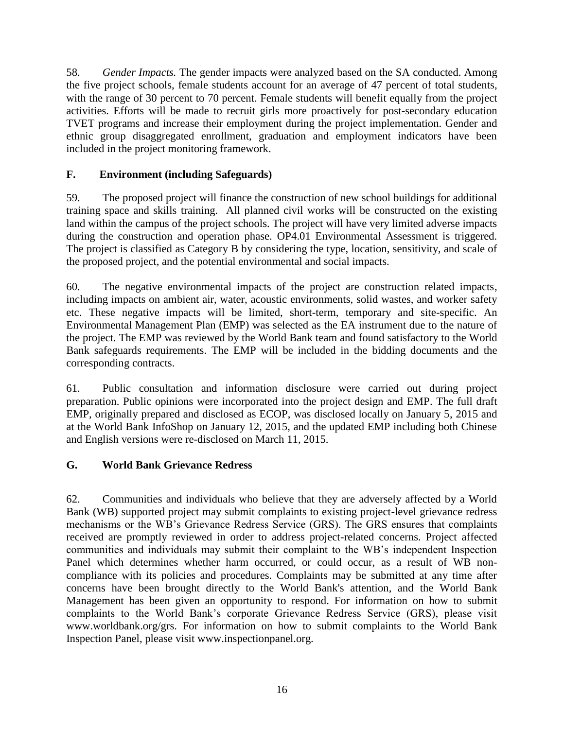58. *Gender Impacts.* The gender impacts were analyzed based on the SA conducted. Among the five project schools, female students account for an average of 47 percent of total students, with the range of 30 percent to 70 percent. Female students will benefit equally from the project activities. Efforts will be made to recruit girls more proactively for post-secondary education TVET programs and increase their employment during the project implementation. Gender and ethnic group disaggregated enrollment, graduation and employment indicators have been included in the project monitoring framework.

## **F. Environment (including Safeguards)**

59. The proposed project will finance the construction of new school buildings for additional training space and skills training. All planned civil works will be constructed on the existing land within the campus of the project schools. The project will have very limited adverse impacts during the construction and operation phase. OP4.01 Environmental Assessment is triggered. The project is classified as Category B by considering the type, location, sensitivity, and scale of the proposed project, and the potential environmental and social impacts.

60. The negative environmental impacts of the project are construction related impacts, including impacts on ambient air, water, acoustic environments, solid wastes, and worker safety etc. These negative impacts will be limited, short-term, temporary and site-specific. An Environmental Management Plan (EMP) was selected as the EA instrument due to the nature of the project. The EMP was reviewed by the World Bank team and found satisfactory to the World Bank safeguards requirements. The EMP will be included in the bidding documents and the corresponding contracts.

61. Public consultation and information disclosure were carried out during project preparation. Public opinions were incorporated into the project design and EMP. The full draft EMP, originally prepared and disclosed as ECOP, was disclosed locally on January 5, 2015 and at the World Bank InfoShop on January 12, 2015, and the updated EMP including both Chinese and English versions were re-disclosed on March 11, 2015.

### **G. World Bank Grievance Redress**

62. Communities and individuals who believe that they are adversely affected by a World Bank (WB) supported project may submit complaints to existing project-level grievance redress mechanisms or the WB's Grievance Redress Service (GRS). The GRS ensures that complaints received are promptly reviewed in order to address project-related concerns. Project affected communities and individuals may submit their complaint to the WB's independent Inspection Panel which determines whether harm occurred, or could occur, as a result of WB noncompliance with its policies and procedures. Complaints may be submitted at any time after concerns have been brought directly to the World Bank's attention, and the World Bank Management has been given an opportunity to respond. For information on how to submit complaints to the World Bank's corporate Grievance Redress Service (GRS), please visit [www.worldbank.org/grs.](http://www.worldbank.org/grs) For information on how to submit complaints to the World Bank Inspection Panel, please visit [www.inspectionpanel.org.](http://www.inspectionpanel.org/)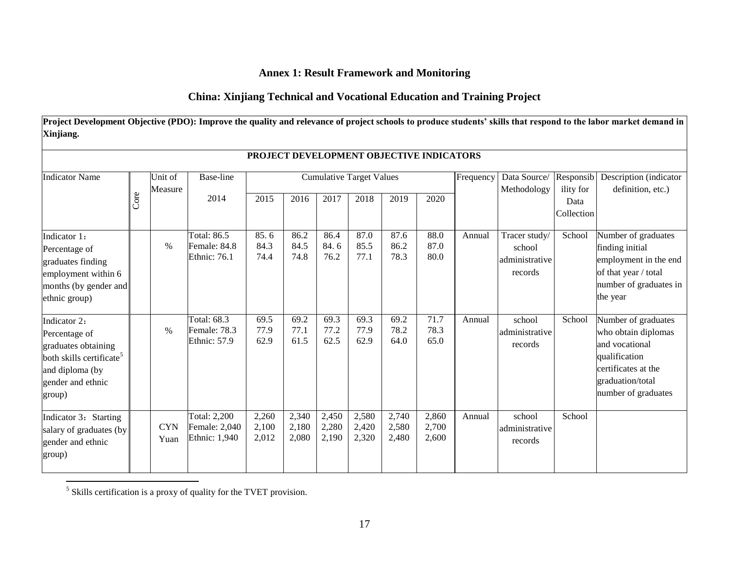### **Annex 1: Result Framework and Monitoring**

#### **China: Xinjiang Technical and Vocational Education and Training Project**

**Project Development Objective (PDO): Improve the quality and relevance of project schools to produce students' skills that respond to the labor market demand in Xinjiang.**

|                                                                                                                                                | PROJECT DEVELOPMENT OBJECTIVE INDICATORS |                    |                                                       |                         |                         |                         |                                    |                         |                         |           |                                                      |                        |                                                                                                                                                 |
|------------------------------------------------------------------------------------------------------------------------------------------------|------------------------------------------|--------------------|-------------------------------------------------------|-------------------------|-------------------------|-------------------------|------------------------------------|-------------------------|-------------------------|-----------|------------------------------------------------------|------------------------|-------------------------------------------------------------------------------------------------------------------------------------------------|
| <b>Indicator Name</b>                                                                                                                          |                                          | Unit of<br>Measure | Base-line                                             |                         |                         |                         | <b>Cumulative Target Values</b>    |                         |                         | Frequency | Data Source/<br>Methodology                          | Responsib<br>ility for | Description (indicator<br>definition, etc.)                                                                                                     |
|                                                                                                                                                | Core                                     |                    | 2014                                                  | 2015                    | 2016                    | 2017                    | 2018                               | 2019                    | 2020                    |           |                                                      | Data<br>Collection     |                                                                                                                                                 |
| Indicator 1:<br>Percentage of<br>graduates finding<br>employment within 6<br>months (by gender and<br>ethnic group)                            |                                          | $\%$               | <b>Total: 86.5</b><br>Female: 84.8<br>Ethnic: 76.1    | 85.6<br>84.3<br>74.4    | 86.2<br>84.5<br>74.8    | 86.4<br>84.6<br>76.2    | $\overline{8}$ 7.0<br>85.5<br>77.1 | 87.6<br>86.2<br>78.3    | 88.0<br>87.0<br>80.0    | Annual    | Tracer study/<br>school<br>administrative<br>records | School                 | Number of graduates<br>finding initial<br>employment in the end<br>of that year / total<br>number of graduates in<br>the year                   |
| Indicator 2:<br>Percentage of<br>graduates obtaining<br>both skills certificate <sup>5</sup><br>and diploma (by<br>gender and ethnic<br>group) |                                          | $\%$               | Total: 68.3<br>Female: 78.3<br><b>Ethnic: 57.9</b>    | 69.5<br>77.9<br>62.9    | 69.2<br>77.1<br>61.5    | 69.3<br>77.2<br>62.5    | 69.3<br>77.9<br>62.9               | 69.2<br>78.2<br>64.0    | 71.7<br>78.3<br>65.0    | Annual    | school<br>administrative<br>records                  | School                 | Number of graduates<br>who obtain diplomas<br>and vocational<br>qualification<br>certificates at the<br>graduation/total<br>number of graduates |
| Indicator 3: Starting<br>salary of graduates (by<br>gender and ethnic<br>group)                                                                |                                          | <b>CYN</b><br>Yuan | <b>Total: 2,200</b><br>Female: 2,040<br>Ethnic: 1,940 | 2,260<br>2,100<br>2,012 | 2,340<br>2,180<br>2,080 | 2,450<br>2,280<br>2,190 | 2,580<br>2,420<br>2,320            | 2,740<br>2,580<br>2,480 | 2,860<br>2,700<br>2,600 | Annual    | school<br>administrative<br>records                  | School                 |                                                                                                                                                 |

5 Skills certification is a proxy of quality for the TVET provision.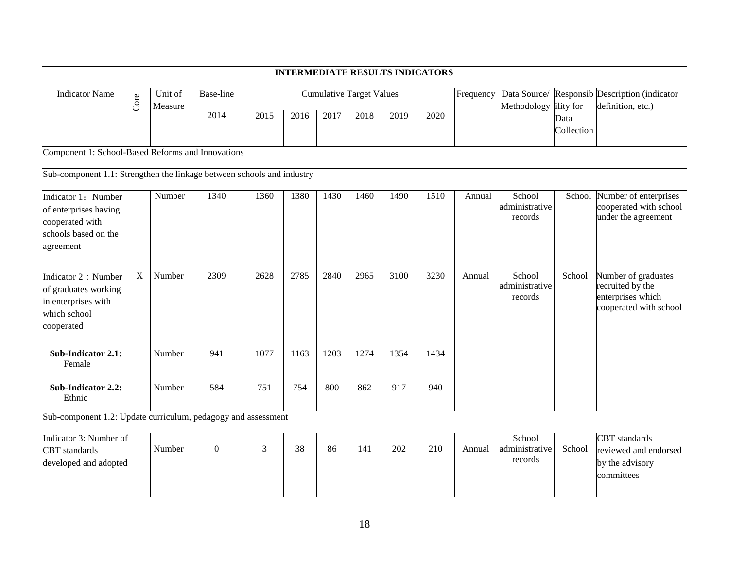|                                                                                                      |                                                   |                    |              |                  |      |      |                                 |      | <b>INTERMEDIATE RESULTS INDICATORS</b> |           |                                     |            |                                                                                        |
|------------------------------------------------------------------------------------------------------|---------------------------------------------------|--------------------|--------------|------------------|------|------|---------------------------------|------|----------------------------------------|-----------|-------------------------------------|------------|----------------------------------------------------------------------------------------|
| <b>Indicator Name</b>                                                                                | Core                                              | Unit of<br>Measure | Base-line    |                  |      |      | <b>Cumulative Target Values</b> |      |                                        | Frequency | Methodology                         | ility for  | Data Source/ Responsib Description (indicator<br>definition, etc.)                     |
|                                                                                                      |                                                   |                    | 2014         | 2015             | 2016 | 2017 | 2018                            | 2019 | 2020                                   |           |                                     | Data       |                                                                                        |
|                                                                                                      |                                                   |                    |              |                  |      |      |                                 |      |                                        |           |                                     | Collection |                                                                                        |
|                                                                                                      | Component 1: School-Based Reforms and Innovations |                    |              |                  |      |      |                                 |      |                                        |           |                                     |            |                                                                                        |
| Sub-component 1.1: Strengthen the linkage between schools and industry                               |                                                   |                    |              |                  |      |      |                                 |      |                                        |           |                                     |            |                                                                                        |
| Indicator 1: Number<br>of enterprises having<br>cooperated with<br>schools based on the<br>agreement |                                                   | Number             | 1340         | 1360             | 1380 | 1430 | 1460                            | 1490 | 1510                                   | Annual    | School<br>administrative<br>records | School     | Number of enterprises<br>cooperated with school<br>under the agreement                 |
| Indicator 2 : Number<br>of graduates working<br>in enterprises with<br>which school<br>cooperated    | X                                                 | Number             | 2309         | 2628             | 2785 | 2840 | 2965                            | 3100 | 3230                                   | Annual    | School<br>administrative<br>records | School     | Number of graduates<br>recruited by the<br>enterprises which<br>cooperated with school |
| Sub-Indicator 2.1:<br>Female                                                                         |                                                   | Number             | 941          | 1077             | 1163 | 1203 | 1274                            | 1354 | 1434                                   |           |                                     |            |                                                                                        |
| Sub-Indicator 2.2:<br>Ethnic                                                                         |                                                   | Number             | 584          | $\overline{751}$ | 754  | 800  | 862                             | 917  | 940                                    |           |                                     |            |                                                                                        |
| Sub-component 1.2: Update curriculum, pedagogy and assessment                                        |                                                   |                    |              |                  |      |      |                                 |      |                                        |           |                                     |            |                                                                                        |
| Indicator 3: Number of<br>CBT standards<br>developed and adopted                                     |                                                   | Number             | $\mathbf{0}$ | 3                | 38   | 86   | 141                             | 202  | 210                                    | Annual    | School<br>administrative<br>records | School     | <b>CBT</b> standards<br>reviewed and endorsed<br>by the advisory<br>committees         |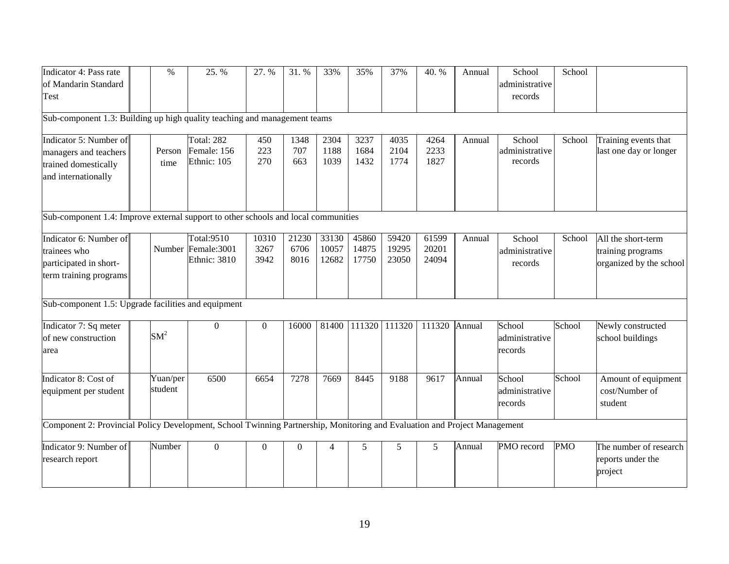| Indicator 4: Pass rate<br>of Mandarin Standard<br>Test                                                                    | $\%$                | 25. %                                                          | 27. %                 | 31.%                  | 33%                     | 35%                     | 37%                     | 40. %                   | Annual | School<br>administrative<br>records | School     |                                                                    |
|---------------------------------------------------------------------------------------------------------------------------|---------------------|----------------------------------------------------------------|-----------------------|-----------------------|-------------------------|-------------------------|-------------------------|-------------------------|--------|-------------------------------------|------------|--------------------------------------------------------------------|
| Sub-component 1.3: Building up high quality teaching and management teams                                                 |                     |                                                                |                       |                       |                         |                         |                         |                         |        |                                     |            |                                                                    |
| Indicator 5: Number of<br>managers and teachers<br>trained domestically<br>and internationally                            | Person<br>time      | Total: 282<br>Female: 156<br>Ethnic: 105                       | 450<br>223<br>270     | 1348<br>707<br>663    | 2304<br>1188<br>1039    | 3237<br>1684<br>1432    | 4035<br>2104<br>1774    | 4264<br>2233<br>1827    | Annual | School<br>administrative<br>records | School     | Training events that<br>last one day or longer                     |
| Sub-component 1.4: Improve external support to other schools and local communities                                        |                     |                                                                |                       |                       |                         |                         |                         |                         |        |                                     |            |                                                                    |
| Indicator 6: Number of<br>trainees who<br>participated in short-<br>term training programs                                |                     | <b>Total:9510</b><br>Number Female:3001<br><b>Ethnic: 3810</b> | 10310<br>3267<br>3942 | 21230<br>6706<br>8016 | 33130<br>10057<br>12682 | 45860<br>14875<br>17750 | 59420<br>19295<br>23050 | 61599<br>20201<br>24094 | Annual | School<br>administrative<br>records | School     | All the short-term<br>training programs<br>organized by the school |
| Sub-component 1.5: Upgrade facilities and equipment                                                                       |                     |                                                                |                       |                       |                         |                         |                         |                         |        |                                     |            |                                                                    |
| Indicator 7: Sq meter<br>of new construction<br>area                                                                      | SM <sup>2</sup>     | $\overline{0}$                                                 | $\overline{0}$        | 16000                 | 81400                   | 111320                  | 111320                  | 111320                  | Annual | School<br>administrative<br>records | School     | Newly constructed<br>school buildings                              |
| <b>Indicator 8: Cost of</b><br>equipment per student                                                                      | Yuan/per<br>student | 6500                                                           | 6654                  | 7278                  | 7669                    | 8445                    | 9188                    | 9617                    | Annual | School<br>administrative<br>records | School     | Amount of equipment<br>cost/Number of<br>student                   |
| Component 2: Provincial Policy Development, School Twinning Partnership, Monitoring and Evaluation and Project Management |                     |                                                                |                       |                       |                         |                         |                         |                         |        |                                     |            |                                                                    |
| Indicator 9: Number of<br>research report                                                                                 | Number              | $\boldsymbol{0}$                                               | 0                     | $\overline{0}$        | 4                       | 5                       | 5                       | 5                       | Annual | PMO record                          | <b>PMO</b> | The number of research<br>reports under the<br>project             |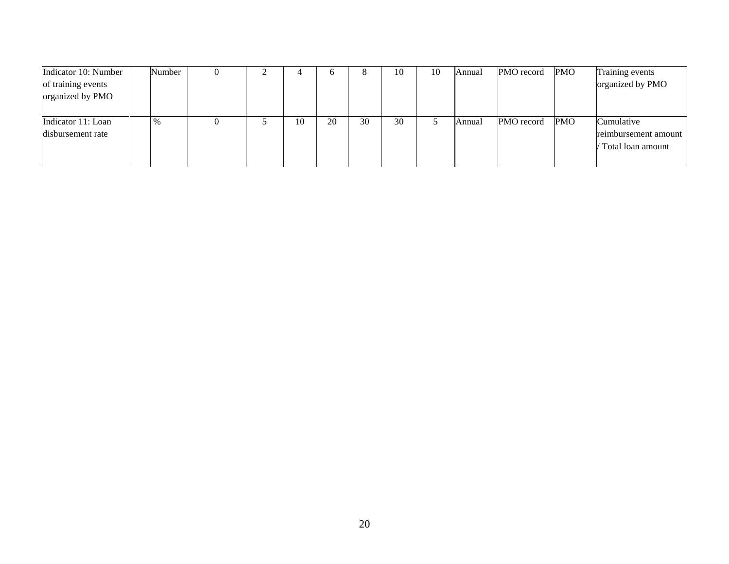| Indicator 10: Number | Number |  |    |    |    | 10 | 10 | Annual | PMO record | <b>PMO</b> | Training events      |
|----------------------|--------|--|----|----|----|----|----|--------|------------|------------|----------------------|
| of training events   |        |  |    |    |    |    |    |        |            |            | organized by PMO     |
| organized by PMO     |        |  |    |    |    |    |    |        |            |            |                      |
|                      |        |  |    |    |    |    |    |        |            |            |                      |
| Indicator 11: Loan   |        |  | 10 | 20 | 30 | 30 |    | Annual | PMO record | <b>PMO</b> | Cumulative           |
| disbursement rate    |        |  |    |    |    |    |    |        |            |            | reimbursement amount |
|                      |        |  |    |    |    |    |    |        |            |            | / Total loan amount  |
|                      |        |  |    |    |    |    |    |        |            |            |                      |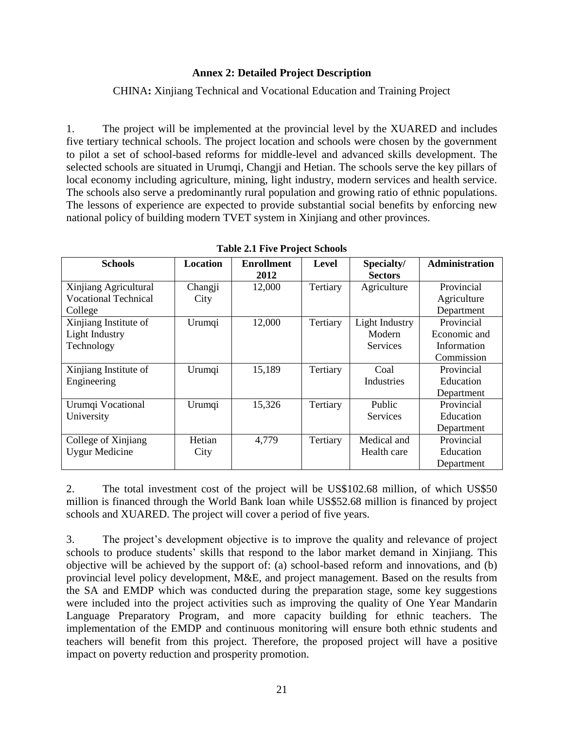#### **Annex 2: Detailed Project Description**

#### CHINA**:** Xinjiang Technical and Vocational Education and Training Project

1. The project will be implemented at the provincial level by the XUARED and includes five tertiary technical schools. The project location and schools were chosen by the government to pilot a set of school-based reforms for middle-level and advanced skills development. The selected schools are situated in Urumqi, Changji and Hetian. The schools serve the key pillars of local economy including agriculture, mining, light industry, modern services and health service. The schools also serve a predominantly rural population and growing ratio of ethnic populations. The lessons of experience are expected to provide substantial social benefits by enforcing new national policy of building modern TVET system in Xinjiang and other provinces.

| <b>Schools</b>              | <b>Location</b> | <b>Enrollment</b> | Level    | Specialty/      | <b>Administration</b> |
|-----------------------------|-----------------|-------------------|----------|-----------------|-----------------------|
|                             |                 | 2012              |          | <b>Sectors</b>  |                       |
| Xinjiang Agricultural       | Changji         | 12,000            | Tertiary | Agriculture     | Provincial            |
| <b>Vocational Technical</b> | City            |                   |          |                 | Agriculture           |
| College                     |                 |                   |          |                 | Department            |
| Xinjiang Institute of       | Urumqi          | 12,000            | Tertiary | Light Industry  | Provincial            |
| Light Industry              |                 |                   |          | Modern          | Economic and          |
| Technology                  |                 |                   |          | <b>Services</b> | Information           |
|                             |                 |                   |          |                 | Commission            |
| Xinjiang Institute of       | Urumqi          | 15,189            | Tertiary | Coal            | Provincial            |
| Engineering                 |                 |                   |          | Industries      | Education             |
|                             |                 |                   |          |                 | Department            |
| Urumqi Vocational           | Urumqi          | 15,326            | Tertiary | Public          | Provincial            |
| University                  |                 |                   |          | <b>Services</b> | <b>Education</b>      |
|                             |                 |                   |          |                 | Department            |
| College of Xinjiang         | Hetian          | 4,779             | Tertiary | Medical and     | Provincial            |
| <b>Uygur Medicine</b>       | City            |                   |          | Health care     | Education             |
|                             |                 |                   |          |                 | Department            |

**Table 2.1 Five Project Schools**

2. The total investment cost of the project will be US\$102.68 million, of which US\$50 million is financed through the World Bank loan while US\$52.68 million is financed by project schools and XUARED. The project will cover a period of five years.

3. The project's development objective is to improve the quality and relevance of project schools to produce students' skills that respond to the labor market demand in Xinjiang. This objective will be achieved by the support of: (a) school-based reform and innovations, and (b) provincial level policy development, M&E, and project management. Based on the results from the SA and EMDP which was conducted during the preparation stage, some key suggestions were included into the project activities such as improving the quality of One Year Mandarin Language Preparatory Program, and more capacity building for ethnic teachers. The implementation of the EMDP and continuous monitoring will ensure both ethnic students and teachers will benefit from this project. Therefore, the proposed project will have a positive impact on poverty reduction and prosperity promotion.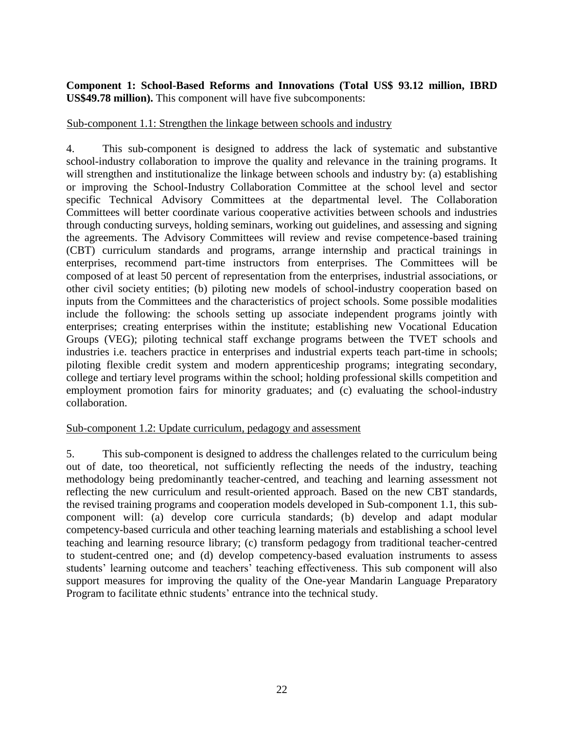#### **Component 1: School-Based Reforms and Innovations (Total US\$ 93.12 million, IBRD US\$49.78 million).** This component will have five subcomponents:

#### Sub-component 1.1: Strengthen the linkage between schools and industry

4. This sub-component is designed to address the lack of systematic and substantive school-industry collaboration to improve the quality and relevance in the training programs. It will strengthen and institutionalize the linkage between schools and industry by: (a) establishing or improving the School-Industry Collaboration Committee at the school level and sector specific Technical Advisory Committees at the departmental level. The Collaboration Committees will better coordinate various cooperative activities between schools and industries through conducting surveys, holding seminars, working out guidelines, and assessing and signing the agreements. The Advisory Committees will review and revise competence-based training (CBT) curriculum standards and programs, arrange internship and practical trainings in enterprises, recommend part-time instructors from enterprises. The Committees will be composed of at least 50 percent of representation from the enterprises, industrial associations, or other civil society entities; (b) piloting new models of school-industry cooperation based on inputs from the Committees and the characteristics of project schools. Some possible modalities include the following: the schools setting up associate independent programs jointly with enterprises; creating enterprises within the institute; establishing new Vocational Education Groups (VEG); piloting technical staff exchange programs between the TVET schools and industries i.e. teachers practice in enterprises and industrial experts teach part-time in schools; piloting flexible credit system and modern apprenticeship programs; integrating secondary, college and tertiary level programs within the school; holding professional skills competition and employment promotion fairs for minority graduates; and (c) evaluating the school-industry collaboration.

#### Sub-component 1.2: Update curriculum, pedagogy and assessment

5. This sub-component is designed to address the challenges related to the curriculum being out of date, too theoretical, not sufficiently reflecting the needs of the industry, teaching methodology being predominantly teacher-centred, and teaching and learning assessment not reflecting the new curriculum and result-oriented approach. Based on the new CBT standards, the revised training programs and cooperation models developed in Sub-component 1.1, this subcomponent will: (a) develop core curricula standards; (b) develop and adapt modular competency-based curricula and other teaching learning materials and establishing a school level teaching and learning resource library; (c) transform pedagogy from traditional teacher-centred to student-centred one; and (d) develop competency-based evaluation instruments to assess students' learning outcome and teachers' teaching effectiveness. This sub component will also support measures for improving the quality of the One-year Mandarin Language Preparatory Program to facilitate ethnic students' entrance into the technical study.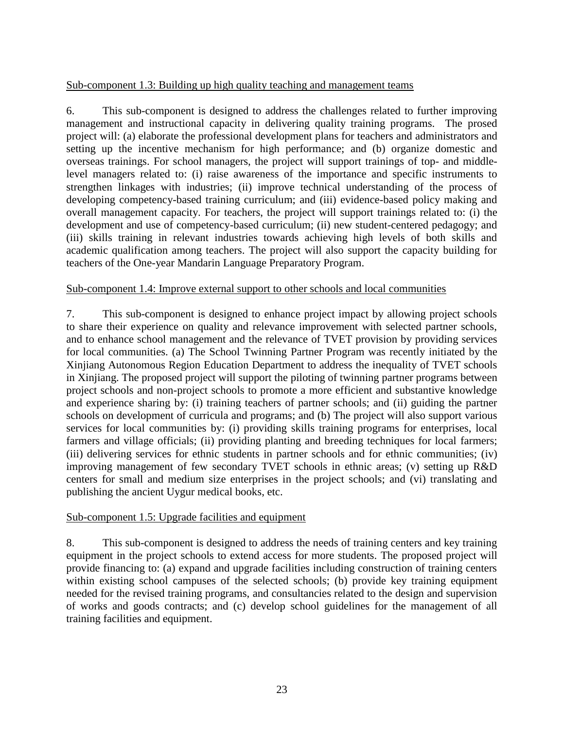### Sub-component 1.3: Building up high quality teaching and management teams

6. This sub-component is designed to address the challenges related to further improving management and instructional capacity in delivering quality training programs. The prosed project will: (a) elaborate the professional development plans for teachers and administrators and setting up the incentive mechanism for high performance; and (b) organize domestic and overseas trainings. For school managers, the project will support trainings of top- and middlelevel managers related to: (i) raise awareness of the importance and specific instruments to strengthen linkages with industries; (ii) improve technical understanding of the process of developing competency-based training curriculum; and (iii) evidence-based policy making and overall management capacity. For teachers, the project will support trainings related to: (i) the development and use of competency-based curriculum; (ii) new student-centered pedagogy; and (iii) skills training in relevant industries towards achieving high levels of both skills and academic qualification among teachers. The project will also support the capacity building for teachers of the One-year Mandarin Language Preparatory Program.

#### Sub-component 1.4: Improve external support to other schools and local communities

7. This sub-component is designed to enhance project impact by allowing project schools to share their experience on quality and relevance improvement with selected partner schools, and to enhance school management and the relevance of TVET provision by providing services for local communities. (a) The School Twinning Partner Program was recently initiated by the Xinjiang Autonomous Region Education Department to address the inequality of TVET schools in Xinjiang. The proposed project will support the piloting of twinning partner programs between project schools and non-project schools to promote a more efficient and substantive knowledge and experience sharing by: (i) training teachers of partner schools; and (ii) guiding the partner schools on development of curricula and programs; and (b) The project will also support various services for local communities by: (i) providing skills training programs for enterprises, local farmers and village officials; (ii) providing planting and breeding techniques for local farmers; (iii) delivering services for ethnic students in partner schools and for ethnic communities; (iv) improving management of few secondary TVET schools in ethnic areas; (v) setting up R&D centers for small and medium size enterprises in the project schools; and (vi) translating and publishing the ancient Uygur medical books, etc.

#### Sub-component 1.5: Upgrade facilities and equipment

8. This sub-component is designed to address the needs of training centers and key training equipment in the project schools to extend access for more students. The proposed project will provide financing to: (a) expand and upgrade facilities including construction of training centers within existing school campuses of the selected schools; (b) provide key training equipment needed for the revised training programs, and consultancies related to the design and supervision of works and goods contracts; and (c) develop school guidelines for the management of all training facilities and equipment.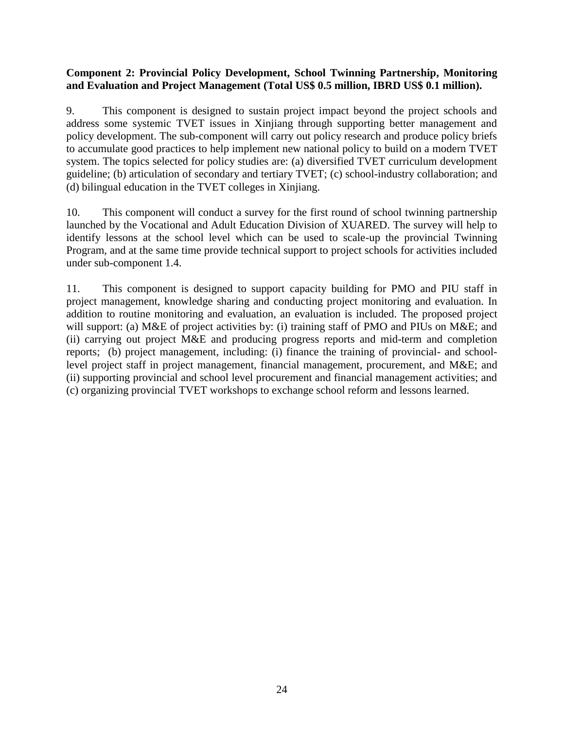#### **Component 2: Provincial Policy Development, School Twinning Partnership, Monitoring and Evaluation and Project Management (Total US\$ 0.5 million, IBRD US\$ 0.1 million).**

9. This component is designed to sustain project impact beyond the project schools and address some systemic TVET issues in Xinjiang through supporting better management and policy development. The sub-component will carry out policy research and produce policy briefs to accumulate good practices to help implement new national policy to build on a modern TVET system. The topics selected for policy studies are: (a) diversified TVET curriculum development guideline; (b) articulation of secondary and tertiary TVET; (c) school-industry collaboration; and (d) bilingual education in the TVET colleges in Xinjiang.

10. This component will conduct a survey for the first round of school twinning partnership launched by the Vocational and Adult Education Division of XUARED. The survey will help to identify lessons at the school level which can be used to scale-up the provincial Twinning Program, and at the same time provide technical support to project schools for activities included under sub-component 1.4.

11. This component is designed to support capacity building for PMO and PIU staff in project management, knowledge sharing and conducting project monitoring and evaluation. In addition to routine monitoring and evaluation, an evaluation is included. The proposed project will support: (a) M&E of project activities by: (i) training staff of PMO and PIUs on M&E; and (ii) carrying out project M&E and producing progress reports and mid-term and completion reports; (b) project management, including: (i) finance the training of provincial- and schoollevel project staff in project management, financial management, procurement, and M&E; and (ii) supporting provincial and school level procurement and financial management activities; and (c) organizing provincial TVET workshops to exchange school reform and lessons learned.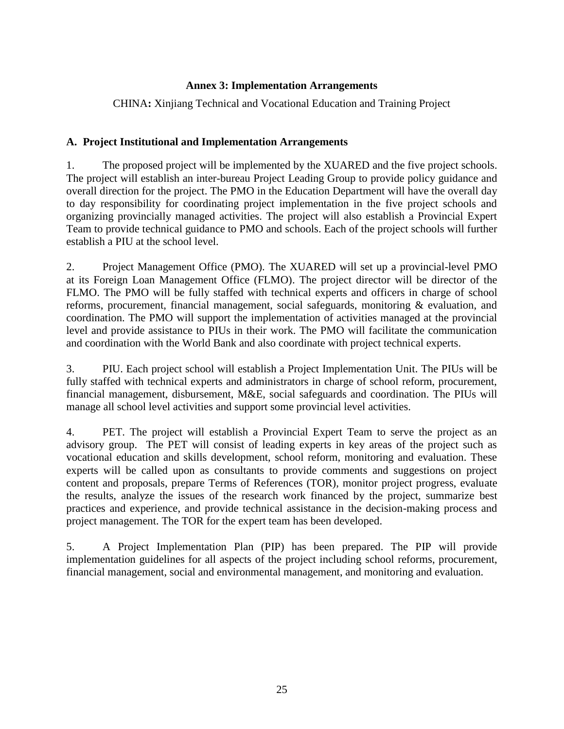### **Annex 3: Implementation Arrangements**

CHINA**:** Xinjiang Technical and Vocational Education and Training Project

### **A. Project Institutional and Implementation Arrangements**

1. The proposed project will be implemented by the XUARED and the five project schools. The project will establish an inter-bureau Project Leading Group to provide policy guidance and overall direction for the project. The PMO in the Education Department will have the overall day to day responsibility for coordinating project implementation in the five project schools and organizing provincially managed activities. The project will also establish a Provincial Expert Team to provide technical guidance to PMO and schools. Each of the project schools will further establish a PIU at the school level.

2. Project Management Office (PMO). The XUARED will set up a provincial-level PMO at its Foreign Loan Management Office (FLMO). The project director will be director of the FLMO. The PMO will be fully staffed with technical experts and officers in charge of school reforms, procurement, financial management, social safeguards, monitoring & evaluation, and coordination. The PMO will support the implementation of activities managed at the provincial level and provide assistance to PIUs in their work. The PMO will facilitate the communication and coordination with the World Bank and also coordinate with project technical experts.

3. PIU. Each project school will establish a Project Implementation Unit. The PIUs will be fully staffed with technical experts and administrators in charge of school reform, procurement, financial management, disbursement, M&E, social safeguards and coordination. The PIUs will manage all school level activities and support some provincial level activities.

4. PET. The project will establish a Provincial Expert Team to serve the project as an advisory group. The PET will consist of leading experts in key areas of the project such as vocational education and skills development, school reform, monitoring and evaluation. These experts will be called upon as consultants to provide comments and suggestions on project content and proposals, prepare Terms of References (TOR), monitor project progress, evaluate the results, analyze the issues of the research work financed by the project, summarize best practices and experience, and provide technical assistance in the decision-making process and project management. The TOR for the expert team has been developed.

5. A Project Implementation Plan (PIP) has been prepared. The PIP will provide implementation guidelines for all aspects of the project including school reforms, procurement, financial management, social and environmental management, and monitoring and evaluation.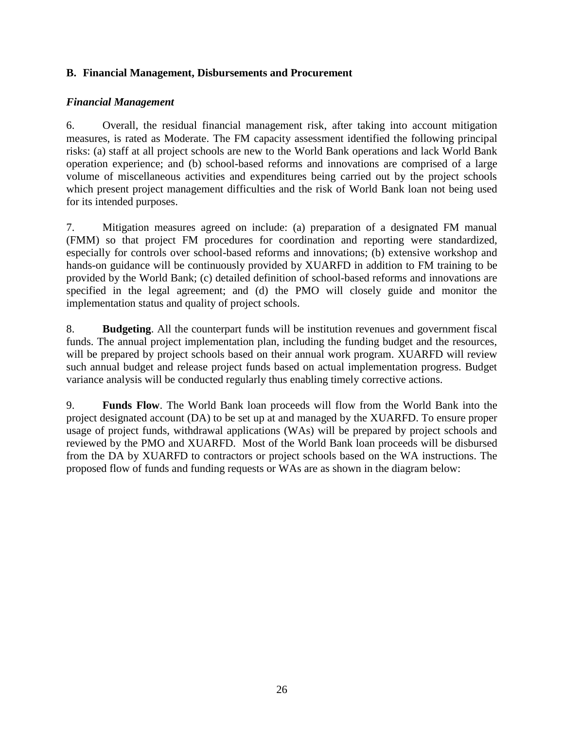### **B. Financial Management, Disbursements and Procurement**

#### *Financial Management*

6. Overall, the residual financial management risk, after taking into account mitigation measures, is rated as Moderate. The FM capacity assessment identified the following principal risks: (a) staff at all project schools are new to the World Bank operations and lack World Bank operation experience; and (b) school-based reforms and innovations are comprised of a large volume of miscellaneous activities and expenditures being carried out by the project schools which present project management difficulties and the risk of World Bank loan not being used for its intended purposes.

7. Mitigation measures agreed on include: (a) preparation of a designated FM manual (FMM) so that project FM procedures for coordination and reporting were standardized, especially for controls over school-based reforms and innovations; (b) extensive workshop and hands-on guidance will be continuously provided by XUARFD in addition to FM training to be provided by the World Bank; (c) detailed definition of school-based reforms and innovations are specified in the legal agreement; and (d) the PMO will closely guide and monitor the implementation status and quality of project schools.

8. **Budgeting**. All the counterpart funds will be institution revenues and government fiscal funds. The annual project implementation plan, including the funding budget and the resources, will be prepared by project schools based on their annual work program. XUARFD will review such annual budget and release project funds based on actual implementation progress. Budget variance analysis will be conducted regularly thus enabling timely corrective actions.

9. **Funds Flow**. The World Bank loan proceeds will flow from the World Bank into the project designated account (DA) to be set up at and managed by the XUARFD. To ensure proper usage of project funds, withdrawal applications (WAs) will be prepared by project schools and reviewed by the PMO and XUARFD. Most of the World Bank loan proceeds will be disbursed from the DA by XUARFD to contractors or project schools based on the WA instructions. The proposed flow of funds and funding requests or WAs are as shown in the diagram below: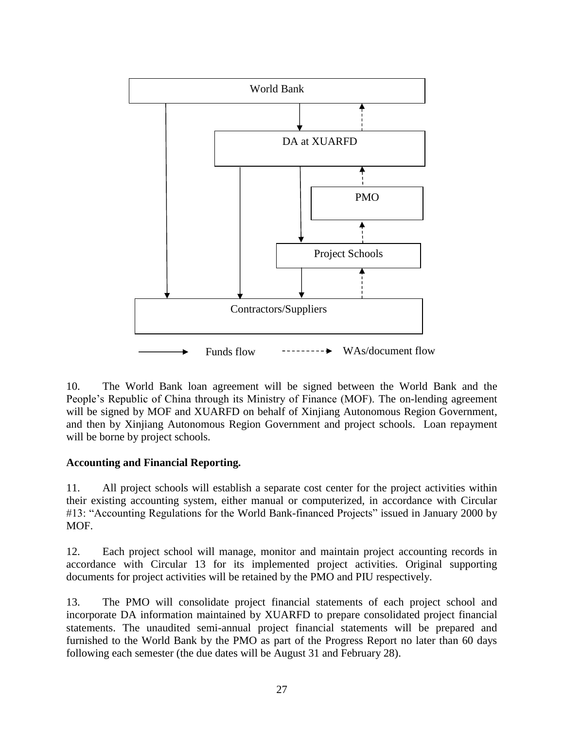

10. The World Bank loan agreement will be signed between the World Bank and the People's Republic of China through its Ministry of Finance (MOF). The on-lending agreement will be signed by MOF and XUARFD on behalf of Xinjiang Autonomous Region Government, and then by Xinjiang Autonomous Region Government and project schools. Loan repayment will be borne by project schools.

### **Accounting and Financial Reporting***.*

11. All project schools will establish a separate cost center for the project activities within their existing accounting system, either manual or computerized, in accordance with Circular #13: "Accounting Regulations for the World Bank-financed Projects" issued in January 2000 by MOF.

12. Each project school will manage, monitor and maintain project accounting records in accordance with Circular 13 for its implemented project activities. Original supporting documents for project activities will be retained by the PMO and PIU respectively.

13. The PMO will consolidate project financial statements of each project school and incorporate DA information maintained by XUARFD to prepare consolidated project financial statements. The unaudited semi-annual project financial statements will be prepared and furnished to the World Bank by the PMO as part of the Progress Report no later than 60 days following each semester (the due dates will be August 31 and February 28).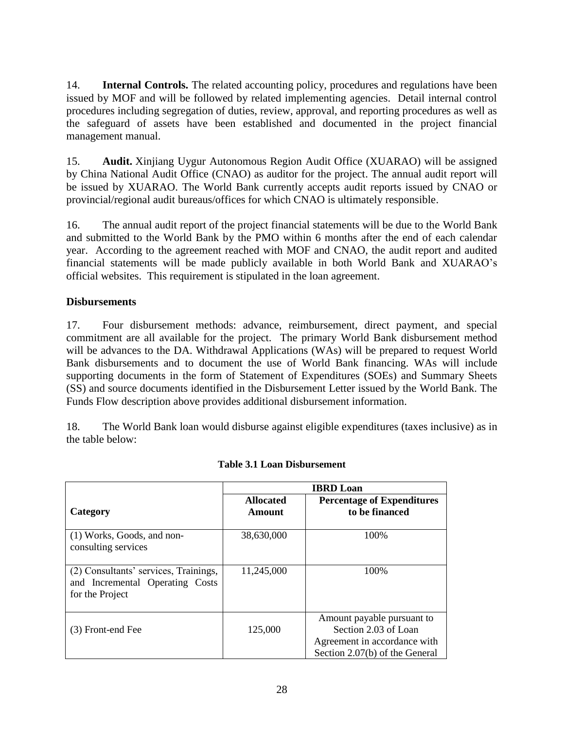14. **Internal Controls.** The related accounting policy, procedures and regulations have been issued by MOF and will be followed by related implementing agencies. Detail internal control procedures including segregation of duties, review, approval, and reporting procedures as well as the safeguard of assets have been established and documented in the project financial management manual.

15. **Audit.** Xinjiang Uygur Autonomous Region Audit Office (XUARAO) will be assigned by China National Audit Office (CNAO) as auditor for the project. The annual audit report will be issued by XUARAO. The World Bank currently accepts audit reports issued by CNAO or provincial/regional audit bureaus/offices for which CNAO is ultimately responsible.

16. The annual audit report of the project financial statements will be due to the World Bank and submitted to the World Bank by the PMO within 6 months after the end of each calendar year. According to the agreement reached with MOF and CNAO, the audit report and audited financial statements will be made publicly available in both World Bank and XUARAO's official websites. This requirement is stipulated in the loan agreement.

## **Disbursements**

17. Four disbursement methods: advance, reimbursement, direct payment, and special commitment are all available for the project. The primary World Bank disbursement method will be advances to the DA. Withdrawal Applications (WAs) will be prepared to request World Bank disbursements and to document the use of World Bank financing. WAs will include supporting documents in the form of Statement of Expenditures (SOEs) and Summary Sheets (SS) and source documents identified in the Disbursement Letter issued by the World Bank. The Funds Flow description above provides additional disbursement information.

18. The World Bank loan would disburse against eligible expenditures (taxes inclusive) as in the table below:

|                                                                                             |                                   | <b>IBRD</b> Loan                                                                                                     |
|---------------------------------------------------------------------------------------------|-----------------------------------|----------------------------------------------------------------------------------------------------------------------|
| Category                                                                                    | <b>Allocated</b><br><b>Amount</b> | <b>Percentage of Expenditures</b><br>to be financed                                                                  |
| $(1)$ Works, Goods, and non-<br>consulting services                                         | 38,630,000                        | 100\%                                                                                                                |
| (2) Consultants' services, Trainings,<br>and Incremental Operating Costs<br>for the Project | 11,245,000                        | 100\%                                                                                                                |
| (3) Front-end Fee                                                                           | 125,000                           | Amount payable pursuant to<br>Section 2.03 of Loan<br>Agreement in accordance with<br>Section 2.07(b) of the General |

#### **Table 3.1 Loan Disbursement**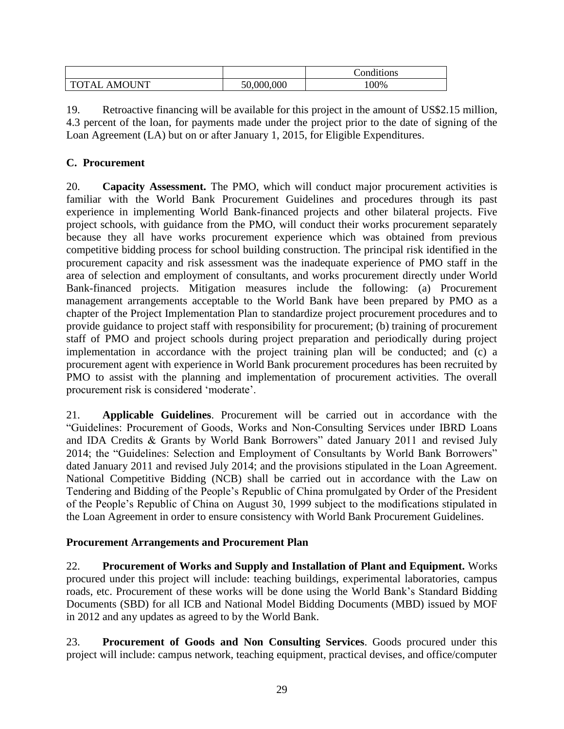|                         |            | $\cdots$<br>Conditions |
|-------------------------|------------|------------------------|
| <b>AMOUNT</b><br>TOTAL. | 50,000,000 | 00%                    |

19. Retroactive financing will be available for this project in the amount of US\$2.15 million, 4.3 percent of the loan, for payments made under the project prior to the date of signing of the Loan Agreement (LA) but on or after January 1, 2015, for Eligible Expenditures.

## **C. Procurement**

20. **Capacity Assessment.** The PMO, which will conduct major procurement activities is familiar with the World Bank Procurement Guidelines and procedures through its past experience in implementing World Bank-financed projects and other bilateral projects. Five project schools, with guidance from the PMO, will conduct their works procurement separately because they all have works procurement experience which was obtained from previous competitive bidding process for school building construction. The principal risk identified in the procurement capacity and risk assessment was the inadequate experience of PMO staff in the area of selection and employment of consultants, and works procurement directly under World Bank-financed projects. Mitigation measures include the following: (a) Procurement management arrangements acceptable to the World Bank have been prepared by PMO as a chapter of the Project Implementation Plan to standardize project procurement procedures and to provide guidance to project staff with responsibility for procurement; (b) training of procurement staff of PMO and project schools during project preparation and periodically during project implementation in accordance with the project training plan will be conducted; and (c) a procurement agent with experience in World Bank procurement procedures has been recruited by PMO to assist with the planning and implementation of procurement activities. The overall procurement risk is considered 'moderate'.

21. **Applicable Guidelines**. Procurement will be carried out in accordance with the "Guidelines: Procurement of Goods, Works and Non-Consulting Services under IBRD Loans and IDA Credits & Grants by World Bank Borrowers" dated January 2011 and revised July 2014; the "Guidelines: Selection and Employment of Consultants by World Bank Borrowers" dated January 2011 and revised July 2014; and the provisions stipulated in the Loan Agreement. National Competitive Bidding (NCB) shall be carried out in accordance with the Law on Tendering and Bidding of the People's Republic of China promulgated by Order of the President of the People's Republic of China on August 30, 1999 subject to the modifications stipulated in the Loan Agreement in order to ensure consistency with World Bank Procurement Guidelines.

## **Procurement Arrangements and Procurement Plan**

22. **Procurement of Works and Supply and Installation of Plant and Equipment.** Works procured under this project will include: teaching buildings, experimental laboratories, campus roads, etc. Procurement of these works will be done using the World Bank's Standard Bidding Documents (SBD) for all ICB and National Model Bidding Documents (MBD) issued by MOF in 2012 and any updates as agreed to by the World Bank.

23. **Procurement of Goods and Non Consulting Services**. Goods procured under this project will include: campus network, teaching equipment, practical devises, and office/computer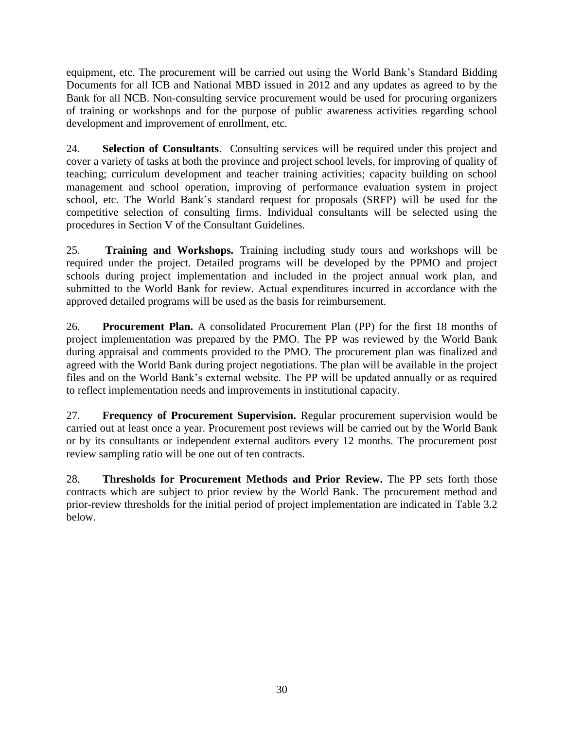equipment, etc. The procurement will be carried out using the World Bank's Standard Bidding Documents for all ICB and National MBD issued in 2012 and any updates as agreed to by the Bank for all NCB. Non-consulting service procurement would be used for procuring organizers of training or workshops and for the purpose of public awareness activities regarding school development and improvement of enrollment, etc.

24. **Selection of Consultants**.Consulting services will be required under this project and cover a variety of tasks at both the province and project school levels, for improving of quality of teaching; curriculum development and teacher training activities; capacity building on school management and school operation, improving of performance evaluation system in project school, etc. The World Bank's standard request for proposals (SRFP) will be used for the competitive selection of consulting firms. Individual consultants will be selected using the procedures in Section V of the Consultant Guidelines.

25. **Training and Workshops***.* Training including study tours and workshops will be required under the project. Detailed programs will be developed by the PPMO and project schools during project implementation and included in the project annual work plan, and submitted to the World Bank for review. Actual expenditures incurred in accordance with the approved detailed programs will be used as the basis for reimbursement.

26. **Procurement Plan.** A consolidated Procurement Plan (PP) for the first 18 months of project implementation was prepared by the PMO. The PP was reviewed by the World Bank during appraisal and comments provided to the PMO. The procurement plan was finalized and agreed with the World Bank during project negotiations. The plan will be available in the project files and on the World Bank's external website. The PP will be updated annually or as required to reflect implementation needs and improvements in institutional capacity.

27. **Frequency of Procurement Supervision.** Regular procurement supervision would be carried out at least once a year. Procurement post reviews will be carried out by the World Bank or by its consultants or independent external auditors every 12 months. The procurement post review sampling ratio will be one out of ten contracts.

28. **Thresholds for Procurement Methods and Prior Review.** The PP sets forth those contracts which are subject to prior review by the World Bank. The procurement method and prior-review thresholds for the initial period of project implementation are indicated in Table 3.2 below.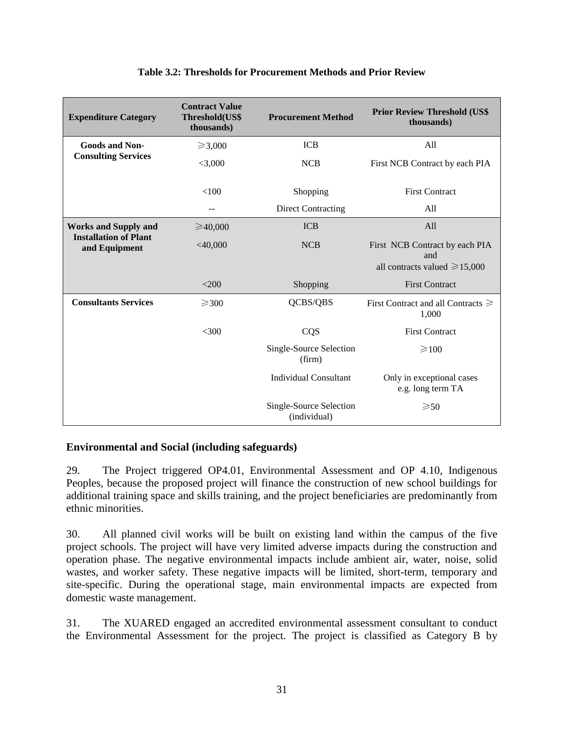| <b>Expenditure Category</b>                   | <b>Contract Value</b><br>Threshold(US\$<br>thousands) | <b>Procurement Method</b>               | <b>Prior Review Threshold (US\$)</b><br>thousands) |  |
|-----------------------------------------------|-------------------------------------------------------|-----------------------------------------|----------------------------------------------------|--|
| <b>Goods and Non-</b>                         | ≥3,000                                                | <b>ICB</b>                              | All                                                |  |
| <b>Consulting Services</b>                    | $<$ 3,000                                             | <b>NCB</b>                              | First NCB Contract by each PIA                     |  |
|                                               | <100                                                  | Shopping                                | <b>First Contract</b>                              |  |
|                                               | --                                                    | <b>Direct Contracting</b>               | All                                                |  |
| <b>Works and Supply and</b>                   | $\geq 40,000$                                         | <b>ICB</b>                              | A11                                                |  |
| <b>Installation of Plant</b><br>and Equipment | $<$ 40,000                                            | <b>NCB</b>                              | First NCB Contract by each PIA<br>and              |  |
|                                               |                                                       |                                         | all contracts valued $\geq 15,000$                 |  |
|                                               | $<$ 200                                               | Shopping                                | <b>First Contract</b>                              |  |
| <b>Consultants Services</b>                   | $\geq 300$                                            | QCBS/QBS                                | First Contract and all Contracts $\geq$<br>1,000   |  |
|                                               | <300                                                  | CQS                                     | <b>First Contract</b>                              |  |
|                                               |                                                       | Single-Source Selection<br>(firm)       | $\geq 100$                                         |  |
|                                               |                                                       | <b>Individual Consultant</b>            | Only in exceptional cases<br>e.g. long term TA     |  |
|                                               |                                                       | Single-Source Selection<br>(individual) | $\geqslant 50$                                     |  |

#### **Table 3.2: Thresholds for Procurement Methods and Prior Review**

#### **Environmental and Social (including safeguards)**

29. The Project triggered OP4.01, Environmental Assessment and OP 4.10, Indigenous Peoples, because the proposed project will finance the construction of new school buildings for additional training space and skills training, and the project beneficiaries are predominantly from ethnic minorities.

30. All planned civil works will be built on existing land within the campus of the five project schools. The project will have very limited adverse impacts during the construction and operation phase. The negative environmental impacts include ambient air, water, noise, solid wastes, and worker safety. These negative impacts will be limited, short-term, temporary and site-specific. During the operational stage, main environmental impacts are expected from domestic waste management.

31. The XUARED engaged an accredited environmental assessment consultant to conduct the Environmental Assessment for the project. The project is classified as Category B by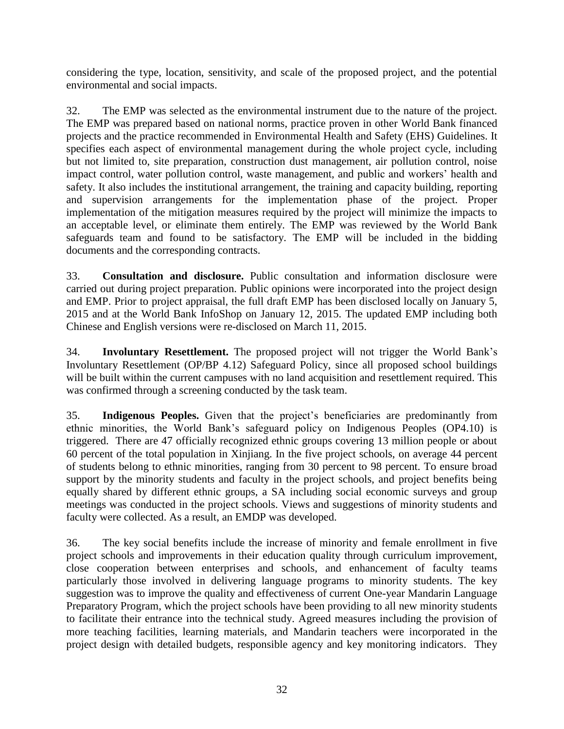considering the type, location, sensitivity, and scale of the proposed project, and the potential environmental and social impacts.

32. The EMP was selected as the environmental instrument due to the nature of the project. The EMP was prepared based on national norms, practice proven in other World Bank financed projects and the practice recommended in Environmental Health and Safety (EHS) Guidelines. It specifies each aspect of environmental management during the whole project cycle, including but not limited to, site preparation, construction dust management, air pollution control, noise impact control, water pollution control, waste management, and public and workers' health and safety. It also includes the institutional arrangement, the training and capacity building, reporting and supervision arrangements for the implementation phase of the project. Proper implementation of the mitigation measures required by the project will minimize the impacts to an acceptable level, or eliminate them entirely. The EMP was reviewed by the World Bank safeguards team and found to be satisfactory. The EMP will be included in the bidding documents and the corresponding contracts.

33. **Consultation and disclosure.** Public consultation and information disclosure were carried out during project preparation. Public opinions were incorporated into the project design and EMP. Prior to project appraisal, the full draft EMP has been disclosed locally on January 5, 2015 and at the World Bank InfoShop on January 12, 2015. The updated EMP including both Chinese and English versions were re-disclosed on March 11, 2015.

34. **Involuntary Resettlement.** The proposed project will not trigger the World Bank's Involuntary Resettlement (OP/BP 4.12) Safeguard Policy, since all proposed school buildings will be built within the current campuses with no land acquisition and resettlement required. This was confirmed through a screening conducted by the task team.

35. **Indigenous Peoples.** Given that the project's beneficiaries are predominantly from ethnic minorities, the World Bank's safeguard policy on Indigenous Peoples (OP4.10) is triggered. There are 47 officially recognized ethnic groups covering 13 million people or about 60 percent of the total population in Xinjiang. In the five project schools, on average 44 percent of students belong to ethnic minorities, ranging from 30 percent to 98 percent. To ensure broad support by the minority students and faculty in the project schools, and project benefits being equally shared by different ethnic groups, a SA including social economic surveys and group meetings was conducted in the project schools. Views and suggestions of minority students and faculty were collected. As a result, an EMDP was developed.

36. The key social benefits include the increase of minority and female enrollment in five project schools and improvements in their education quality through curriculum improvement, close cooperation between enterprises and schools, and enhancement of faculty teams particularly those involved in delivering language programs to minority students. The key suggestion was to improve the quality and effectiveness of current One-year Mandarin Language Preparatory Program, which the project schools have been providing to all new minority students to facilitate their entrance into the technical study. Agreed measures including the provision of more teaching facilities, learning materials, and Mandarin teachers were incorporated in the project design with detailed budgets, responsible agency and key monitoring indicators. They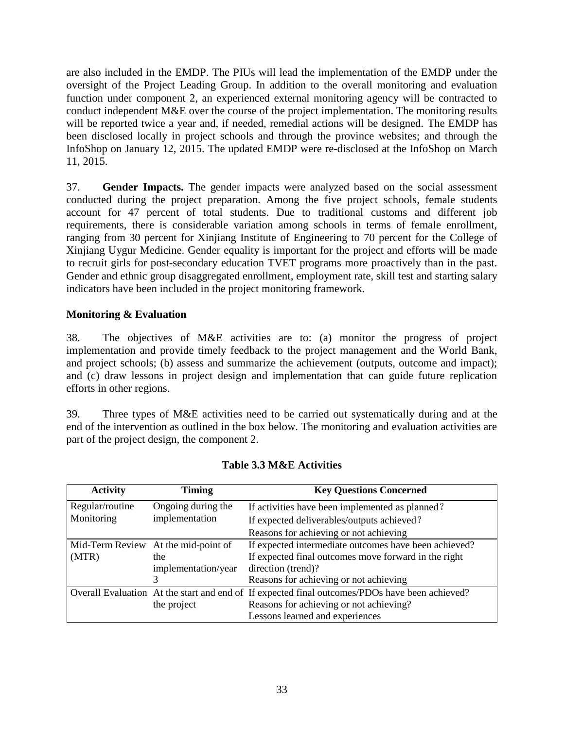are also included in the EMDP. The PIUs will lead the implementation of the EMDP under the oversight of the Project Leading Group. In addition to the overall monitoring and evaluation function under component 2, an experienced external monitoring agency will be contracted to conduct independent M&E over the course of the project implementation. The monitoring results will be reported twice a year and, if needed, remedial actions will be designed. The EMDP has been disclosed locally in project schools and through the province websites; and through the InfoShop on January 12, 2015. The updated EMDP were re-disclosed at the InfoShop on March 11, 2015.

37. **Gender Impacts.** The gender impacts were analyzed based on the social assessment conducted during the project preparation. Among the five project schools, female students account for 47 percent of total students. Due to traditional customs and different job requirements, there is considerable variation among schools in terms of female enrollment, ranging from 30 percent for Xinjiang Institute of Engineering to 70 percent for the College of Xinjiang Uygur Medicine. Gender equality is important for the project and efforts will be made to recruit girls for post-secondary education TVET programs more proactively than in the past. Gender and ethnic group disaggregated enrollment, employment rate, skill test and starting salary indicators have been included in the project monitoring framework.

## **Monitoring & Evaluation**

38. The objectives of M&E activities are to: (a) monitor the progress of project implementation and provide timely feedback to the project management and the World Bank, and project schools; (b) assess and summarize the achievement (outputs, outcome and impact); and (c) draw lessons in project design and implementation that can guide future replication efforts in other regions.

39. Three types of M&E activities need to be carried out systematically during and at the end of the intervention as outlined in the box below. The monitoring and evaluation activities are part of the project design, the component 2.

| <b>Activity</b> | <b>Timing</b>                       | <b>Key Questions Concerned</b>                                                                 |
|-----------------|-------------------------------------|------------------------------------------------------------------------------------------------|
| Regular/routine | Ongoing during the                  | If activities have been implemented as planned?                                                |
| Monitoring      | implementation                      | If expected deliverables/outputs achieved?                                                     |
|                 |                                     | Reasons for achieving or not achieving                                                         |
|                 | Mid-Term Review At the mid-point of | If expected intermediate outcomes have been achieved?                                          |
| (MTR)           | the                                 | If expected final outcomes move forward in the right                                           |
|                 | implementation/year                 | direction (trend)?                                                                             |
|                 | 3                                   | Reasons for achieving or not achieving                                                         |
|                 |                                     | Overall Evaluation At the start and end of If expected final outcomes/PDOs have been achieved? |
|                 | the project                         | Reasons for achieving or not achieving?                                                        |
|                 |                                     | Lessons learned and experiences                                                                |

### **Table 3.3 M&E Activities**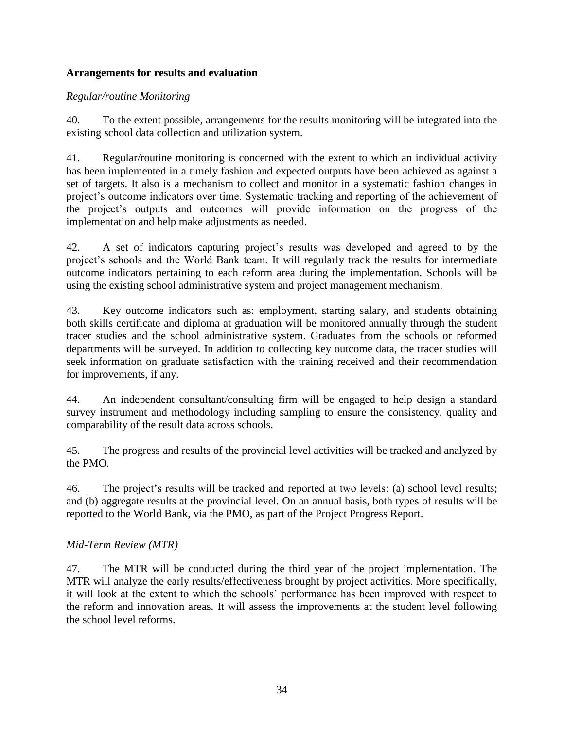### **Arrangements for results and evaluation**

### *Regular/routine Monitoring*

40. To the extent possible, arrangements for the results monitoring will be integrated into the existing school data collection and utilization system.

41. Regular/routine monitoring is concerned with the extent to which an individual activity has been implemented in a timely fashion and expected outputs have been achieved as against a set of targets. It also is a mechanism to collect and monitor in a systematic fashion changes in project's outcome indicators over time. Systematic tracking and reporting of the achievement of the project's outputs and outcomes will provide information on the progress of the implementation and help make adjustments as needed.

42. A set of indicators capturing project's results was developed and agreed to by the project's schools and the World Bank team. It will regularly track the results for intermediate outcome indicators pertaining to each reform area during the implementation. Schools will be using the existing school administrative system and project management mechanism.

43. Key outcome indicators such as: employment, starting salary, and students obtaining both skills certificate and diploma at graduation will be monitored annually through the student tracer studies and the school administrative system. Graduates from the schools or reformed departments will be surveyed. In addition to collecting key outcome data, the tracer studies will seek information on graduate satisfaction with the training received and their recommendation for improvements, if any.

44. An independent consultant/consulting firm will be engaged to help design a standard survey instrument and methodology including sampling to ensure the consistency, quality and comparability of the result data across schools.

45. The progress and results of the provincial level activities will be tracked and analyzed by the PMO.

46. The project's results will be tracked and reported at two levels: (a) school level results; and (b) aggregate results at the provincial level. On an annual basis, both types of results will be reported to the World Bank, via the PMO, as part of the Project Progress Report.

## *Mid-Term Review (MTR)*

47. The MTR will be conducted during the third year of the project implementation. The MTR will analyze the early results/effectiveness brought by project activities. More specifically, it will look at the extent to which the schools' performance has been improved with respect to the reform and innovation areas. It will assess the improvements at the student level following the school level reforms.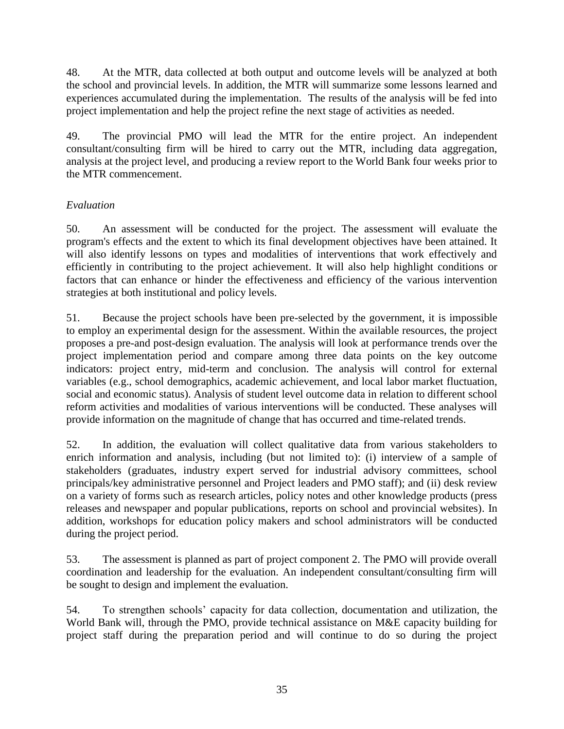48. At the MTR, data collected at both output and outcome levels will be analyzed at both the school and provincial levels. In addition, the MTR will summarize some lessons learned and experiences accumulated during the implementation. The results of the analysis will be fed into project implementation and help the project refine the next stage of activities as needed.

49. The provincial PMO will lead the MTR for the entire project. An independent consultant/consulting firm will be hired to carry out the MTR, including data aggregation, analysis at the project level, and producing a review report to the World Bank four weeks prior to the MTR commencement.

## *Evaluation*

50. An assessment will be conducted for the project. The assessment will evaluate the program's effects and the extent to which its final development objectives have been attained. It will also identify lessons on types and modalities of interventions that work effectively and efficiently in contributing to the project achievement. It will also help highlight conditions or factors that can enhance or hinder the effectiveness and efficiency of the various intervention strategies at both institutional and policy levels.

51. Because the project schools have been pre-selected by the government, it is impossible to employ an experimental design for the assessment. Within the available resources, the project proposes a pre-and post-design evaluation. The analysis will look at performance trends over the project implementation period and compare among three data points on the key outcome indicators: project entry, mid-term and conclusion. The analysis will control for external variables (e.g., school demographics, academic achievement, and local labor market fluctuation, social and economic status). Analysis of student level outcome data in relation to different school reform activities and modalities of various interventions will be conducted. These analyses will provide information on the magnitude of change that has occurred and time-related trends.

52. In addition, the evaluation will collect qualitative data from various stakeholders to enrich information and analysis, including (but not limited to): (i) interview of a sample of stakeholders (graduates, industry expert served for industrial advisory committees, school principals/key administrative personnel and Project leaders and PMO staff); and (ii) desk review on a variety of forms such as research articles, policy notes and other knowledge products (press releases and newspaper and popular publications, reports on school and provincial websites). In addition, workshops for education policy makers and school administrators will be conducted during the project period.

53. The assessment is planned as part of project component 2. The PMO will provide overall coordination and leadership for the evaluation. An independent consultant/consulting firm will be sought to design and implement the evaluation.

54. To strengthen schools' capacity for data collection, documentation and utilization, the World Bank will, through the PMO, provide technical assistance on M&E capacity building for project staff during the preparation period and will continue to do so during the project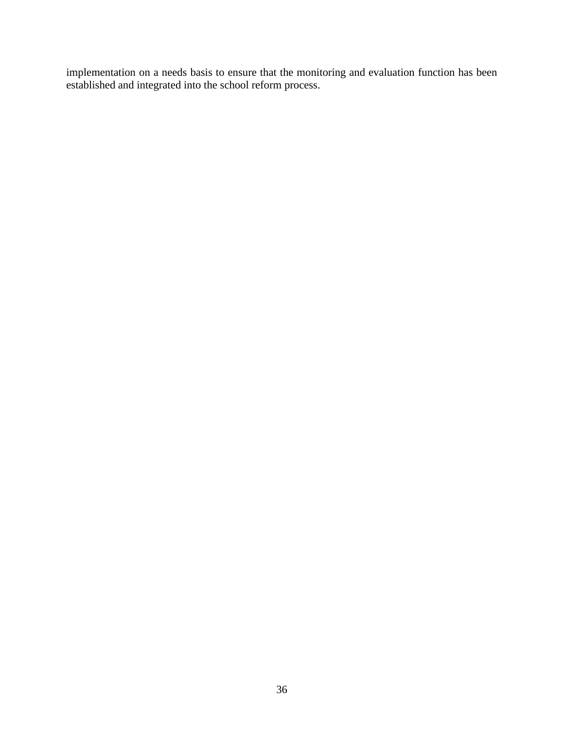implementation on a needs basis to ensure that the monitoring and evaluation function has been established and integrated into the school reform process.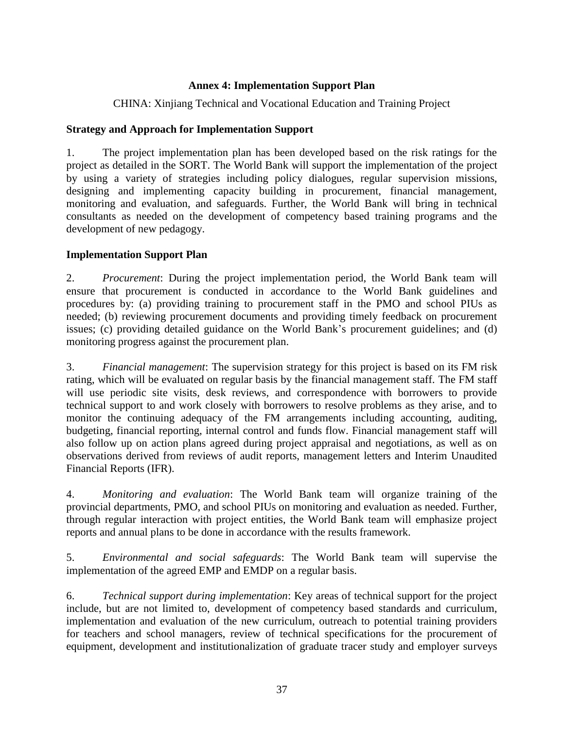### **Annex 4: Implementation Support Plan**

### CHINA: Xinjiang Technical and Vocational Education and Training Project

#### **Strategy and Approach for Implementation Support**

1. The project implementation plan has been developed based on the risk ratings for the project as detailed in the SORT. The World Bank will support the implementation of the project by using a variety of strategies including policy dialogues, regular supervision missions, designing and implementing capacity building in procurement, financial management, monitoring and evaluation, and safeguards. Further, the World Bank will bring in technical consultants as needed on the development of competency based training programs and the development of new pedagogy.

#### **Implementation Support Plan**

2. *Procurement*: During the project implementation period, the World Bank team will ensure that procurement is conducted in accordance to the World Bank guidelines and procedures by: (a) providing training to procurement staff in the PMO and school PIUs as needed; (b) reviewing procurement documents and providing timely feedback on procurement issues; (c) providing detailed guidance on the World Bank's procurement guidelines; and (d) monitoring progress against the procurement plan.

3. *Financial management*: The supervision strategy for this project is based on its FM risk rating, which will be evaluated on regular basis by the financial management staff. The FM staff will use periodic site visits, desk reviews, and correspondence with borrowers to provide technical support to and work closely with borrowers to resolve problems as they arise, and to monitor the continuing adequacy of the FM arrangements including accounting, auditing, budgeting, financial reporting, internal control and funds flow. Financial management staff will also follow up on action plans agreed during project appraisal and negotiations, as well as on observations derived from reviews of audit reports, management letters and Interim Unaudited Financial Reports (IFR).

4. *Monitoring and evaluation*: The World Bank team will organize training of the provincial departments, PMO, and school PIUs on monitoring and evaluation as needed. Further, through regular interaction with project entities, the World Bank team will emphasize project reports and annual plans to be done in accordance with the results framework.

5. *Environmental and social safeguards*: The World Bank team will supervise the implementation of the agreed EMP and EMDP on a regular basis.

6. *Technical support during implementation*: Key areas of technical support for the project include, but are not limited to, development of competency based standards and curriculum, implementation and evaluation of the new curriculum, outreach to potential training providers for teachers and school managers, review of technical specifications for the procurement of equipment, development and institutionalization of graduate tracer study and employer surveys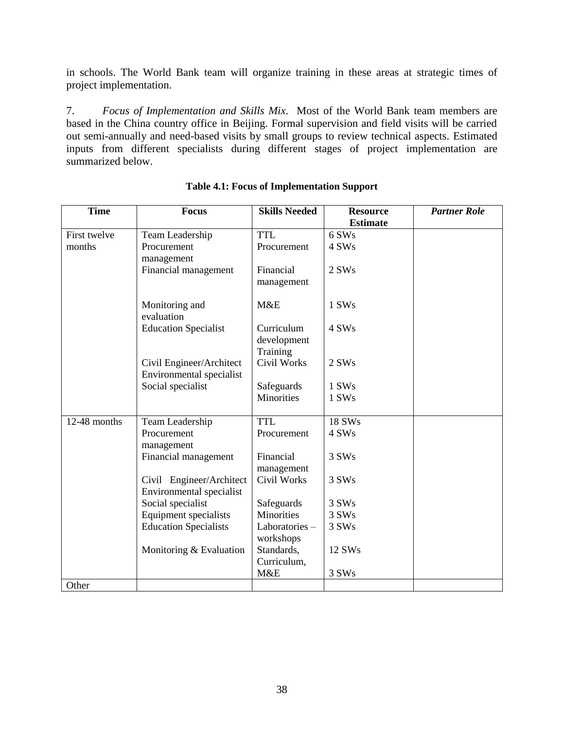in schools. The World Bank team will organize training in these areas at strategic times of project implementation.

7. *Focus of Implementation and Skills Mix*. Most of the World Bank team members are based in the China country office in Beijing. Formal supervision and field visits will be carried out semi-annually and need-based visits by small groups to review technical aspects. Estimated inputs from different specialists during different stages of project implementation are summarized below.

| <b>Time</b>  | <b>Focus</b>                 | <b>Skills Needed</b> | <b>Resource</b> | <b>Partner Role</b> |
|--------------|------------------------------|----------------------|-----------------|---------------------|
|              |                              |                      | <b>Estimate</b> |                     |
| First twelve | Team Leadership              | <b>TTL</b>           | 6 SWs           |                     |
| months       | Procurement                  | Procurement          | 4 SWs           |                     |
|              | management                   |                      |                 |                     |
|              | Financial management         | Financial            | 2 SWs           |                     |
|              |                              | management           |                 |                     |
|              |                              |                      |                 |                     |
|              | Monitoring and               | M&E                  | 1 SWs           |                     |
|              | evaluation                   |                      |                 |                     |
|              | <b>Education Specialist</b>  | Curriculum           | 4 SWs           |                     |
|              |                              | development          |                 |                     |
|              |                              | Training             |                 |                     |
|              | Civil Engineer/Architect     | Civil Works          | 2 SWs           |                     |
|              | Environmental specialist     |                      |                 |                     |
|              | Social specialist            | Safeguards           | 1 SWs           |                     |
|              |                              | Minorities           | 1 SWs           |                     |
|              |                              |                      |                 |                     |
| 12-48 months | Team Leadership              | <b>TTL</b>           | <b>18 SWs</b>   |                     |
|              | Procurement                  | Procurement          | 4 SWs           |                     |
|              | management                   |                      |                 |                     |
|              | Financial management         | Financial            | 3 SWs           |                     |
|              |                              | management           |                 |                     |
|              | Civil Engineer/Architect     | Civil Works          | 3 SWs           |                     |
|              | Environmental specialist     |                      |                 |                     |
|              | Social specialist            | Safeguards           | 3 SWs           |                     |
|              | Equipment specialists        | <b>Minorities</b>    | 3 SWs           |                     |
|              | <b>Education Specialists</b> | Laboratories -       | 3 SWs           |                     |
|              |                              | workshops            |                 |                     |
|              | Monitoring & Evaluation      | Standards,           | 12 SWs          |                     |
|              |                              | Curriculum,          |                 |                     |
|              |                              | M&E                  | 3 SWs           |                     |
| Other        |                              |                      |                 |                     |

#### **Table 4.1: Focus of Implementation Support**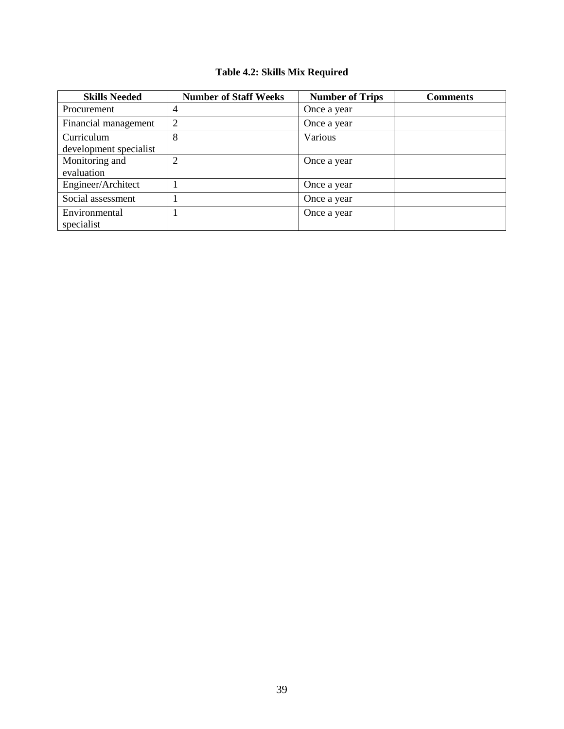## **Table 4.2: Skills Mix Required**

| <b>Skills Needed</b>   | <b>Number of Staff Weeks</b> | <b>Number of Trips</b> | <b>Comments</b> |
|------------------------|------------------------------|------------------------|-----------------|
| Procurement            | 4                            | Once a year            |                 |
| Financial management   | $\overline{2}$               | Once a year            |                 |
| Curriculum             | 8                            | Various                |                 |
| development specialist |                              |                        |                 |
| Monitoring and         | 2                            | Once a year            |                 |
| evaluation             |                              |                        |                 |
| Engineer/Architect     |                              | Once a year            |                 |
| Social assessment      |                              | Once a year            |                 |
| Environmental          |                              | Once a year            |                 |
| specialist             |                              |                        |                 |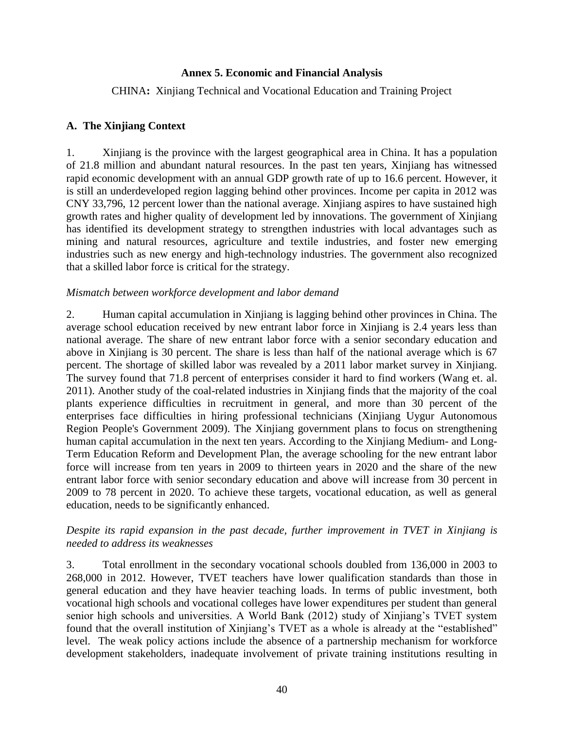#### **Annex 5. Economic and Financial Analysis**

CHINA**:** Xinjiang Technical and Vocational Education and Training Project

### **A. The Xinjiang Context**

1. Xinjiang is the province with the largest geographical area in China. It has a population of 21.8 million and abundant natural resources. In the past ten years, Xinjiang has witnessed rapid economic development with an annual GDP growth rate of up to 16.6 percent. However, it is still an underdeveloped region lagging behind other provinces. Income per capita in 2012 was CNY 33,796, 12 percent lower than the national average. Xinjiang aspires to have sustained high growth rates and higher quality of development led by innovations. The government of Xinjiang has identified its development strategy to strengthen industries with local advantages such as mining and natural resources, agriculture and textile industries, and foster new emerging industries such as new energy and high-technology industries. The government also recognized that a skilled labor force is critical for the strategy.

#### *Mismatch between workforce development and labor demand*

2. Human capital accumulation in Xinjiang is lagging behind other provinces in China. The average school education received by new entrant labor force in Xinjiang is 2.4 years less than national average. The share of new entrant labor force with a senior secondary education and above in Xinjiang is 30 percent. The share is less than half of the national average which is 67 percent. The shortage of skilled labor was revealed by a 2011 labor market survey in Xinjiang. The survey found that 71.8 percent of enterprises consider it hard to find workers (Wang et. al. 2011). Another study of the coal-related industries in Xinjiang finds that the majority of the coal plants experience difficulties in recruitment in general, and more than 30 percent of the enterprises face difficulties in hiring professional technicians (Xinjiang Uygur Autonomous Region People's Government 2009). The Xinjiang government plans to focus on strengthening human capital accumulation in the next ten years. According to the Xinjiang Medium- and Long-Term Education Reform and Development Plan, the average schooling for the new entrant labor force will increase from ten years in 2009 to thirteen years in 2020 and the share of the new entrant labor force with senior secondary education and above will increase from 30 percent in 2009 to 78 percent in 2020. To achieve these targets, vocational education, as well as general education, needs to be significantly enhanced.

#### *Despite its rapid expansion in the past decade, further improvement in TVET in Xinjiang is needed to address its weaknesses*

3. Total enrollment in the secondary vocational schools doubled from 136,000 in 2003 to 268,000 in 2012. However, TVET teachers have lower qualification standards than those in general education and they have heavier teaching loads. In terms of public investment, both vocational high schools and vocational colleges have lower expenditures per student than general senior high schools and universities. A World Bank (2012) study of Xinjiang's TVET system found that the overall institution of Xinjiang's TVET as a whole is already at the "established" level. The weak policy actions include the absence of a partnership mechanism for workforce development stakeholders, inadequate involvement of private training institutions resulting in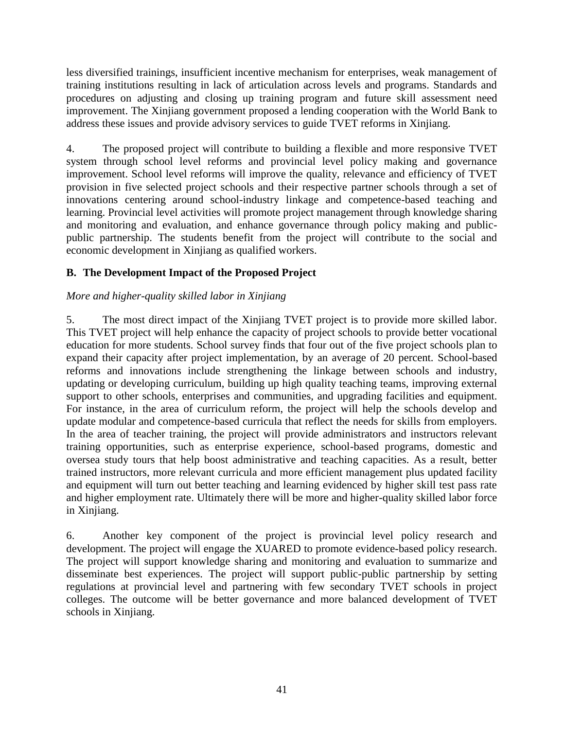less diversified trainings, insufficient incentive mechanism for enterprises, weak management of training institutions resulting in lack of articulation across levels and programs. Standards and procedures on adjusting and closing up training program and future skill assessment need improvement. The Xinjiang government proposed a lending cooperation with the World Bank to address these issues and provide advisory services to guide TVET reforms in Xinjiang.

4. The proposed project will contribute to building a flexible and more responsive TVET system through school level reforms and provincial level policy making and governance improvement. School level reforms will improve the quality, relevance and efficiency of TVET provision in five selected project schools and their respective partner schools through a set of innovations centering around school-industry linkage and competence-based teaching and learning. Provincial level activities will promote project management through knowledge sharing and monitoring and evaluation, and enhance governance through policy making and publicpublic partnership. The students benefit from the project will contribute to the social and economic development in Xinjiang as qualified workers.

### **B. The Development Impact of the Proposed Project**

## *More and higher-quality skilled labor in Xinjiang*

5. The most direct impact of the Xinjiang TVET project is to provide more skilled labor. This TVET project will help enhance the capacity of project schools to provide better vocational education for more students. School survey finds that four out of the five project schools plan to expand their capacity after project implementation, by an average of 20 percent. School-based reforms and innovations include strengthening the linkage between schools and industry, updating or developing curriculum, building up high quality teaching teams, improving external support to other schools, enterprises and communities, and upgrading facilities and equipment. For instance, in the area of curriculum reform, the project will help the schools develop and update modular and competence-based curricula that reflect the needs for skills from employers. In the area of teacher training, the project will provide administrators and instructors relevant training opportunities, such as enterprise experience, school-based programs, domestic and oversea study tours that help boost administrative and teaching capacities. As a result, better trained instructors, more relevant curricula and more efficient management plus updated facility and equipment will turn out better teaching and learning evidenced by higher skill test pass rate and higher employment rate. Ultimately there will be more and higher-quality skilled labor force in Xinjiang.

6. Another key component of the project is provincial level policy research and development. The project will engage the XUARED to promote evidence-based policy research. The project will support knowledge sharing and monitoring and evaluation to summarize and disseminate best experiences. The project will support public-public partnership by setting regulations at provincial level and partnering with few secondary TVET schools in project colleges. The outcome will be better governance and more balanced development of TVET schools in Xinjiang.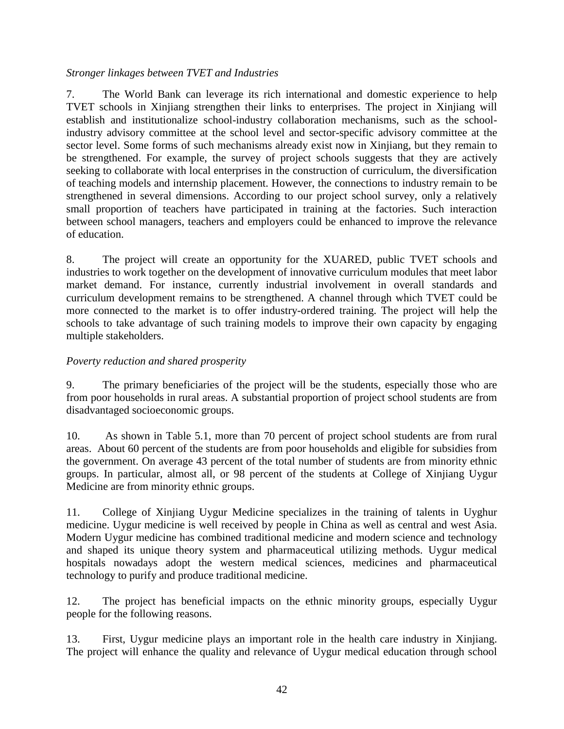### *Stronger linkages between TVET and Industries*

7. The World Bank can leverage its rich international and domestic experience to help TVET schools in Xinjiang strengthen their links to enterprises. The project in Xinjiang will establish and institutionalize school-industry collaboration mechanisms, such as the schoolindustry advisory committee at the school level and sector-specific advisory committee at the sector level. Some forms of such mechanisms already exist now in Xinjiang, but they remain to be strengthened. For example, the survey of project schools suggests that they are actively seeking to collaborate with local enterprises in the construction of curriculum, the diversification of teaching models and internship placement. However, the connections to industry remain to be strengthened in several dimensions. According to our project school survey, only a relatively small proportion of teachers have participated in training at the factories. Such interaction between school managers, teachers and employers could be enhanced to improve the relevance of education.

8. The project will create an opportunity for the XUARED, public TVET schools and industries to work together on the development of innovative curriculum modules that meet labor market demand. For instance, currently industrial involvement in overall standards and curriculum development remains to be strengthened. A channel through which TVET could be more connected to the market is to offer industry-ordered training. The project will help the schools to take advantage of such training models to improve their own capacity by engaging multiple stakeholders.

### *Poverty reduction and shared prosperity*

9. The primary beneficiaries of the project will be the students, especially those who are from poor households in rural areas. A substantial proportion of project school students are from disadvantaged socioeconomic groups.

10. As shown in Table 5.1, more than 70 percent of project school students are from rural areas. About 60 percent of the students are from poor households and eligible for subsidies from the government. On average 43 percent of the total number of students are from minority ethnic groups. In particular, almost all, or 98 percent of the students at College of Xinjiang Uygur Medicine are from minority ethnic groups.

11. College of Xinjiang Uygur Medicine specializes in the training of talents in Uyghur medicine. Uygur medicine is well received by people in China as well as central and west Asia. Modern Uygur medicine has combined traditional medicine and modern science and technology and shaped its unique theory system and pharmaceutical utilizing methods. Uygur medical hospitals nowadays adopt the western medical sciences, medicines and pharmaceutical technology to purify and produce traditional medicine.

12. The project has beneficial impacts on the ethnic minority groups, especially Uygur people for the following reasons.

13. First, Uygur medicine plays an important role in the health care industry in Xinjiang. The project will enhance the quality and relevance of Uygur medical education through school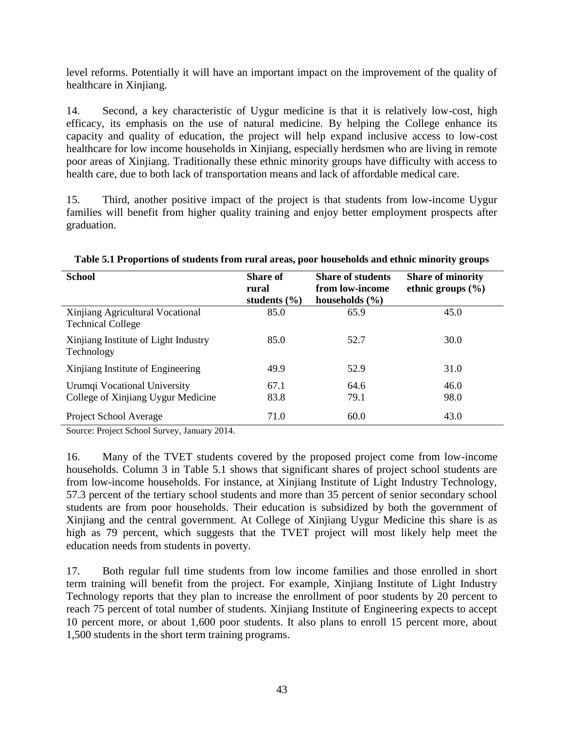level reforms. Potentially it will have an important impact on the improvement of the quality of healthcare in Xinjiang.

14. Second, a key characteristic of Uygur medicine is that it is relatively low-cost, high efficacy, its emphasis on the use of natural medicine. By helping the College enhance its capacity and quality of education, the project will help expand inclusive access to low-cost healthcare for low income households in Xinjiang, especially herdsmen who are living in remote poor areas of Xinjiang. Traditionally these ethnic minority groups have difficulty with access to health care, due to both lack of transportation means and lack of affordable medical care.

15. Third, another positive impact of the project is that students from low-income Uygur families will benefit from higher quality training and enjoy better employment prospects after graduation.

| <b>School</b>                                                      | <b>Share of</b><br>rural<br>students $(\% )$ | <b>Share of students</b><br>from low-income<br>households $(\% )$ | <b>Share of minority</b><br>ethnic groups $(\% )$ |
|--------------------------------------------------------------------|----------------------------------------------|-------------------------------------------------------------------|---------------------------------------------------|
| Xinjiang Agricultural Vocational<br><b>Technical College</b>       | 85.0                                         | 65.9                                                              | 45.0                                              |
| Xinjiang Institute of Light Industry<br>Technology                 | 85.0                                         | 52.7                                                              | 30.0                                              |
| Xinjiang Institute of Engineering                                  | 49.9                                         | 52.9                                                              | 31.0                                              |
| Urumqi Vocational University<br>College of Xinjiang Uygur Medicine | 67.1<br>83.8                                 | 64.6<br>79.1                                                      | 46.0<br>98.0                                      |
| Project School Average                                             | 71.0                                         | 60.0                                                              | 43.0                                              |

**Table 5.1 Proportions of students from rural areas, poor households and ethnic minority groups**

Source: Project School Survey, January 2014.

16. Many of the TVET students covered by the proposed project come from low-income households. Column 3 in Table 5.1 shows that significant shares of project school students are from low-income households. For instance, at Xinjiang Institute of Light Industry Technology, 57.3 percent of the tertiary school students and more than 35 percent of senior secondary school students are from poor households. Their education is subsidized by both the government of Xinjiang and the central government. At College of Xinjiang Uygur Medicine this share is as high as 79 percent, which suggests that the TVET project will most likely help meet the education needs from students in poverty.

17. Both regular full time students from low income families and those enrolled in short term training will benefit from the project. For example, Xinjiang Institute of Light Industry Technology reports that they plan to increase the enrollment of poor students by 20 percent to reach 75 percent of total number of students. Xinjiang Institute of Engineering expects to accept 10 percent more, or about 1,600 poor students. It also plans to enroll 15 percent more, about 1,500 students in the short term training programs.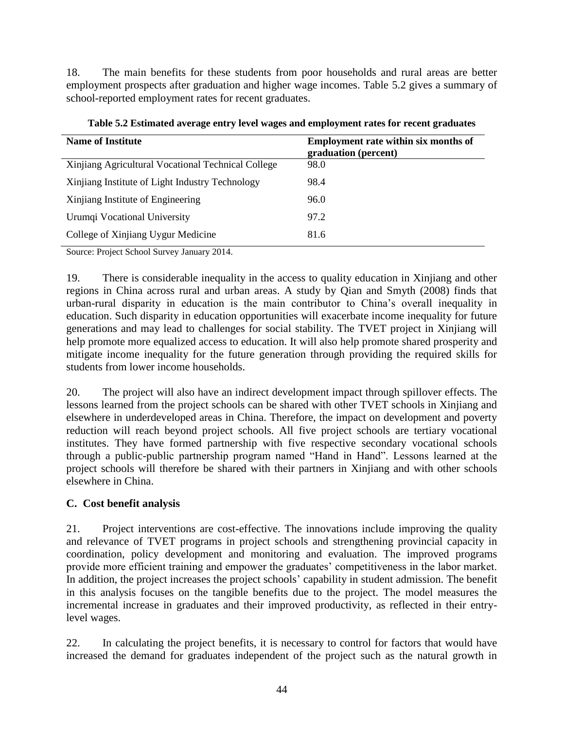18. The main benefits for these students from poor households and rural areas are better employment prospects after graduation and higher wage incomes. Table 5.2 gives a summary of school-reported employment rates for recent graduates.

| <b>Name of Institute</b>                           | <b>Employment rate within six months of</b><br>graduation (percent) |
|----------------------------------------------------|---------------------------------------------------------------------|
| Xinjiang Agricultural Vocational Technical College | 98.0                                                                |
| Xinjiang Institute of Light Industry Technology    | 98.4                                                                |
| Xinjiang Institute of Engineering                  | 96.0                                                                |
| Urumqi Vocational University                       | 97.2                                                                |
| College of Xinjiang Uygur Medicine                 | 81.6                                                                |

**Table 5.2 Estimated average entry level wages and employment rates for recent graduates**

Source: Project School Survey January 2014.

19. There is considerable inequality in the access to quality education in Xinjiang and other regions in China across rural and urban areas. A study by Qian and Smyth (2008) finds that urban-rural disparity in education is the main contributor to China's overall inequality in education. Such disparity in education opportunities will exacerbate income inequality for future generations and may lead to challenges for social stability. The TVET project in Xinjiang will help promote more equalized access to education. It will also help promote shared prosperity and mitigate income inequality for the future generation through providing the required skills for students from lower income households.

20. The project will also have an indirect development impact through spillover effects. The lessons learned from the project schools can be shared with other TVET schools in Xinjiang and elsewhere in underdeveloped areas in China. Therefore, the impact on development and poverty reduction will reach beyond project schools. All five project schools are tertiary vocational institutes. They have formed partnership with five respective secondary vocational schools through a public-public partnership program named "Hand in Hand". Lessons learned at the project schools will therefore be shared with their partners in Xinjiang and with other schools elsewhere in China.

## **C. Cost benefit analysis**

21. Project interventions are cost-effective. The innovations include improving the quality and relevance of TVET programs in project schools and strengthening provincial capacity in coordination, policy development and monitoring and evaluation. The improved programs provide more efficient training and empower the graduates' competitiveness in the labor market. In addition, the project increases the project schools' capability in student admission. The benefit in this analysis focuses on the tangible benefits due to the project. The model measures the incremental increase in graduates and their improved productivity, as reflected in their entrylevel wages.

22. In calculating the project benefits, it is necessary to control for factors that would have increased the demand for graduates independent of the project such as the natural growth in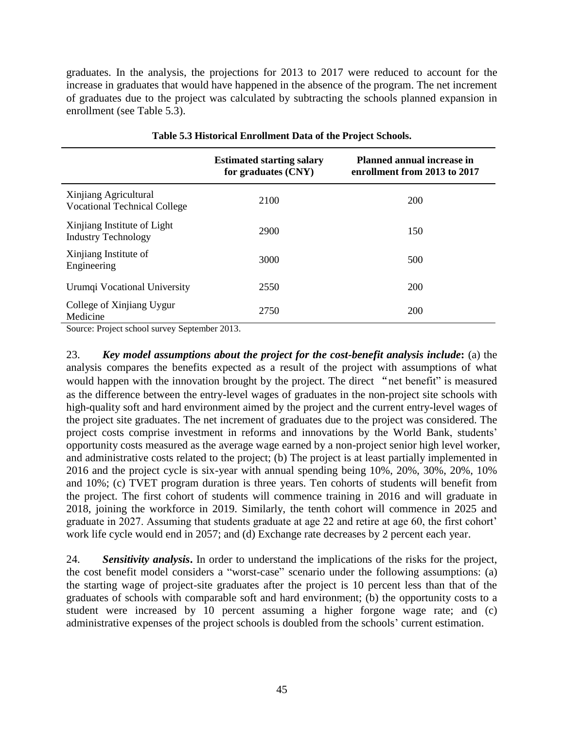graduates. In the analysis, the projections for 2013 to 2017 were reduced to account for the increase in graduates that would have happened in the absence of the program. The net increment of graduates due to the project was calculated by subtracting the schools planned expansion in enrollment (see Table 5.3).

|                                                              | <b>Estimated starting salary</b><br>for graduates (CNY) | Planned annual increase in<br>enrollment from 2013 to 2017 |
|--------------------------------------------------------------|---------------------------------------------------------|------------------------------------------------------------|
| Xinjiang Agricultural<br><b>Vocational Technical College</b> | 2100                                                    | 200                                                        |
| Xinjiang Institute of Light<br><b>Industry Technology</b>    | 2900                                                    | 150                                                        |
| Xinjiang Institute of<br>Engineering                         | 3000                                                    | 500                                                        |
| Urumqi Vocational University                                 | 2550                                                    | 200                                                        |
| College of Xinjiang Uygur<br>Medicine                        | 2750                                                    | <b>200</b>                                                 |

**Table 5.3 Historical Enrollment Data of the Project Schools.**

Source: Project school survey September 2013.

23. *Key model assumptions about the project for the cost-benefit analysis include***:** (a) the analysis compares the benefits expected as a result of the project with assumptions of what would happen with the innovation brought by the project. The direct "net benefit" is measured as the difference between the entry-level wages of graduates in the non-project site schools with high-quality soft and hard environment aimed by the project and the current entry-level wages of the project site graduates. The net increment of graduates due to the project was considered. The project costs comprise investment in reforms and innovations by the World Bank, students' opportunity costs measured as the average wage earned by a non-project senior high level worker, and administrative costs related to the project; (b) The project is at least partially implemented in 2016 and the project cycle is six-year with annual spending being 10%, 20%, 30%, 20%, 10% and 10%; (c) TVET program duration is three years. Ten cohorts of students will benefit from the project. The first cohort of students will commence training in 2016 and will graduate in 2018, joining the workforce in 2019. Similarly, the tenth cohort will commence in 2025 and graduate in 2027. Assuming that students graduate at age 22 and retire at age 60, the first cohort' work life cycle would end in 2057; and (d) Exchange rate decreases by 2 percent each year.

24. *Sensitivity analysis***.** In order to understand the implications of the risks for the project, the cost benefit model considers a "worst-case" scenario under the following assumptions: (a) the starting wage of project-site graduates after the project is 10 percent less than that of the graduates of schools with comparable soft and hard environment; (b) the opportunity costs to a student were increased by 10 percent assuming a higher forgone wage rate; and (c) administrative expenses of the project schools is doubled from the schools' current estimation.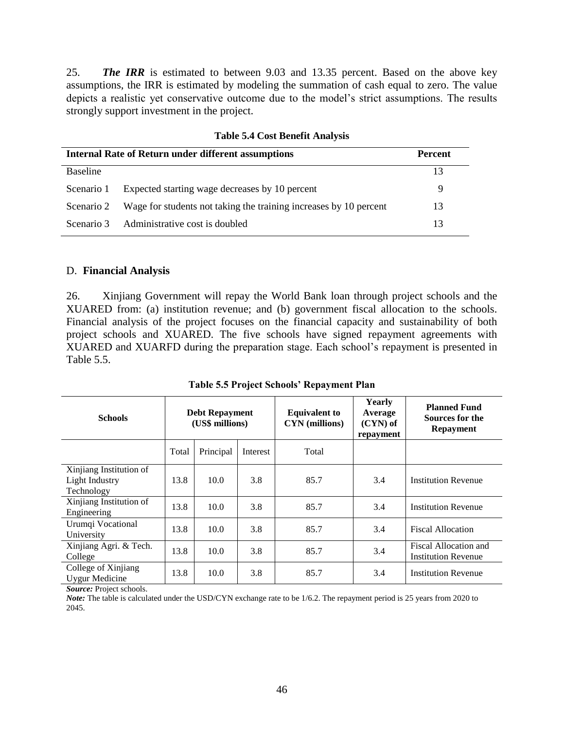25. *The IRR* is estimated to between 9.03 and 13.35 percent. Based on the above key assumptions, the IRR is estimated by modeling the summation of cash equal to zero. The value depicts a realistic yet conservative outcome due to the model's strict assumptions. The results strongly support investment in the project.

|                 | <b>Internal Rate of Return under different assumptions</b>        | <b>Percent</b> |
|-----------------|-------------------------------------------------------------------|----------------|
| <b>Baseline</b> |                                                                   | 13             |
| Scenario 1      | Expected starting wage decreases by 10 percent                    | 9              |
| Scenario 2      | Wage for students not taking the training increases by 10 percent | 13             |
| Scenario 3      | Administrative cost is doubled                                    | 13             |

**Table 5.4 Cost Benefit Analysis**

#### D. **Financial Analysis**

26. Xinjiang Government will repay the World Bank loan through project schools and the XUARED from: (a) institution revenue; and (b) government fiscal allocation to the schools. Financial analysis of the project focuses on the financial capacity and sustainability of both project schools and XUARED. The five schools have signed repayment agreements with XUARED and XUARFD during the preparation stage. Each school's repayment is presented in Table 5.5.

**Table 5.5 Project Schools' Repayment Plan**

| <b>Schools</b>                                          |       | <b>Debt Repayment</b><br>(US\$ millions) |          | <b>Equivalent to</b><br><b>CYN</b> (millions) | Yearly<br>Average<br>$(CYN)$ of<br>repayment | <b>Planned Fund</b><br>Sources for the<br><b>Repayment</b> |
|---------------------------------------------------------|-------|------------------------------------------|----------|-----------------------------------------------|----------------------------------------------|------------------------------------------------------------|
|                                                         | Total | Principal                                | Interest | Total                                         |                                              |                                                            |
| Xinjiang Institution of<br>Light Industry<br>Technology | 13.8  | 10.0                                     | 3.8      | 85.7                                          | 3.4                                          | <b>Institution Revenue</b>                                 |
| Xinjiang Institution of<br>Engineering                  | 13.8  | 10.0                                     | 3.8      | 85.7                                          | 3.4                                          | <b>Institution Revenue</b>                                 |
| Urumqi Vocational<br>University                         | 13.8  | 10.0                                     | 3.8      | 85.7                                          | 3.4                                          | <b>Fiscal Allocation</b>                                   |
| Xinjiang Agri. & Tech.<br>College                       | 13.8  | 10.0                                     | 3.8      | 85.7                                          | 3.4                                          | Fiscal Allocation and<br><b>Institution Revenue</b>        |
| College of Xinjiang<br><b>Uygur Medicine</b>            | 13.8  | 10.0                                     | 3.8      | 85.7                                          | 3.4                                          | <b>Institution Revenue</b>                                 |

*Source:* Project schools.

*Note:* The table is calculated under the USD/CYN exchange rate to be 1/6.2. The repayment period is 25 years from 2020 to 2045.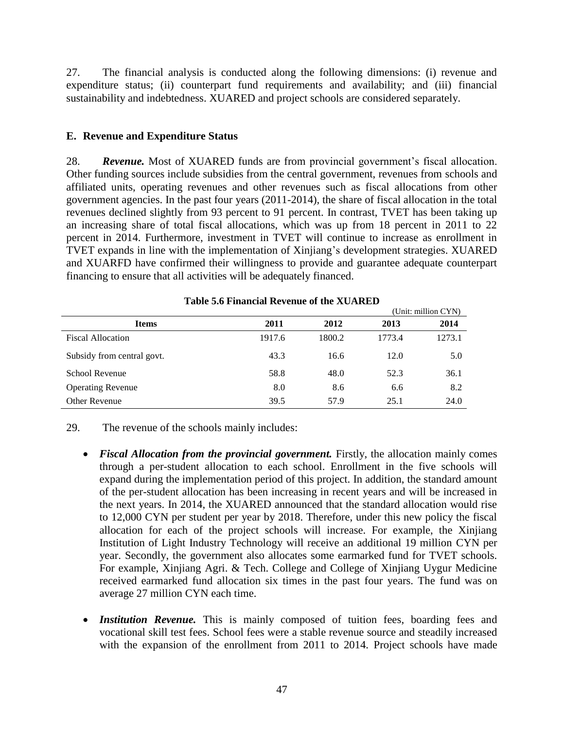27. The financial analysis is conducted along the following dimensions: (i) revenue and expenditure status; (ii) counterpart fund requirements and availability; and (iii) financial sustainability and indebtedness. XUARED and project schools are considered separately.

## **E. Revenue and Expenditure Status**

28. *Revenue.* Most of XUARED funds are from provincial government's fiscal allocation. Other funding sources include subsidies from the central government, revenues from schools and affiliated units, operating revenues and other revenues such as fiscal allocations from other government agencies. In the past four years (2011-2014), the share of fiscal allocation in the total revenues declined slightly from 93 percent to 91 percent. In contrast, TVET has been taking up an increasing share of total fiscal allocations, which was up from 18 percent in 2011 to 22 percent in 2014. Furthermore, investment in TVET will continue to increase as enrollment in TVET expands in line with the implementation of Xinjiang's development strategies. XUARED and XUARFD have confirmed their willingness to provide and guarantee adequate counterpart financing to ensure that all activities will be adequately financed.

|                            |        |        |        | (Unit: million CYN) |  |  |  |
|----------------------------|--------|--------|--------|---------------------|--|--|--|
| <b>Items</b>               | 2011   | 2012   | 2013   | 2014                |  |  |  |
| <b>Fiscal Allocation</b>   | 1917.6 | 1800.2 | 1773.4 | 1273.1              |  |  |  |
| Subsidy from central govt. | 43.3   | 16.6   | 12.0   | 5.0                 |  |  |  |
| School Revenue             | 58.8   | 48.0   | 52.3   | 36.1                |  |  |  |
| <b>Operating Revenue</b>   | 8.0    | 8.6    | 6.6    | 8.2                 |  |  |  |
| Other Revenue              | 39.5   | 57.9   | 25.1   | 24.0                |  |  |  |

**Table 5.6 Financial Revenue of the XUARED**

### 29. The revenue of the schools mainly includes:

- *Fiscal Allocation from the provincial government.* Firstly, the allocation mainly comes through a per-student allocation to each school. Enrollment in the five schools will expand during the implementation period of this project. In addition, the standard amount of the per-student allocation has been increasing in recent years and will be increased in the next years. In 2014, the XUARED announced that the standard allocation would rise to 12,000 CYN per student per year by 2018. Therefore, under this new policy the fiscal allocation for each of the project schools will increase. For example, the Xinjiang Institution of Light Industry Technology will receive an additional 19 million CYN per year. Secondly, the government also allocates some earmarked fund for TVET schools. For example, Xinjiang Agri. & Tech. College and College of Xinjiang Uygur Medicine received earmarked fund allocation six times in the past four years. The fund was on average 27 million CYN each time.
- *Institution Revenue*. This is mainly composed of tuition fees, boarding fees and vocational skill test fees. School fees were a stable revenue source and steadily increased with the expansion of the enrollment from 2011 to 2014. Project schools have made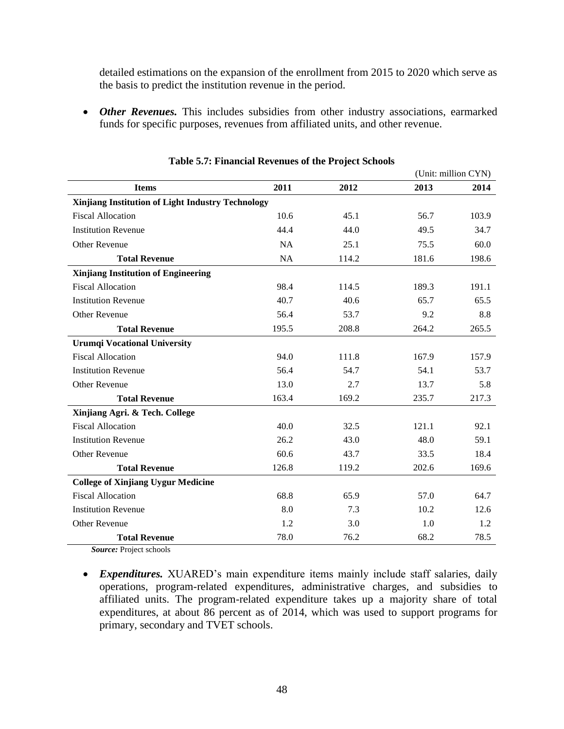detailed estimations on the expansion of the enrollment from 2015 to 2020 which serve as the basis to predict the institution revenue in the period.

 *Other Revenues.* This includes subsidies from other industry associations, earmarked funds for specific purposes, revenues from affiliated units, and other revenue.

|                                                   |           |       | (Unit: million CYN) |       |  |
|---------------------------------------------------|-----------|-------|---------------------|-------|--|
| <b>Items</b>                                      | 2011      | 2012  | 2013                | 2014  |  |
| Xinjiang Institution of Light Industry Technology |           |       |                     |       |  |
| <b>Fiscal Allocation</b>                          | 10.6      | 45.1  | 56.7                | 103.9 |  |
| <b>Institution Revenue</b>                        | 44.4      | 44.0  | 49.5                | 34.7  |  |
| <b>Other Revenue</b>                              | <b>NA</b> | 25.1  | 75.5                | 60.0  |  |
| <b>Total Revenue</b>                              | <b>NA</b> | 114.2 | 181.6               | 198.6 |  |
| <b>Xinjiang Institution of Engineering</b>        |           |       |                     |       |  |
| <b>Fiscal Allocation</b>                          | 98.4      | 114.5 | 189.3               | 191.1 |  |
| <b>Institution Revenue</b>                        | 40.7      | 40.6  | 65.7                | 65.5  |  |
| Other Revenue                                     | 56.4      | 53.7  | 9.2                 | 8.8   |  |
| <b>Total Revenue</b>                              | 195.5     | 208.8 | 264.2               | 265.5 |  |
| <b>Urumqi Vocational University</b>               |           |       |                     |       |  |
| <b>Fiscal Allocation</b>                          | 94.0      | 111.8 | 167.9               | 157.9 |  |
| <b>Institution Revenue</b>                        | 56.4      | 54.7  | 54.1                | 53.7  |  |
| Other Revenue                                     | 13.0      | 2.7   | 13.7                | 5.8   |  |
| <b>Total Revenue</b>                              | 163.4     | 169.2 | 235.7               | 217.3 |  |
| Xinjiang Agri. & Tech. College                    |           |       |                     |       |  |
| <b>Fiscal Allocation</b>                          | 40.0      | 32.5  | 121.1               | 92.1  |  |
| <b>Institution Revenue</b>                        | 26.2      | 43.0  | 48.0                | 59.1  |  |
| <b>Other Revenue</b>                              | 60.6      | 43.7  | 33.5                | 18.4  |  |
| <b>Total Revenue</b>                              | 126.8     | 119.2 | 202.6               | 169.6 |  |
| <b>College of Xinjiang Uygur Medicine</b>         |           |       |                     |       |  |
| <b>Fiscal Allocation</b>                          | 68.8      | 65.9  | 57.0                | 64.7  |  |
| <b>Institution Revenue</b>                        | 8.0       | 7.3   | 10.2                | 12.6  |  |
| <b>Other Revenue</b>                              | 1.2       | 3.0   | 1.0                 | 1.2   |  |
| <b>Total Revenue</b>                              | 78.0      | 76.2  | 68.2                | 78.5  |  |

**Table 5.7: Financial Revenues of the Project Schools**

*Source:* Project schools

 *Expenditures.* XUARED's main expenditure items mainly include staff salaries, daily operations, program-related expenditures, administrative charges, and subsidies to affiliated units. The program-related expenditure takes up a majority share of total expenditures, at about 86 percent as of 2014, which was used to support programs for primary, secondary and TVET schools.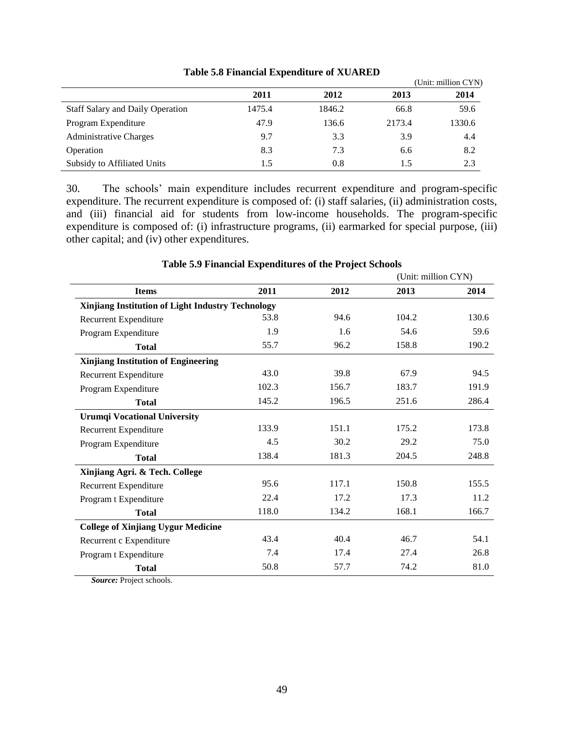|                                         |        |        |        | (Unit: million CYN) |
|-----------------------------------------|--------|--------|--------|---------------------|
|                                         | 2011   | 2012   | 2013   | 2014                |
| <b>Staff Salary and Daily Operation</b> | 1475.4 | 1846.2 | 66.8   | 59.6                |
| Program Expenditure                     | 47.9   | 136.6  | 2173.4 | 1330.6              |
| <b>Administrative Charges</b>           | 9.7    | 3.3    | 3.9    | 4.4                 |
| Operation                               | 8.3    | 7.3    | 6.6    | 8.2                 |
| Subsidy to Affiliated Units             | 1.5    | 0.8    | 1.5    | 2.3                 |

**Table 5.8 Financial Expenditure of XUARED**

30. The schools' main expenditure includes recurrent expenditure and program-specific expenditure. The recurrent expenditure is composed of: (i) staff salaries, (ii) administration costs, and (iii) financial aid for students from low-income households. The program-specific expenditure is composed of: (i) infrastructure programs, (ii) earmarked for special purpose, (iii) other capital; and (iv) other expenditures.

|                                                   |       |       | (Unit: million CYN) |       |  |
|---------------------------------------------------|-------|-------|---------------------|-------|--|
| <b>Items</b>                                      | 2011  | 2012  | 2013                | 2014  |  |
| Xinjiang Institution of Light Industry Technology |       |       |                     |       |  |
| <b>Recurrent Expenditure</b>                      | 53.8  | 94.6  | 104.2               | 130.6 |  |
| Program Expenditure                               | 1.9   | 1.6   | 54.6                | 59.6  |  |
| <b>Total</b>                                      | 55.7  | 96.2  | 158.8               | 190.2 |  |
| <b>Xinjiang Institution of Engineering</b>        |       |       |                     |       |  |
| <b>Recurrent Expenditure</b>                      | 43.0  | 39.8  | 67.9                | 94.5  |  |
| Program Expenditure                               | 102.3 | 156.7 | 183.7               | 191.9 |  |
| <b>Total</b>                                      | 145.2 | 196.5 | 251.6               | 286.4 |  |
| <b>Urumqi Vocational University</b>               |       |       |                     |       |  |
| Recurrent Expenditure                             | 133.9 | 151.1 | 175.2               | 173.8 |  |
| Program Expenditure                               | 4.5   | 30.2  | 29.2                | 75.0  |  |
| <b>Total</b>                                      | 138.4 | 181.3 | 204.5               | 248.8 |  |
| Xinjiang Agri. & Tech. College                    |       |       |                     |       |  |
| Recurrent Expenditure                             | 95.6  | 117.1 | 150.8               | 155.5 |  |
| Program t Expenditure                             | 22.4  | 17.2  | 17.3                | 11.2  |  |
| <b>Total</b>                                      | 118.0 | 134.2 | 168.1               | 166.7 |  |
| <b>College of Xinjiang Uygur Medicine</b>         |       |       |                     |       |  |
| Recurrent c Expenditure                           | 43.4  | 40.4  | 46.7                | 54.1  |  |
| Program t Expenditure                             | 7.4   | 17.4  | 27.4                | 26.8  |  |
| <b>Total</b>                                      | 50.8  | 57.7  | 74.2                | 81.0  |  |

### **Table 5.9 Financial Expenditures of the Project Schools**

*Source:* Project schools.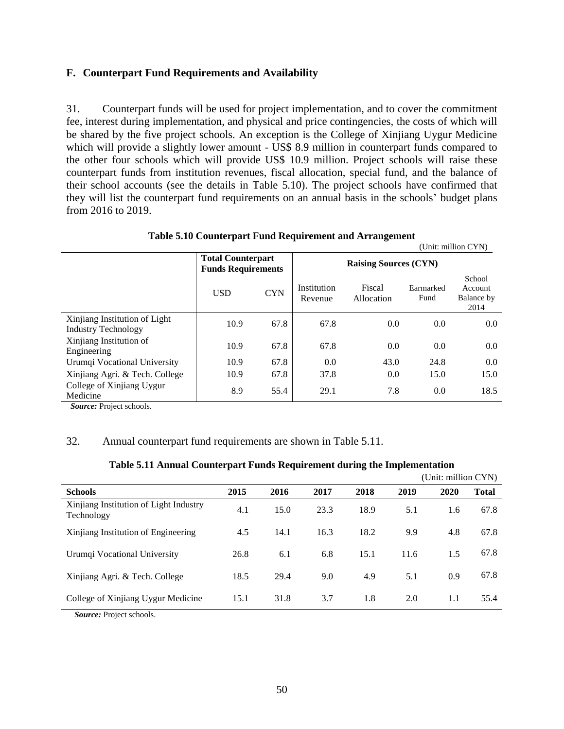### **F. Counterpart Fund Requirements and Availability**

31. Counterpart funds will be used for project implementation, and to cover the commitment fee, interest during implementation, and physical and price contingencies, the costs of which will be shared by the five project schools. An exception is the College of Xinjiang Uygur Medicine which will provide a slightly lower amount - US\$ 8.9 million in counterpart funds compared to the other four schools which will provide US\$ 10.9 million. Project schools will raise these counterpart funds from institution revenues, fiscal allocation, special fund, and the balance of their school accounts (see the details in Table 5.10). The project schools have confirmed that they will list the counterpart fund requirements on an annual basis in the schools' budget plans from 2016 to 2019.

|                                                             |                                                       |            |                        |                              |                   | (Unit: million CYN)                     |  |
|-------------------------------------------------------------|-------------------------------------------------------|------------|------------------------|------------------------------|-------------------|-----------------------------------------|--|
|                                                             | <b>Total Counterpart</b><br><b>Funds Requirements</b> |            |                        | <b>Raising Sources (CYN)</b> |                   |                                         |  |
|                                                             | <b>USD</b>                                            | <b>CYN</b> | Institution<br>Revenue | Fiscal<br>Allocation         | Earmarked<br>Fund | School<br>Account<br>Balance by<br>2014 |  |
| Xinjiang Institution of Light<br><b>Industry Technology</b> | 10.9                                                  | 67.8       | 67.8                   | 0.0                          | 0.0               | 0.0                                     |  |
| Xinjiang Institution of<br>Engineering                      | 10.9                                                  | 67.8       | 67.8                   | 0.0                          | 0.0               | 0.0                                     |  |
| Urumqi Vocational University                                | 10.9                                                  | 67.8       | 0.0                    | 43.0                         | 24.8              | 0.0                                     |  |
| Xinjiang Agri. & Tech. College                              | 10.9                                                  | 67.8       | 37.8                   | 0.0                          | 15.0              | 15.0                                    |  |
| College of Xinjiang Uygur<br>Medicine                       | 8.9                                                   | 55.4       | 29.1                   | 7.8                          | 0.0               | 18.5                                    |  |

#### **Table 5.10 Counterpart Fund Requirement and Arrangement**

 *Source:* Project schools.

#### 32. Annual counterpart fund requirements are shown in Table 5.11.

#### **Table 5.11 Annual Counterpart Funds Requirement during the Implementation**

|                                                      |      |      |      |      |      | (Unit: million CYN) |              |
|------------------------------------------------------|------|------|------|------|------|---------------------|--------------|
| <b>Schools</b>                                       | 2015 | 2016 | 2017 | 2018 | 2019 | 2020                | <b>Total</b> |
| Xinjiang Institution of Light Industry<br>Technology | 4.1  | 15.0 | 23.3 | 18.9 | 5.1  | 1.6                 | 67.8         |
| Xinjiang Institution of Engineering                  | 4.5  | 14.1 | 16.3 | 18.2 | 9.9  | 4.8                 | 67.8         |
| Urumqi Vocational University                         | 26.8 | 6.1  | 6.8  | 15.1 | 11.6 | 1.5                 | 67.8         |
| Xinjiang Agri. & Tech. College                       | 18.5 | 29.4 | 9.0  | 4.9  | 5.1  | 0.9                 | 67.8         |
| College of Xinjiang Uygur Medicine                   | 15.1 | 31.8 | 3.7  | 1.8  | 2.0  | 1.1                 | 55.4         |
| $\sim$                                               |      |      |      |      |      |                     |              |

*Source:* Project schools.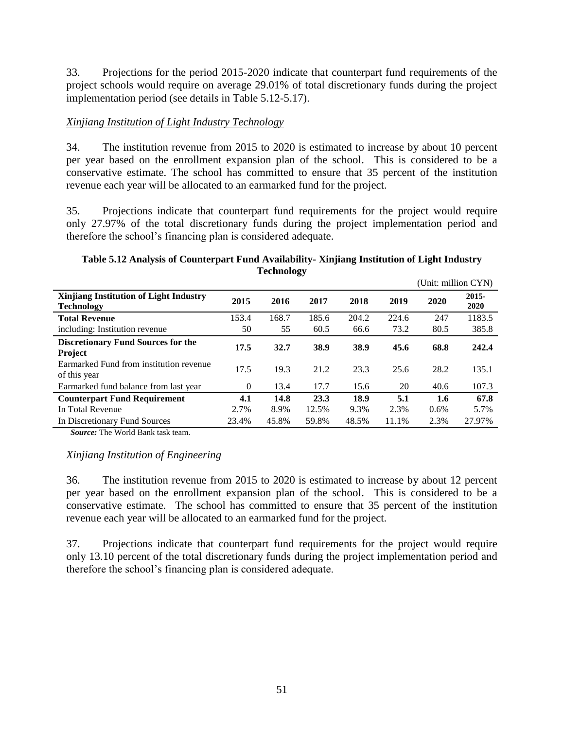33. Projections for the period 2015-2020 indicate that counterpart fund requirements of the project schools would require on average 29.01% of total discretionary funds during the project implementation period (see details in Table 5.12-5.17).

#### *Xinjiang Institution of Light Industry Technology*

34. The institution revenue from 2015 to 2020 is estimated to increase by about 10 percent per year based on the enrollment expansion plan of the school. This is considered to be a conservative estimate. The school has committed to ensure that 35 percent of the institution revenue each year will be allocated to an earmarked fund for the project.

35. Projections indicate that counterpart fund requirements for the project would require only 27.97% of the total discretionary funds during the project implementation period and therefore the school's financing plan is considered adequate.

#### **Table 5.12 Analysis of Counterpart Fund Availability- Xinjiang Institution of Light Industry Technology**  $(U_{\text{min}})$  million  $CVM$

|                                                                    |          |       |       |       |       |         | UIIII: IIIIIIIIIIIII U I IN |
|--------------------------------------------------------------------|----------|-------|-------|-------|-------|---------|-----------------------------|
| <b>Xinjiang Institution of Light Industry</b><br><b>Technology</b> | 2015     | 2016  | 2017  | 2018  | 2019  | 2020    | $2015 -$<br>2020            |
| <b>Total Revenue</b>                                               | 153.4    | 168.7 | 185.6 | 204.2 | 224.6 | 247     | 1183.5                      |
| including: Institution revenue                                     | 50       | 55    | 60.5  | 66.6  | 73.2  | 80.5    | 385.8                       |
| <b>Discretionary Fund Sources for the</b><br><b>Project</b>        | 17.5     | 32.7  | 38.9  | 38.9  | 45.6  | 68.8    | 242.4                       |
| Earmarked Fund from institution revenue<br>of this year            | 17.5     | 19.3  | 21.2  | 23.3  | 25.6  | 28.2    | 135.1                       |
| Earmarked fund balance from last year                              | $\Omega$ | 13.4  | 17.7  | 15.6  | 20    | 40.6    | 107.3                       |
| <b>Counterpart Fund Requirement</b>                                | 4.1      | 14.8  | 23.3  | 18.9  | 5.1   | 1.6     | 67.8                        |
| In Total Revenue                                                   | 2.7%     | 8.9%  | 12.5% | 9.3%  | 2.3%  | $0.6\%$ | 5.7%                        |
| In Discretionary Fund Sources                                      | 23.4%    | 45.8% | 59.8% | 48.5% | 11.1% | 2.3%    | 27.97%                      |

 *Source:* The World Bank task team.

#### *Xinjiang Institution of Engineering*

36. The institution revenue from 2015 to 2020 is estimated to increase by about 12 percent per year based on the enrollment expansion plan of the school. This is considered to be a conservative estimate. The school has committed to ensure that 35 percent of the institution revenue each year will be allocated to an earmarked fund for the project.

37. Projections indicate that counterpart fund requirements for the project would require only 13.10 percent of the total discretionary funds during the project implementation period and therefore the school's financing plan is considered adequate.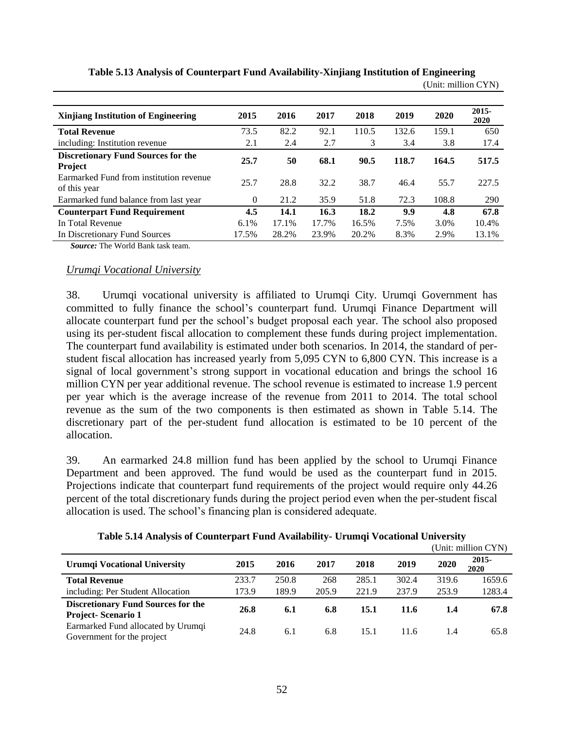| <b>Xinjiang Institution of Engineering</b>              | 2015     | 2016  | 2017  | 2018  | 2019  | 2020  | $2015 -$<br>2020 |
|---------------------------------------------------------|----------|-------|-------|-------|-------|-------|------------------|
| <b>Total Revenue</b>                                    | 73.5     | 82.2  | 92.1  | 110.5 | 132.6 | 159.1 | 650              |
| including: Institution revenue                          | 2.1      | 2.4   | 2.7   | 3     | 3.4   | 3.8   | 17.4             |
| <b>Discretionary Fund Sources for the</b><br>Project    | 25.7     | 50    | 68.1  | 90.5  | 118.7 | 164.5 | 517.5            |
| Earmarked Fund from institution revenue<br>of this year | 25.7     | 28.8  | 32.2  | 38.7  | 46.4  | 55.7  | 227.5            |
| Earmarked fund balance from last year                   | $\Omega$ | 21.2  | 35.9  | 51.8  | 72.3  | 108.8 | 290              |
| <b>Counterpart Fund Requirement</b>                     | 4.5      | 14.1  | 16.3  | 18.2  | 9.9   | 4.8   | 67.8             |
| In Total Revenue                                        | 6.1%     | 17.1% | 17.7% | 16.5% | 7.5%  | 3.0%  | 10.4%            |
| In Discretionary Fund Sources                           | 17.5%    | 28.2% | 23.9% | 20.2% | 8.3%  | 2.9%  | 13.1%            |

**Table 5.13 Analysis of Counterpart Fund Availability-Xinjiang Institution of Engineering** (Unit: million CYN)

 *Source:* The World Bank task team.

#### *Urumqi Vocational University*

38. Urumqi vocational university is affiliated to Urumqi City. Urumqi Government has committed to fully finance the school's counterpart fund. Urumqi Finance Department will allocate counterpart fund per the school's budget proposal each year. The school also proposed using its per-student fiscal allocation to complement these funds during project implementation. The counterpart fund availability is estimated under both scenarios. In 2014, the standard of perstudent fiscal allocation has increased yearly from 5,095 CYN to 6,800 CYN. This increase is a signal of local government's strong support in vocational education and brings the school 16 million CYN per year additional revenue. The school revenue is estimated to increase 1.9 percent per year which is the average increase of the revenue from 2011 to 2014. The total school revenue as the sum of the two components is then estimated as shown in Table 5.14. The discretionary part of the per-student fund allocation is estimated to be 10 percent of the allocation.

39. An earmarked 24.8 million fund has been applied by the school to Urumqi Finance Department and been approved. The fund would be used as the counterpart fund in 2015. Projections indicate that counterpart fund requirements of the project would require only 44.26 percent of the total discretionary funds during the project period even when the per-student fiscal allocation is used. The school's financing plan is considered adequate.

|                                                                        |       |       |       |       |       |       | (Unit: million CYN) |
|------------------------------------------------------------------------|-------|-------|-------|-------|-------|-------|---------------------|
| Urumqi Vocational University                                           | 2015  | 2016  | 2017  | 2018  | 2019  | 2020  | $2015 -$<br>2020    |
| <b>Total Revenue</b>                                                   | 233.7 | 250.8 | 268   | 285.1 | 302.4 | 319.6 | 1659.6              |
| including: Per Student Allocation                                      | 173.9 | 189.9 | 205.9 | 221.9 | 237.9 | 253.9 | 1283.4              |
| <b>Discretionary Fund Sources for the</b><br><b>Project-Scenario 1</b> | 26.8  | 6.1   | 6.8   | 15.1  | 11.6  | 1.4   | 67.8                |
| Earmarked Fund allocated by Urumqi<br>Government for the project       | 24.8  | 6.1   | 6.8   | 15.1  | 11.6  | 1.4   | 65.8                |

**Table 5.14 Analysis of Counterpart Fund Availability- Urumqi Vocational University**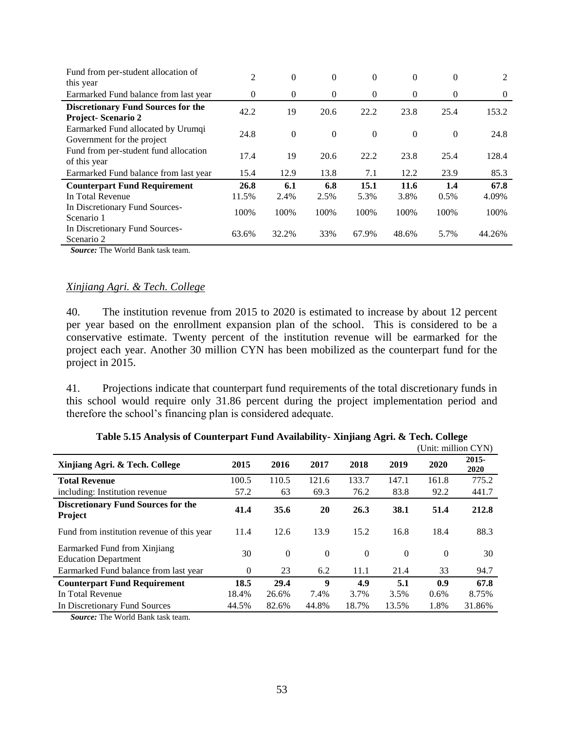| Fund from per-student allocation of<br>this year                 | 2              | $\theta$ | $\mathbf{0}$ | $\Omega$ | $\Omega$     | $\Omega$ | 2              |
|------------------------------------------------------------------|----------------|----------|--------------|----------|--------------|----------|----------------|
| Earmarked Fund balance from last year                            | $\overline{0}$ | $\theta$ | $\theta$     | $\Omega$ | $\theta$     | $\Omega$ | $\overline{0}$ |
| <b>Discretionary Fund Sources for the</b><br>Project-Scenario 2  | 42.2           | 19       | 20.6         | 22.2     | 23.8         | 25.4     | 153.2          |
| Earmarked Fund allocated by Urumqi<br>Government for the project | 24.8           | $\theta$ | $\mathbf{0}$ | $\Omega$ | $\mathbf{0}$ | $\theta$ | 24.8           |
| Fund from per-student fund allocation<br>of this year            | 17.4           | 19       | 20.6         | 22.2     | 23.8         | 25.4     | 128.4          |
| Earmarked Fund balance from last year                            | 15.4           | 12.9     | 13.8         | 7.1      | 12.2         | 23.9     | 85.3           |
| <b>Counterpart Fund Requirement</b>                              | 26.8           | 6.1      | 6.8          | 15.1     | 11.6         | 1.4      | 67.8           |
| In Total Revenue                                                 | 11.5%          | 2.4%     | 2.5%         | 5.3%     | 3.8%         | 0.5%     | 4.09%          |
| In Discretionary Fund Sources-                                   | 100%           | 100\%    | 100\%        | 100%     | 100%         | 100%     | 100\%          |
| Scenario 1                                                       |                |          |              |          |              |          |                |
| In Discretionary Fund Sources-<br>Scenario 2                     | 63.6%          | 32.2%    | 33%          | 67.9%    | 48.6%        | 5.7%     | 44.26%         |

 *Source:* The World Bank task team.

#### *Xinjiang Agri. & Tech. College*

40. The institution revenue from 2015 to 2020 is estimated to increase by about 12 percent per year based on the enrollment expansion plan of the school. This is considered to be a conservative estimate. Twenty percent of the institution revenue will be earmarked for the project each year. Another 30 million CYN has been mobilized as the counterpart fund for the project in 2015.

41. Projections indicate that counterpart fund requirements of the total discretionary funds in this school would require only 31.86 percent during the project implementation period and therefore the school's financing plan is considered adequate.

|                                                             |          |          |          |          |              | (Unit: million CYN) |                  |
|-------------------------------------------------------------|----------|----------|----------|----------|--------------|---------------------|------------------|
| Xinjiang Agri. & Tech. College                              | 2015     | 2016     | 2017     | 2018     | 2019         | 2020                | $2015 -$<br>2020 |
| <b>Total Revenue</b>                                        | 100.5    | 110.5    | 121.6    | 133.7    | 147.1        | 161.8               | 775.2            |
| including: Institution revenue                              | 57.2     | 63       | 69.3     | 76.2     | 83.8         | 92.2                | 441.7            |
| <b>Discretionary Fund Sources for the</b><br><b>Project</b> | 41.4     | 35.6     | 20       | 26.3     | 38.1         | 51.4                | 212.8            |
| Fund from institution revenue of this year                  | 11.4     | 12.6     | 13.9     | 15.2     | 16.8         | 18.4                | 88.3             |
| Earmarked Fund from Xinjiang<br><b>Education Department</b> | 30       | $\Omega$ | $\Omega$ | $\theta$ | $\mathbf{0}$ | $\theta$            | 30               |
| Earmarked Fund balance from last year                       | $\theta$ | 23       | 6.2      | 11.1     | 21.4         | 33                  | 94.7             |
| <b>Counterpart Fund Requirement</b>                         | 18.5     | 29.4     | 9        | 4.9      | 5.1          | 0.9                 | 67.8             |
| In Total Revenue                                            | 18.4%    | 26.6%    | 7.4%     | 3.7%     | 3.5%         | 0.6%                | 8.75%            |
| In Discretionary Fund Sources                               | 44.5%    | 82.6%    | 44.8%    | 18.7%    | 13.5%        | 1.8%                | 31.86%           |

**Table 5.15 Analysis of Counterpart Fund Availability- Xinjiang Agri. & Tech. College**

 *Source:* The World Bank task team.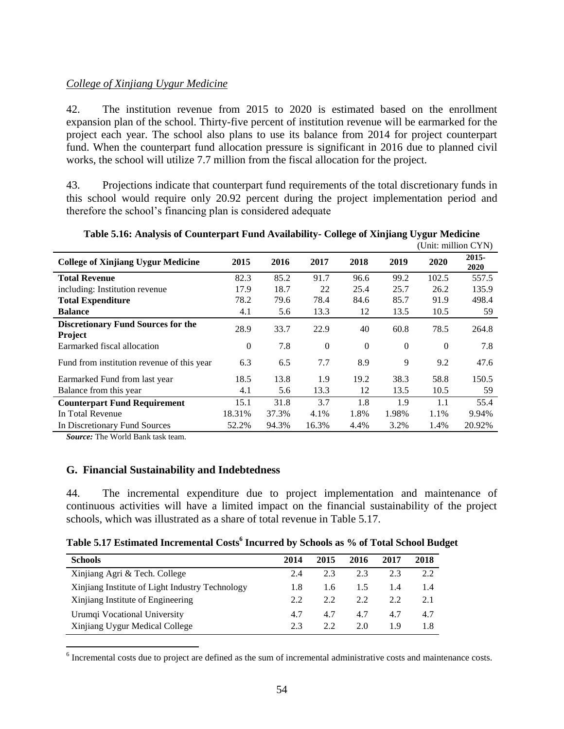#### *College of Xinjiang Uygur Medicine*

42. The institution revenue from 2015 to 2020 is estimated based on the enrollment expansion plan of the school. Thirty-five percent of institution revenue will be earmarked for the project each year. The school also plans to use its balance from 2014 for project counterpart fund. When the counterpart fund allocation pressure is significant in 2016 due to planned civil works, the school will utilize 7.7 million from the fiscal allocation for the project.

43. Projections indicate that counterpart fund requirements of the total discretionary funds in this school would require only 20.92 percent during the project implementation period and therefore the school's financing plan is considered adequate

|                                                      |                |       |          |          |              | , UIIII. IIIIIIIOII U I IV) |                  |
|------------------------------------------------------|----------------|-------|----------|----------|--------------|-----------------------------|------------------|
| <b>College of Xinjiang Uygur Medicine</b>            | 2015           | 2016  | 2017     | 2018     | 2019         | 2020                        | $2015 -$<br>2020 |
| <b>Total Revenue</b>                                 | 82.3           | 85.2  | 91.7     | 96.6     | 99.2         | 102.5                       | 557.5            |
| including: Institution revenue                       | 17.9           | 18.7  | 22       | 25.4     | 25.7         | 26.2                        | 135.9            |
| <b>Total Expenditure</b>                             | 78.2           | 79.6  | 78.4     | 84.6     | 85.7         | 91.9                        | 498.4            |
| <b>Balance</b>                                       | 4.1            | 5.6   | 13.3     | 12       | 13.5         | 10.5                        | 59               |
| <b>Discretionary Fund Sources for the</b><br>Project | 28.9           | 33.7  | 22.9     | 40       | 60.8         | 78.5                        | 264.8            |
| Earmarked fiscal allocation                          | $\overline{0}$ | 7.8   | $\Omega$ | $\Omega$ | $\mathbf{0}$ | $\Omega$                    | 7.8              |
| Fund from institution revenue of this year           | 6.3            | 6.5   | 7.7      | 8.9      | 9            | 9.2                         | 47.6             |
| Earmarked Fund from last year                        | 18.5           | 13.8  | 1.9      | 19.2     | 38.3         | 58.8                        | 150.5            |
| Balance from this year                               | 4.1            | 5.6   | 13.3     | 12       | 13.5         | 10.5                        | 59               |
| <b>Counterpart Fund Requirement</b>                  | 15.1           | 31.8  | 3.7      | 1.8      | 1.9          | 1.1                         | 55.4             |
| In Total Revenue                                     | 18.31%         | 37.3% | 4.1%     | 1.8%     | 1.98%        | 1.1%                        | 9.94%            |
| In Discretionary Fund Sources                        | 52.2%          | 94.3% | 16.3%    | 4.4%     | 3.2%         | 1.4%                        | 20.92%           |

| Table 5.16: Analysis of Counterpart Fund Availability- College of Xinjiang Uygur Medicine |                        |
|-------------------------------------------------------------------------------------------|------------------------|
|                                                                                           | (Unit: million $CYN$ ) |

*Source:* The World Bank task team.

#### **G. Financial Sustainability and Indebtedness**

44. The incremental expenditure due to project implementation and maintenance of continuous activities will have a limited impact on the financial sustainability of the project schools, which was illustrated as a share of total revenue in Table 5.17.

| <b>Schools</b>                                  | 2014 | 2015 | 2016         | 2017 | 2018 |
|-------------------------------------------------|------|------|--------------|------|------|
| Xinjiang Agri & Tech. College                   | 2.4  | 2.3  | 2.3          | 2.3  | 2.2  |
| Xinjiang Institute of Light Industry Technology | 1.8  | 1.6  | $\mathsf{L}$ | 1.4  | 1.4  |
| Xinjiang Institute of Engineering               | 2.2  | 2.2  | 2.2          | 2.2  | 2.1  |
| Urumqi Vocational University                    | 4.7  | 4.7  | 4.7          | 4.7  | 4.7  |
| Xinjiang Uygur Medical College                  | 2.3  | 2.2  | 2.0          | 19   | 1.8  |

<sup>6</sup><br>Incremental costs due to project are defined as the sum of incremental administrative costs and maintenance costs.